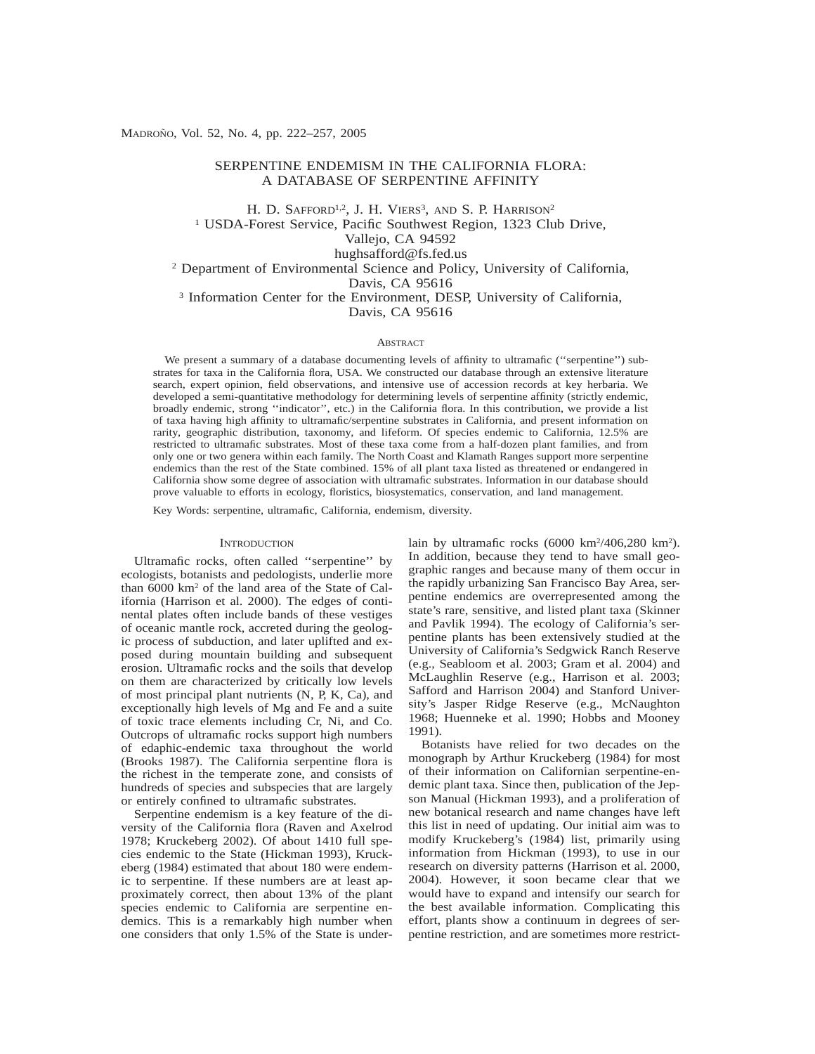# SERPENTINE ENDEMISM IN THE CALIFORNIA FLORA: A DATABASE OF SERPENTINE AFFINITY

H. D. SAFFORD<sup>1,2</sup>, J. H. VIERS<sup>3</sup>, AND S. P. HARRISON<sup>2</sup> <sup>1</sup> USDA-Forest Service, Pacific Southwest Region, 1323 Club Drive, Vallejo, CA 94592 hughsafford@fs.fed.us <sup>2</sup> Department of Environmental Science and Policy, University of California, Davis, CA 95616 <sup>3</sup> Information Center for the Environment, DESP, University of California, Davis, CA 95616

### **ABSTRACT**

We present a summary of a database documenting levels of affinity to ultramafic (''serpentine'') substrates for taxa in the California flora, USA. We constructed our database through an extensive literature search, expert opinion, field observations, and intensive use of accession records at key herbaria. We developed a semi-quantitative methodology for determining levels of serpentine affinity (strictly endemic, broadly endemic, strong ''indicator'', etc.) in the California flora. In this contribution, we provide a list of taxa having high affinity to ultramafic/serpentine substrates in California, and present information on rarity, geographic distribution, taxonomy, and lifeform. Of species endemic to California, 12.5% are restricted to ultramafic substrates. Most of these taxa come from a half-dozen plant families, and from only one or two genera within each family. The North Coast and Klamath Ranges support more serpentine endemics than the rest of the State combined. 15% of all plant taxa listed as threatened or endangered in California show some degree of association with ultramafic substrates. Information in our database should prove valuable to efforts in ecology, floristics, biosystematics, conservation, and land management.

Key Words: serpentine, ultramafic, California, endemism, diversity.

### **INTRODUCTION**

Ultramafic rocks, often called ''serpentine'' by ecologists, botanists and pedologists, underlie more than 6000 km2 of the land area of the State of California (Harrison et al. 2000). The edges of continental plates often include bands of these vestiges of oceanic mantle rock, accreted during the geologic process of subduction, and later uplifted and exposed during mountain building and subsequent erosion. Ultramafic rocks and the soils that develop on them are characterized by critically low levels of most principal plant nutrients (N, P, K, Ca), and exceptionally high levels of Mg and Fe and a suite of toxic trace elements including Cr, Ni, and Co. Outcrops of ultramafic rocks support high numbers of edaphic-endemic taxa throughout the world (Brooks 1987). The California serpentine flora is the richest in the temperate zone, and consists of hundreds of species and subspecies that are largely or entirely confined to ultramafic substrates.

Serpentine endemism is a key feature of the diversity of the California flora (Raven and Axelrod 1978; Kruckeberg 2002). Of about 1410 full species endemic to the State (Hickman 1993), Kruckeberg (1984) estimated that about 180 were endemic to serpentine. If these numbers are at least approximately correct, then about 13% of the plant species endemic to California are serpentine endemics. This is a remarkably high number when one considers that only 1.5% of the State is under-

lain by ultramafic rocks (6000 km<sup>2</sup>/406,280 km<sup>2</sup>). In addition, because they tend to have small geographic ranges and because many of them occur in the rapidly urbanizing San Francisco Bay Area, serpentine endemics are overrepresented among the state's rare, sensitive, and listed plant taxa (Skinner and Pavlik 1994). The ecology of California's serpentine plants has been extensively studied at the University of California's Sedgwick Ranch Reserve (e.g., Seabloom et al. 2003; Gram et al. 2004) and McLaughlin Reserve (e.g., Harrison et al. 2003; Safford and Harrison 2004) and Stanford University's Jasper Ridge Reserve (e.g., McNaughton 1968; Huenneke et al. 1990; Hobbs and Mooney 1991).

Botanists have relied for two decades on the monograph by Arthur Kruckeberg (1984) for most of their information on Californian serpentine-endemic plant taxa. Since then, publication of the Jepson Manual (Hickman 1993), and a proliferation of new botanical research and name changes have left this list in need of updating. Our initial aim was to modify Kruckeberg's (1984) list, primarily using information from Hickman (1993), to use in our research on diversity patterns (Harrison et al. 2000, 2004). However, it soon became clear that we would have to expand and intensify our search for the best available information. Complicating this effort, plants show a continuum in degrees of serpentine restriction, and are sometimes more restrict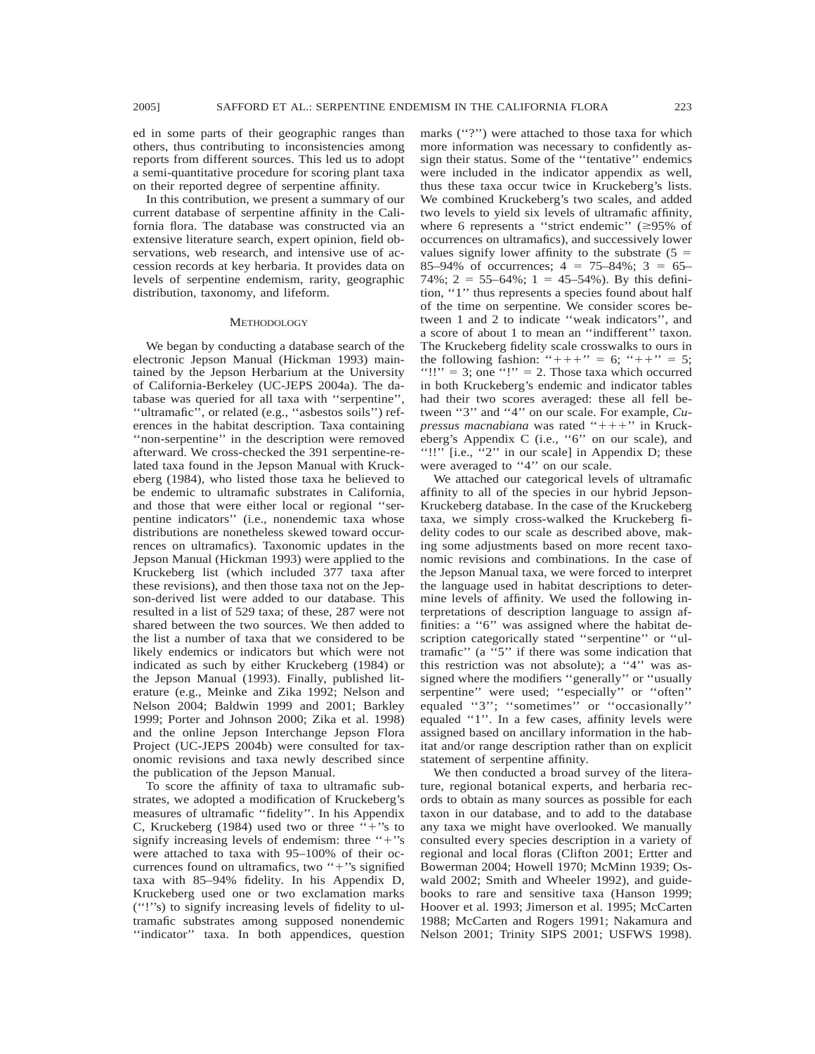ed in some parts of their geographic ranges than others, thus contributing to inconsistencies among reports from different sources. This led us to adopt a semi-quantitative procedure for scoring plant taxa on their reported degree of serpentine affinity.

In this contribution, we present a summary of our current database of serpentine affinity in the California flora. The database was constructed via an extensive literature search, expert opinion, field observations, web research, and intensive use of accession records at key herbaria. It provides data on levels of serpentine endemism, rarity, geographic distribution, taxonomy, and lifeform.

### **METHODOLOGY**

We began by conducting a database search of the electronic Jepson Manual (Hickman 1993) maintained by the Jepson Herbarium at the University of California-Berkeley (UC-JEPS 2004a). The database was queried for all taxa with ''serpentine'', ''ultramafic'', or related (e.g., ''asbestos soils'') references in the habitat description. Taxa containing ''non-serpentine'' in the description were removed afterward. We cross-checked the 391 serpentine-related taxa found in the Jepson Manual with Kruckeberg (1984), who listed those taxa he believed to be endemic to ultramafic substrates in California, and those that were either local or regional ''serpentine indicators'' (i.e., nonendemic taxa whose distributions are nonetheless skewed toward occurrences on ultramafics). Taxonomic updates in the Jepson Manual (Hickman 1993) were applied to the Kruckeberg list (which included 377 taxa after these revisions), and then those taxa not on the Jepson-derived list were added to our database. This resulted in a list of 529 taxa; of these, 287 were not shared between the two sources. We then added to the list a number of taxa that we considered to be likely endemics or indicators but which were not indicated as such by either Kruckeberg (1984) or the Jepson Manual (1993). Finally, published literature (e.g., Meinke and Zika 1992; Nelson and Nelson 2004; Baldwin 1999 and 2001; Barkley 1999; Porter and Johnson 2000; Zika et al. 1998) and the online Jepson Interchange Jepson Flora Project (UC-JEPS 2004b) were consulted for taxonomic revisions and taxa newly described since the publication of the Jepson Manual.

To score the affinity of taxa to ultramafic substrates, we adopted a modification of Kruckeberg's measures of ultramafic ''fidelity''. In his Appendix C, Kruckeberg (1984) used two or three  $+$ 's to signify increasing levels of endemism: three "+"s were attached to taxa with 95–100% of their occurrences found on ultramafics, two "+"s signified taxa with 85–94% fidelity. In his Appendix D, Kruckeberg used one or two exclamation marks (''!''s) to signify increasing levels of fidelity to ultramafic substrates among supposed nonendemic ''indicator'' taxa. In both appendices, question

marks ("?") were attached to those taxa for which more information was necessary to confidently assign their status. Some of the ''tentative'' endemics were included in the indicator appendix as well, thus these taxa occur twice in Kruckeberg's lists. We combined Kruckeberg's two scales, and added two levels to yield six levels of ultramafic affinity, where 6 represents a "strict endemic"  $(\geq 95\%$  of occurrences on ultramafics), and successively lower values signify lower affinity to the substrate  $(5 =$ 85–94% of occurrences;  $4 = 75-84\%$ ;  $3 = 65-$ 74%;  $2 = 55-64\%$ ;  $1 = 45-54\%$ ). By this definition, ''1'' thus represents a species found about half of the time on serpentine. We consider scores between 1 and 2 to indicate ''weak indicators'', and a score of about 1 to mean an ''indifferent'' taxon. The Kruckeberg fidelity scale crosswalks to ours in the following fashion: " $++$ " = 6; " $++$ " = 5; "!!" = 3; one "!" = 2. Those taxa which occurred in both Kruckeberg's endemic and indicator tables had their two scores averaged: these all fell between ''3'' and ''4'' on our scale. For example, *Cupressus macnabiana* was rated "+++" in Kruckeberg's Appendix C (i.e., ''6'' on our scale), and "!!"  $[i.e., "2" in our scale]$  in Appendix D; these were averaged to "4" on our scale.

We attached our categorical levels of ultramafic affinity to all of the species in our hybrid Jepson-Kruckeberg database. In the case of the Kruckeberg taxa, we simply cross-walked the Kruckeberg fidelity codes to our scale as described above, making some adjustments based on more recent taxonomic revisions and combinations. In the case of the Jepson Manual taxa, we were forced to interpret the language used in habitat descriptions to determine levels of affinity. We used the following interpretations of description language to assign affinities: a ''6'' was assigned where the habitat description categorically stated ''serpentine'' or ''ultramafic'' (a ''5'' if there was some indication that this restriction was not absolute); a ''4'' was assigned where the modifiers ''generally'' or ''usually serpentine" were used; "especially" or "often" equaled "3"; "sometimes" or "occasionally" equaled ''1''. In a few cases, affinity levels were assigned based on ancillary information in the habitat and/or range description rather than on explicit statement of serpentine affinity.

We then conducted a broad survey of the literature, regional botanical experts, and herbaria records to obtain as many sources as possible for each taxon in our database, and to add to the database any taxa we might have overlooked. We manually consulted every species description in a variety of regional and local floras (Clifton 2001; Ertter and Bowerman 2004; Howell 1970; McMinn 1939; Oswald 2002; Smith and Wheeler 1992), and guidebooks to rare and sensitive taxa (Hanson 1999; Hoover et al. 1993; Jimerson et al. 1995; McCarten 1988; McCarten and Rogers 1991; Nakamura and Nelson 2001; Trinity SIPS 2001; USFWS 1998).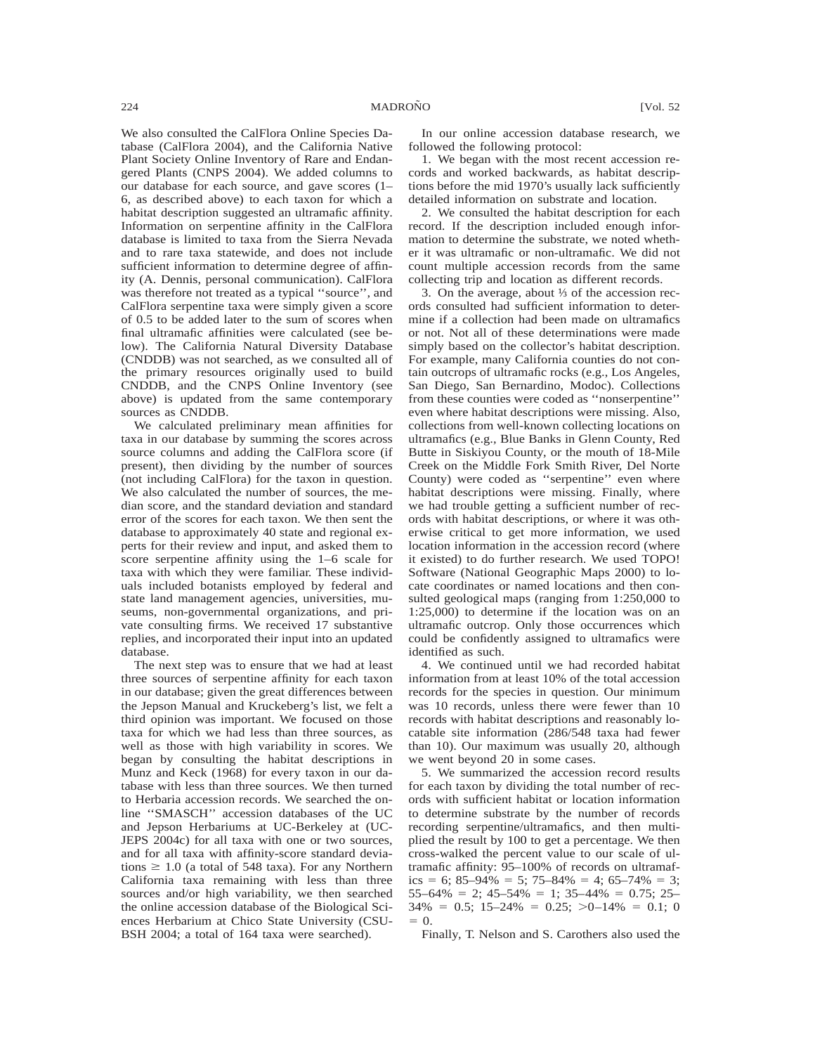We also consulted the CalFlora Online Species Database (CalFlora 2004), and the California Native Plant Society Online Inventory of Rare and Endangered Plants (CNPS 2004). We added columns to our database for each source, and gave scores (1– 6, as described above) to each taxon for which a habitat description suggested an ultramafic affinity. Information on serpentine affinity in the CalFlora database is limited to taxa from the Sierra Nevada and to rare taxa statewide, and does not include sufficient information to determine degree of affinity (A. Dennis, personal communication). CalFlora was therefore not treated as a typical ''source'', and CalFlora serpentine taxa were simply given a score of 0.5 to be added later to the sum of scores when final ultramafic affinities were calculated (see below). The California Natural Diversity Database (CNDDB) was not searched, as we consulted all of the primary resources originally used to build CNDDB, and the CNPS Online Inventory (see above) is updated from the same contemporary sources as CNDDB.

We calculated preliminary mean affinities for taxa in our database by summing the scores across source columns and adding the CalFlora score (if present), then dividing by the number of sources (not including CalFlora) for the taxon in question. We also calculated the number of sources, the median score, and the standard deviation and standard error of the scores for each taxon. We then sent the database to approximately 40 state and regional experts for their review and input, and asked them to score serpentine affinity using the 1–6 scale for taxa with which they were familiar. These individuals included botanists employed by federal and state land management agencies, universities, museums, non-governmental organizations, and private consulting firms. We received 17 substantive replies, and incorporated their input into an updated database.

The next step was to ensure that we had at least three sources of serpentine affinity for each taxon in our database; given the great differences between the Jepson Manual and Kruckeberg's list, we felt a third opinion was important. We focused on those taxa for which we had less than three sources, as well as those with high variability in scores. We began by consulting the habitat descriptions in Munz and Keck (1968) for every taxon in our database with less than three sources. We then turned to Herbaria accession records. We searched the online ''SMASCH'' accession databases of the UC and Jepson Herbariums at UC-Berkeley at (UC-JEPS 2004c) for all taxa with one or two sources, and for all taxa with affinity-score standard deviations  $\geq 1.0$  (a total of 548 taxa). For any Northern California taxa remaining with less than three sources and/or high variability, we then searched the online accession database of the Biological Sciences Herbarium at Chico State University (CSU-BSH 2004; a total of 164 taxa were searched).

In our online accession database research, we followed the following protocol:

1. We began with the most recent accession records and worked backwards, as habitat descriptions before the mid 1970's usually lack sufficiently detailed information on substrate and location.

2. We consulted the habitat description for each record. If the description included enough information to determine the substrate, we noted whether it was ultramafic or non-ultramafic. We did not count multiple accession records from the same collecting trip and location as different records.

3. On the average, about ⅓ of the accession records consulted had sufficient information to determine if a collection had been made on ultramafics or not. Not all of these determinations were made simply based on the collector's habitat description. For example, many California counties do not contain outcrops of ultramafic rocks (e.g., Los Angeles, San Diego, San Bernardino, Modoc). Collections from these counties were coded as ''nonserpentine'' even where habitat descriptions were missing. Also, collections from well-known collecting locations on ultramafics (e.g., Blue Banks in Glenn County, Red Butte in Siskiyou County, or the mouth of 18-Mile Creek on the Middle Fork Smith River, Del Norte County) were coded as ''serpentine'' even where habitat descriptions were missing. Finally, where we had trouble getting a sufficient number of records with habitat descriptions, or where it was otherwise critical to get more information, we used location information in the accession record (where it existed) to do further research. We used TOPO! Software (National Geographic Maps 2000) to locate coordinates or named locations and then consulted geological maps (ranging from 1:250,000 to 1:25,000) to determine if the location was on an ultramafic outcrop. Only those occurrences which could be confidently assigned to ultramafics were identified as such.

4. We continued until we had recorded habitat information from at least 10% of the total accession records for the species in question. Our minimum was 10 records, unless there were fewer than 10 records with habitat descriptions and reasonably locatable site information (286/548 taxa had fewer than 10). Our maximum was usually 20, although we went beyond 20 in some cases.

5. We summarized the accession record results for each taxon by dividing the total number of records with sufficient habitat or location information to determine substrate by the number of records recording serpentine/ultramafics, and then multiplied the result by 100 to get a percentage. We then cross-walked the percent value to our scale of ultramafic affinity: 95–100% of records on ultramafics = 6; 85–94% = 5; 75–84% = 4; 65–74% = 3;  $55-64\% = 2$ ;  $45-54\% = 1$ ;  $35-44\% = 0.75$ ;  $25 34\% = 0.5$ ;  $15-24\% = 0.25$ ;  $>0-14\% = 0.1$ ; 0  $= 0$ .

Finally, T. Nelson and S. Carothers also used the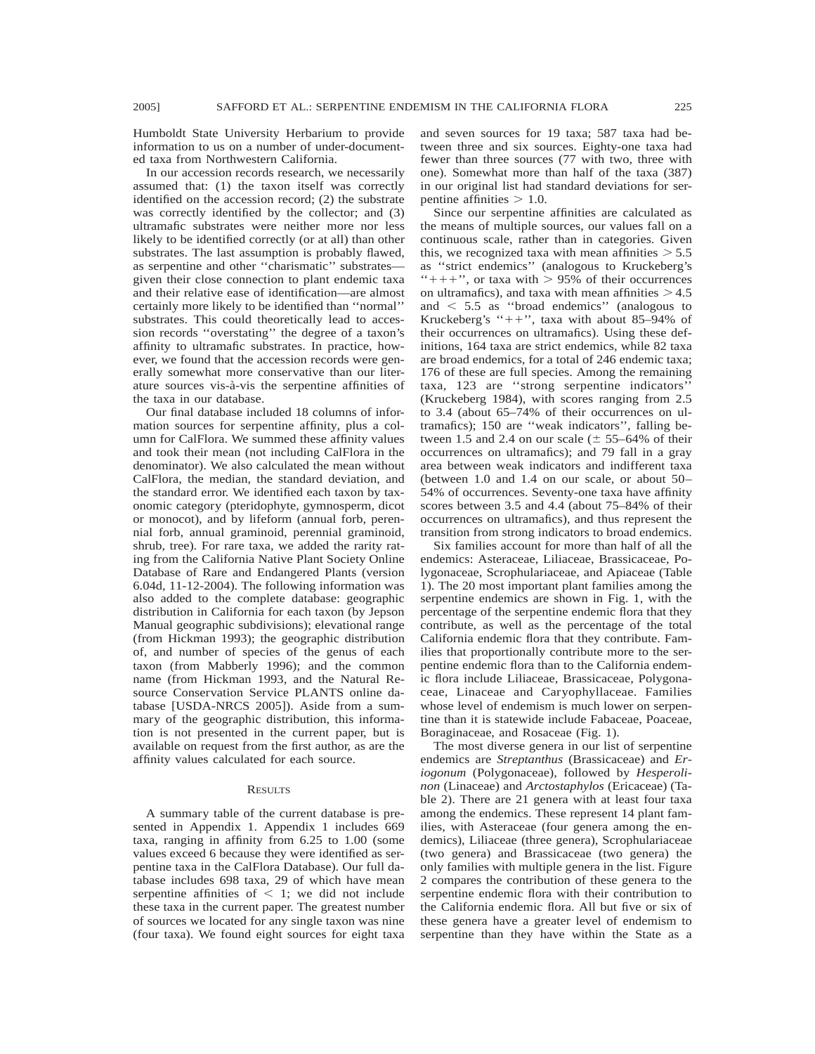Humboldt State University Herbarium to provide information to us on a number of under-documented taxa from Northwestern California.

In our accession records research, we necessarily assumed that: (1) the taxon itself was correctly identified on the accession record; (2) the substrate was correctly identified by the collector; and (3) ultramafic substrates were neither more nor less likely to be identified correctly (or at all) than other substrates. The last assumption is probably flawed, as serpentine and other ''charismatic'' substrates given their close connection to plant endemic taxa and their relative ease of identification—are almost certainly more likely to be identified than ''normal'' substrates. This could theoretically lead to accession records ''overstating'' the degree of a taxon's affinity to ultramafic substrates. In practice, however, we found that the accession records were generally somewhat more conservative than our literature sources vis-a`-vis the serpentine affinities of the taxa in our database.

Our final database included 18 columns of information sources for serpentine affinity, plus a column for CalFlora. We summed these affinity values and took their mean (not including CalFlora in the denominator). We also calculated the mean without CalFlora, the median, the standard deviation, and the standard error. We identified each taxon by taxonomic category (pteridophyte, gymnosperm, dicot or monocot), and by lifeform (annual forb, perennial forb, annual graminoid, perennial graminoid, shrub, tree). For rare taxa, we added the rarity rating from the California Native Plant Society Online Database of Rare and Endangered Plants (version 6.04d, 11-12-2004). The following information was also added to the complete database: geographic distribution in California for each taxon (by Jepson Manual geographic subdivisions); elevational range (from Hickman 1993); the geographic distribution of, and number of species of the genus of each taxon (from Mabberly 1996); and the common name (from Hickman 1993, and the Natural Resource Conservation Service PLANTS online database [USDA-NRCS 2005]). Aside from a summary of the geographic distribution, this information is not presented in the current paper, but is available on request from the first author, as are the affinity values calculated for each source.

### **RESULTS**

A summary table of the current database is presented in Appendix 1. Appendix 1 includes 669 taxa, ranging in affinity from 6.25 to 1.00 (some values exceed 6 because they were identified as serpentine taxa in the CalFlora Database). Our full database includes 698 taxa, 29 of which have mean serpentine affinities of  $\leq$  1; we did not include these taxa in the current paper. The greatest number of sources we located for any single taxon was nine (four taxa). We found eight sources for eight taxa

and seven sources for 19 taxa; 587 taxa had between three and six sources. Eighty-one taxa had fewer than three sources (77 with two, three with one). Somewhat more than half of the taxa (387) in our original list had standard deviations for serpentine affinities  $> 1.0$ .

Since our serpentine affinities are calculated as the means of multiple sources, our values fall on a continuous scale, rather than in categories. Given this, we recognized taxa with mean affinities  $> 5.5$ as ''strict endemics'' (analogous to Kruckeberg's "+++", or taxa with  $> 95\%$  of their occurrences on ultramafics), and taxa with mean affinities  $> 4.5$ and  $\leq$  5.5 as "broad endemics" (analogous to Kruckeberg's " $++$ ", taxa with about 85–94% of their occurrences on ultramafics). Using these definitions, 164 taxa are strict endemics, while 82 taxa are broad endemics, for a total of 246 endemic taxa; 176 of these are full species. Among the remaining taxa, 123 are ''strong serpentine indicators'' (Kruckeberg 1984), with scores ranging from 2.5 to 3.4 (about 65–74% of their occurrences on ultramafics); 150 are ''weak indicators'', falling between 1.5 and 2.4 on our scale  $(\pm 55-64\%$  of their occurrences on ultramafics); and 79 fall in a gray area between weak indicators and indifferent taxa (between 1.0 and 1.4 on our scale, or about 50– 54% of occurrences. Seventy-one taxa have affinity scores between 3.5 and 4.4 (about 75–84% of their occurrences on ultramafics), and thus represent the transition from strong indicators to broad endemics.

Six families account for more than half of all the endemics: Asteraceae, Liliaceae, Brassicaceae, Polygonaceae, Scrophulariaceae, and Apiaceae (Table 1). The 20 most important plant families among the serpentine endemics are shown in Fig. 1, with the percentage of the serpentine endemic flora that they contribute, as well as the percentage of the total California endemic flora that they contribute. Families that proportionally contribute more to the serpentine endemic flora than to the California endemic flora include Liliaceae, Brassicaceae, Polygonaceae, Linaceae and Caryophyllaceae. Families whose level of endemism is much lower on serpentine than it is statewide include Fabaceae, Poaceae, Boraginaceae, and Rosaceae (Fig. 1).

The most diverse genera in our list of serpentine endemics are *Streptanthus* (Brassicaceae) and *Eriogonum* (Polygonaceae), followed by *Hesperolinon* (Linaceae) and *Arctostaphylos* (Ericaceae) (Table 2). There are 21 genera with at least four taxa among the endemics. These represent 14 plant families, with Asteraceae (four genera among the endemics), Liliaceae (three genera), Scrophulariaceae (two genera) and Brassicaceae (two genera) the only families with multiple genera in the list. Figure 2 compares the contribution of these genera to the serpentine endemic flora with their contribution to the California endemic flora. All but five or six of these genera have a greater level of endemism to serpentine than they have within the State as a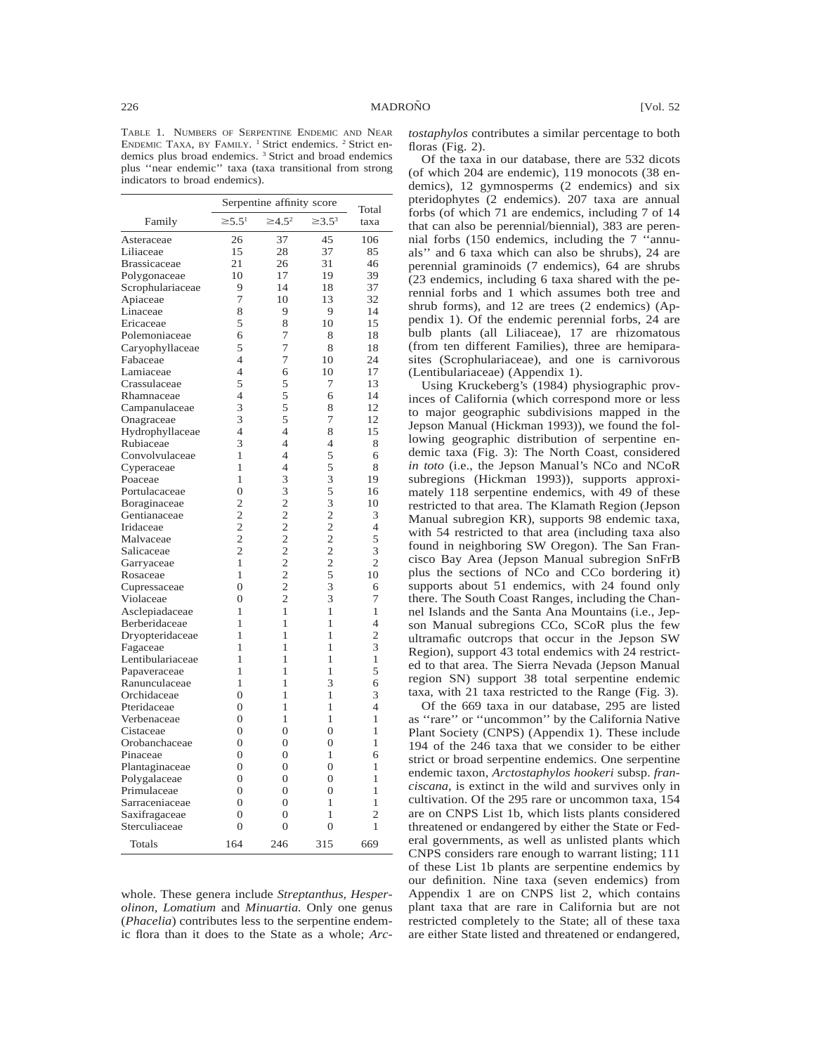TABLE 1. NUMBERS OF SERPENTINE ENDEMIC AND NEAR ENDEMIC TAXA, BY FAMILY.<sup>1</sup> Strict endemics.<sup>2</sup> Strict endemics plus broad endemics. <sup>3</sup> Strict and broad endemics plus ''near endemic'' taxa (taxa transitional from strong indicators to broad endemics).

|                     |                | Serpentine affinity score |                | Total          |
|---------------------|----------------|---------------------------|----------------|----------------|
| Family              | $\geq 5.5^1$   | $\geq 4.5^2$              | $\geq 3.5^3$   | taxa           |
| Asteraceae          | 26             | 37                        | 45             | 106            |
| Liliaceae           | 15             | 28                        | 37             | 85             |
| <b>Brassicaceae</b> | 21             | 26                        | 31             | 46             |
| Polygonaceae        | 10             | 17                        | 19             | 39             |
| Scrophulariaceae    | 9              | 14                        | 18             | 37             |
| Apiaceae            | 7              | 10                        | 13             | 32             |
| Linaceae            | 8              | 9                         | 9              | 14             |
| Ericaceae           | 5              | 8                         | 10             | 15             |
| Polemoniaceae       | 6              | 7                         | 8              | 18             |
| Caryophyllaceae     | 5              | 7                         | 8              | 18             |
| Fabaceae            | $\overline{4}$ | 7                         | 10             | 24             |
| Lamiaceae           | 4              | 6                         | 10             | 17             |
| Crassulaceae        | 5              | 5                         | 7              | 13             |
| Rhamnaceae          | $\overline{4}$ | 5                         | 6              | 14             |
| Campanulaceae       | 3              | 5                         | 8              | 12             |
| Onagraceae          | 3              | 5                         | 7              | 12             |
| Hydrophyllaceae     | 4              | $\overline{4}$            | 8              | 15             |
| Rubiaceae           | 3              | $\overline{4}$            | 4              | 8              |
| Convolvulaceae      | $\mathbf{1}$   | $\overline{4}$            | 5              | 6              |
| Cyperaceae          | 1              | $\overline{4}$            | 5              | 8              |
| Poaceae             | 1              | 3                         | 3              | 19             |
| Portulacaceae       | $\overline{0}$ | 3                         | 5              | 16             |
| Boraginaceae        | $\overline{2}$ | $\overline{c}$            | 3              | 10             |
| Gentianaceae        | $\overline{2}$ | $\overline{c}$            | $\overline{c}$ | 3              |
| Iridaceae           | $\overline{2}$ | $\overline{c}$            | $\overline{c}$ | 4              |
| Malvaceae           | $\overline{2}$ | $\overline{c}$            | $\overline{2}$ | 5              |
| Salicaceae          | $\overline{2}$ | $\overline{c}$            | $\overline{c}$ | 3              |
| Garryaceae          | $\mathbf{1}$   | $\overline{c}$            | $\overline{2}$ | $\overline{2}$ |
| Rosaceae            | 1              | $\overline{c}$            | 5              | 10             |
| Cupressaceae        | $\theta$       | $\overline{c}$            | 3              | 6              |
| Violaceae           | $\overline{0}$ | $\overline{2}$            | 3              | 7              |
| Asclepiadaceae      | 1              | 1                         | 1              | 1              |
| Berberidaceae       | 1              | 1                         | 1              | $\overline{4}$ |
| Dryopteridaceae     | 1              | 1                         | 1              | $\overline{2}$ |
| Fagaceae            | 1              | 1                         | 1              | 3              |
| Lentibulariaceae    | 1              | 1                         | 1              | 1              |
| Papaveraceae        | 1              | 1                         | 1              | 5              |
| Ranunculaceae       | 1              | 1                         | 3              | 6              |
| Orchidaceae         | $\overline{0}$ | 1                         | $\mathbf{1}$   | 3              |
| Pteridaceae         | $\overline{0}$ | 1                         | $\mathbf{1}$   | $\overline{4}$ |
| Verbenaceae         | $\overline{0}$ | 1                         | 1              | 1              |
| Cistaceae           | $\overline{0}$ | $\overline{0}$            | $\overline{0}$ | 1              |
| Orobanchaceae       | $\overline{0}$ | $\theta$                  | $\theta$       | 1              |
| Pinaceae            | $\theta$       | $\theta$                  | 1              | 6              |
| Plantaginaceae      | $\mathbf{0}$   | $\overline{0}$            | $\overline{0}$ | 1              |
| Polygalaceae        | $\overline{0}$ | $\theta$                  | $\theta$       | 1              |
| Primulaceae         | $\overline{0}$ | $\overline{0}$            | $\overline{0}$ | 1              |
| Sarraceniaceae      | $\overline{0}$ | $\theta$                  | 1              | 1              |
| Saxifragaceae       | $\overline{0}$ | $\overline{0}$            | 1              | $\overline{2}$ |
| Sterculiaceae       | $\theta$       | $\theta$                  | 0              | 1              |
| Totals              | 164            | 246                       | 315            | 669            |

whole. These genera include *Streptanthus, Hesperolinon, Lomatium* and *Minuartia.* Only one genus (*Phacelia*) contributes less to the serpentine endemic flora than it does to the State as a whole; *Arc-* *tostaphylos* contributes a similar percentage to both floras (Fig. 2).

Of the taxa in our database, there are 532 dicots (of which 204 are endemic), 119 monocots (38 endemics), 12 gymnosperms (2 endemics) and six pteridophytes (2 endemics). 207 taxa are annual forbs (of which 71 are endemics, including 7 of 14 that can also be perennial/biennial), 383 are perennial forbs (150 endemics, including the 7 ''annuals'' and 6 taxa which can also be shrubs), 24 are perennial graminoids (7 endemics), 64 are shrubs (23 endemics, including 6 taxa shared with the perennial forbs and 1 which assumes both tree and shrub forms), and 12 are trees (2 endemics) (Appendix 1). Of the endemic perennial forbs, 24 are bulb plants (all Liliaceae), 17 are rhizomatous (from ten different Families), three are hemiparasites (Scrophulariaceae), and one is carnivorous (Lentibulariaceae) (Appendix 1).

Using Kruckeberg's (1984) physiographic provinces of California (which correspond more or less to major geographic subdivisions mapped in the Jepson Manual (Hickman 1993)), we found the following geographic distribution of serpentine endemic taxa (Fig. 3): The North Coast, considered *in toto* (i.e., the Jepson Manual's NCo and NCoR subregions (Hickman 1993)), supports approximately 118 serpentine endemics, with 49 of these restricted to that area. The Klamath Region (Jepson Manual subregion KR), supports 98 endemic taxa, with 54 restricted to that area (including taxa also found in neighboring SW Oregon). The San Francisco Bay Area (Jepson Manual subregion SnFrB plus the sections of NCo and CCo bordering it) supports about 51 endemics, with 24 found only there. The South Coast Ranges, including the Channel Islands and the Santa Ana Mountains (i.e., Jepson Manual subregions CCo, SCoR plus the few ultramafic outcrops that occur in the Jepson SW Region), support 43 total endemics with 24 restricted to that area. The Sierra Nevada (Jepson Manual region SN) support 38 total serpentine endemic taxa, with 21 taxa restricted to the Range (Fig. 3).

Of the 669 taxa in our database, 295 are listed as ''rare'' or ''uncommon'' by the California Native Plant Society (CNPS) (Appendix 1). These include 194 of the 246 taxa that we consider to be either strict or broad serpentine endemics. One serpentine endemic taxon, *Arctostaphylos hookeri* subsp. *franciscana,* is extinct in the wild and survives only in cultivation. Of the 295 rare or uncommon taxa, 154 are on CNPS List 1b, which lists plants considered threatened or endangered by either the State or Federal governments, as well as unlisted plants which CNPS considers rare enough to warrant listing; 111 of these List 1b plants are serpentine endemics by our definition. Nine taxa (seven endemics) from Appendix 1 are on CNPS list 2, which contains plant taxa that are rare in California but are not restricted completely to the State; all of these taxa are either State listed and threatened or endangered,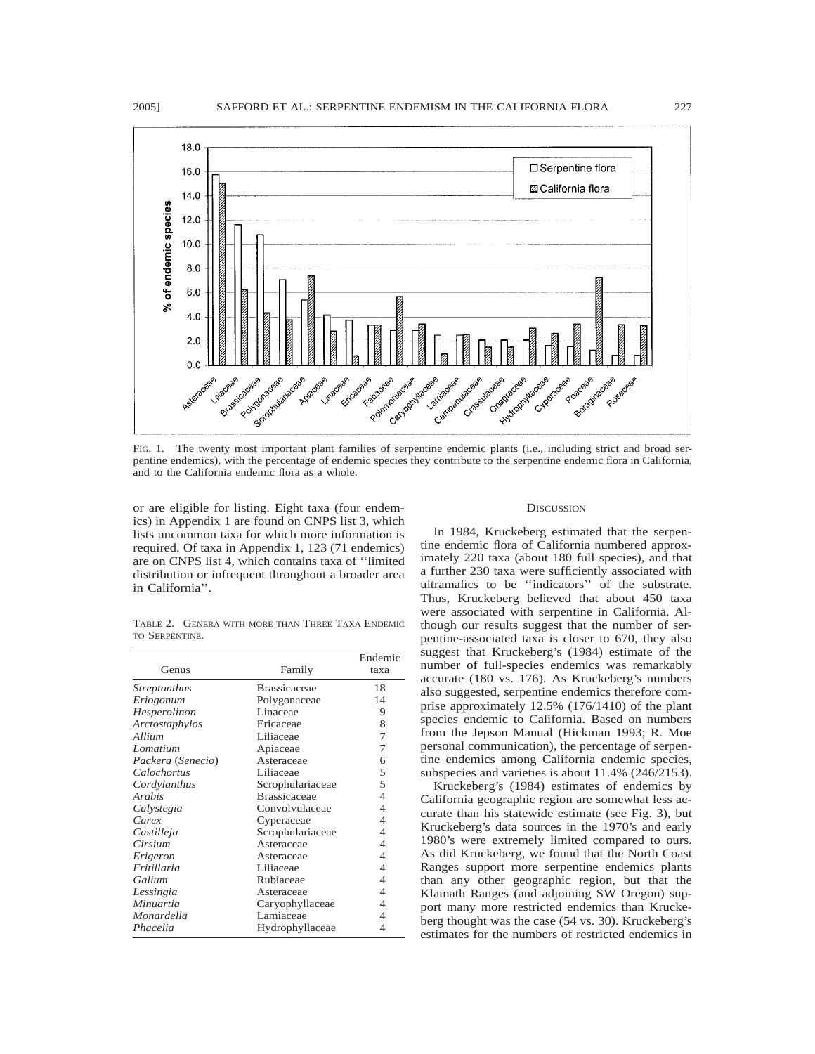

FIG. 1. The twenty most important plant families of serpentine endemic plants (i.e., including strict and broad serpentine endemics), with the percentage of endemic species they contribute to the serpentine endemic flora in California, and to the California endemic flora as a whole.

or are eligible for listing. Eight taxa (four endemics) in Appendix 1 are found on CNPS list 3, which lists uncommon taxa for which more information is required. Of taxa in Appendix 1, 123 (71 endemics) are on CNPS list 4, which contains taxa of ''limited distribution or infrequent throughout a broader area in California''.

TABLE 2. GENERA WITH MORE THAN THREE TAXA ENDEMIC TO SERPENTINE.

| Genus               | Family              | Endemic<br>taxa |
|---------------------|---------------------|-----------------|
| <i>Streptanthus</i> | <b>Brassicaceae</b> | 18              |
| Eriogonum           | Polygonaceae        | 14              |
| Hesperolinon        | Linaceae            | 9               |
| Arctostaphylos      | Ericaceae           | 8               |
| Allium              | Liliaceae           | 7               |
| Lomatium            | Apiaceae            | 7               |
| Packera (Senecio)   | Asteraceae          | 6               |
| Calochortus         | Liliaceae           | 5               |
| Cordylanthus        | Scrophulariaceae    | 5               |
| Arabis              | <b>Brassicaceae</b> | 4               |
| Calystegia          | Convolvulaceae      | 4               |
| Carex               | Cyperaceae          | 4               |
| Castilleja          | Scrophulariaceae    | 4               |
| Cirsium             | Asteraceae          | 4               |
| Erigeron            | Asteraceae          | 4               |
| Fritillaria         | Liliaceae           | 4               |
| Galium              | Rubiaceae           | 4               |
| Lessingia           | Asteraceae          | 4               |
| Minuartia           | Caryophyllaceae     | 4               |
| Monardella          | Lamiaceae           | 4               |
| Phacelia            | Hydrophyllaceae     | 4               |

### **DISCUSSION**

In 1984, Kruckeberg estimated that the serpentine endemic flora of California numbered approximately 220 taxa (about 180 full species), and that a further 230 taxa were sufficiently associated with ultramafics to be ''indicators'' of the substrate. Thus, Kruckeberg believed that about 450 taxa were associated with serpentine in California. Although our results suggest that the number of serpentine-associated taxa is closer to 670, they also suggest that Kruckeberg's (1984) estimate of the number of full-species endemics was remarkably accurate (180 vs. 176). As Kruckeberg's numbers also suggested, serpentine endemics therefore comprise approximately 12.5% (176/1410) of the plant species endemic to California. Based on numbers from the Jepson Manual (Hickman 1993; R. Moe personal communication), the percentage of serpentine endemics among California endemic species, subspecies and varieties is about 11.4% (246/2153).

Kruckeberg's (1984) estimates of endemics by California geographic region are somewhat less accurate than his statewide estimate (see Fig. 3), but Kruckeberg's data sources in the 1970's and early 1980's were extremely limited compared to ours. As did Kruckeberg, we found that the North Coast Ranges support more serpentine endemics plants than any other geographic region, but that the Klamath Ranges (and adjoining SW Oregon) support many more restricted endemics than Kruckeberg thought was the case (54 vs. 30). Kruckeberg's estimates for the numbers of restricted endemics in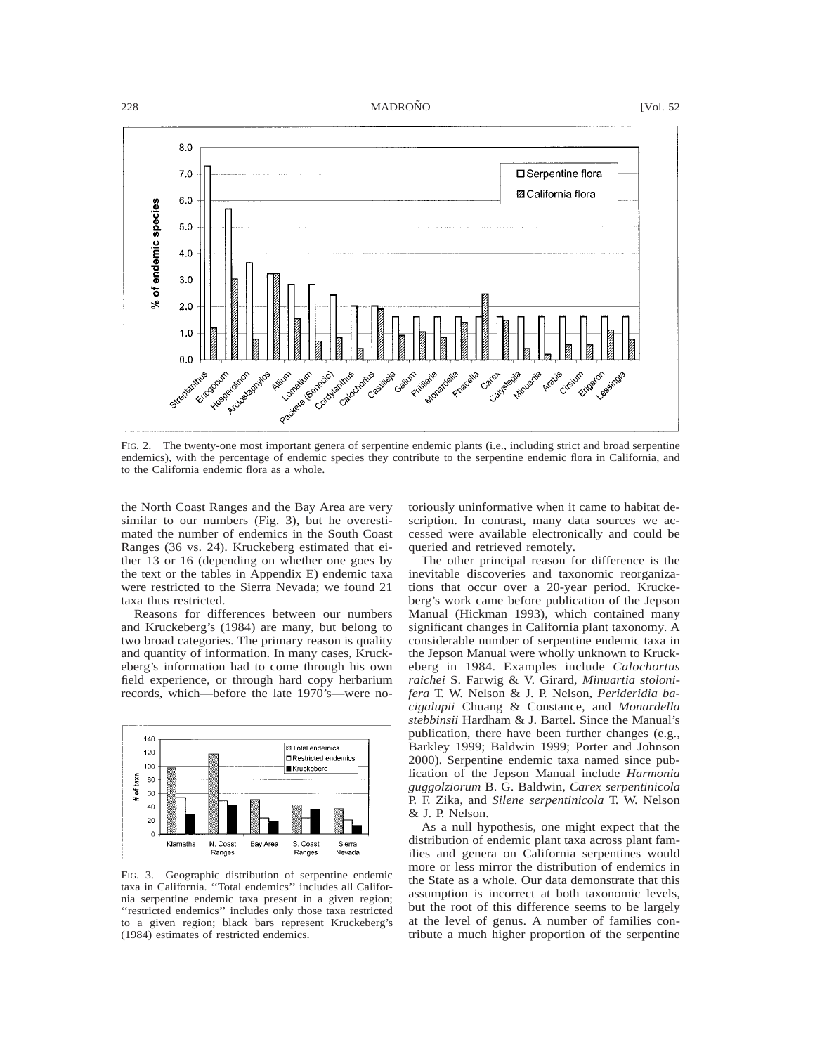# 228 MADROÑO [Vol. 52]



FIG. 2. The twenty-one most important genera of serpentine endemic plants (i.e., including strict and broad serpentine endemics), with the percentage of endemic species they contribute to the serpentine endemic flora in California, and to the California endemic flora as a whole.

the North Coast Ranges and the Bay Area are very similar to our numbers (Fig. 3), but he overestimated the number of endemics in the South Coast Ranges (36 vs. 24). Kruckeberg estimated that either 13 or 16 (depending on whether one goes by the text or the tables in Appendix E) endemic taxa were restricted to the Sierra Nevada; we found 21 taxa thus restricted.

Reasons for differences between our numbers and Kruckeberg's (1984) are many, but belong to two broad categories. The primary reason is quality and quantity of information. In many cases, Kruckeberg's information had to come through his own field experience, or through hard copy herbarium records, which—before the late 1970's—were no-



FIG. 3. Geographic distribution of serpentine endemic taxa in California. ''Total endemics'' includes all California serpentine endemic taxa present in a given region; ''restricted endemics'' includes only those taxa restricted to a given region; black bars represent Kruckeberg's (1984) estimates of restricted endemics.

toriously uninformative when it came to habitat description. In contrast, many data sources we accessed were available electronically and could be queried and retrieved remotely.

The other principal reason for difference is the inevitable discoveries and taxonomic reorganizations that occur over a 20-year period. Kruckeberg's work came before publication of the Jepson Manual (Hickman 1993), which contained many significant changes in California plant taxonomy. A considerable number of serpentine endemic taxa in the Jepson Manual were wholly unknown to Kruckeberg in 1984. Examples include *Calochortus raichei* S. Farwig & V. Girard, *Minuartia stolonifera* T. W. Nelson & J. P. Nelson, *Perideridia bacigalupii* Chuang & Constance, and *Monardella stebbinsii* Hardham & J. Bartel. Since the Manual's publication, there have been further changes (e.g., Barkley 1999; Baldwin 1999; Porter and Johnson 2000). Serpentine endemic taxa named since publication of the Jepson Manual include *Harmonia guggolziorum* B. G. Baldwin, *Carex serpentinicola* P. F. Zika, and *Silene serpentinicola* T. W. Nelson & J. P. Nelson.

As a null hypothesis, one might expect that the distribution of endemic plant taxa across plant families and genera on California serpentines would more or less mirror the distribution of endemics in the State as a whole. Our data demonstrate that this assumption is incorrect at both taxonomic levels, but the root of this difference seems to be largely at the level of genus. A number of families contribute a much higher proportion of the serpentine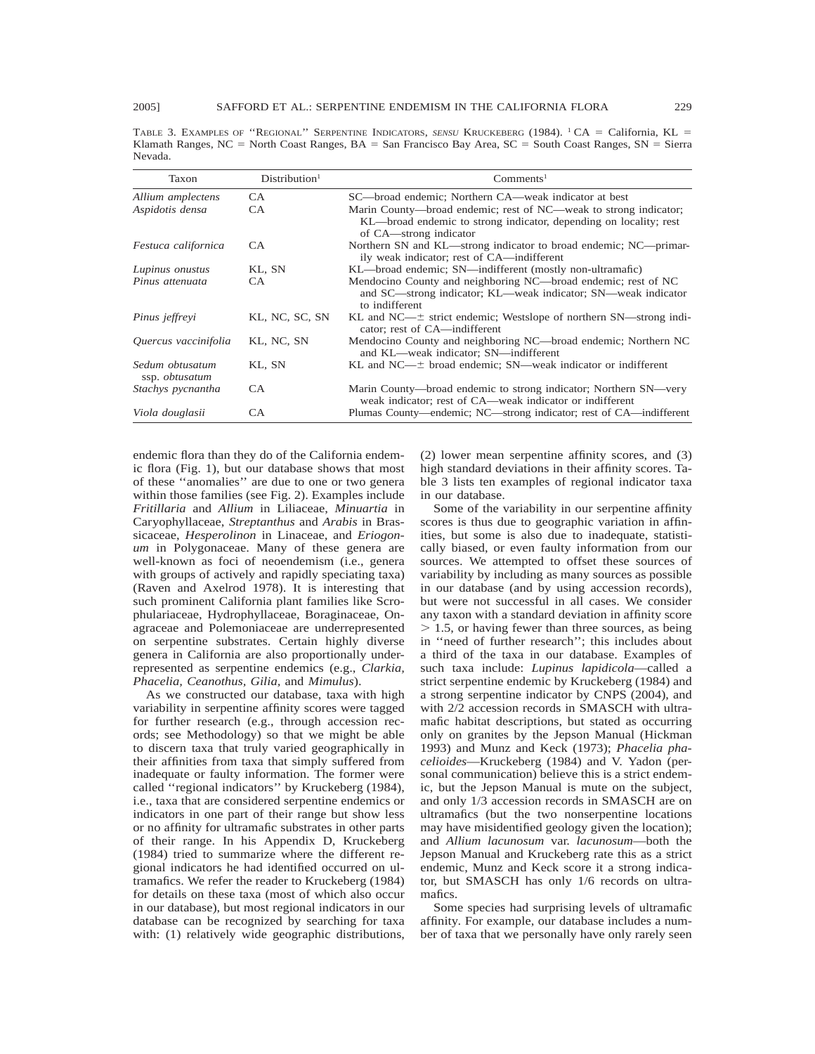TABLE 3. EXAMPLES OF "REGIONAL" SERPENTINE INDICATORS, *SENSU* KRUCKEBERG (1984). <sup>1</sup> CA = California, KL = Klamath Ranges,  $NC = North Coast Range, BA = San Francisco Bay Area, SC = South Coast Range, SN = Sierra$ Nevada.

| Taxon                                    | Distribution <sup>1</sup> | Comments <sup>1</sup>                                                                                                                                           |
|------------------------------------------|---------------------------|-----------------------------------------------------------------------------------------------------------------------------------------------------------------|
| Allium amplectens                        | CA.                       | SC—broad endemic; Northern CA—weak indicator at best                                                                                                            |
| Aspidotis densa                          | CA.                       | Marin County—broad endemic; rest of NC—weak to strong indicator;<br>KL—broad endemic to strong indicator, depending on locality; rest<br>of CA—strong indicator |
| Festuca californica                      | CA.                       | Northern SN and KL—strong indicator to broad endemic; NC—primar-<br>ily weak indicator; rest of CA—indifferent                                                  |
| Lupinus onustus                          | KL, SN                    | KL—broad endemic; SN—indifferent (mostly non-ultramafic)                                                                                                        |
| Pinus attenuata                          | CA.                       | Mendocino County and neighboring NC—broad endemic; rest of NC<br>and SC—strong indicator; KL—weak indicator; SN—weak indicator<br>to indifferent                |
| Pinus jeffreyi                           | KL, NC, SC, SN            | KL and $NC-\pm$ strict endemic; Westslope of northern SN—strong indi-<br>cator; rest of CA—indifferent                                                          |
| Quercus vaccinifolia                     | KL, NC, SN                | Mendocino County and neighboring NC—broad endemic; Northern NC<br>and KL—weak indicator; SN—indifferent                                                         |
| Sedum obtusatum<br>ssp. <i>obtusatum</i> | KL, SN                    | KL and $NC$ — $\pm$ broad endemic; SN—weak indicator or indifferent                                                                                             |
| Stachys pycnantha                        | CA.                       | Marin County—broad endemic to strong indicator; Northern SN—very<br>weak indicator; rest of CA—weak indicator or indifferent                                    |
| Viola douglasii                          | СA                        | Plumas County—endemic; NC—strong indicator; rest of CA—indifferent                                                                                              |

endemic flora than they do of the California endemic flora (Fig. 1), but our database shows that most of these ''anomalies'' are due to one or two genera within those families (see Fig. 2). Examples include *Fritillaria* and *Allium* in Liliaceae, *Minuartia* in Caryophyllaceae, *Streptanthus* and *Arabis* in Brassicaceae, *Hesperolinon* in Linaceae, and *Eriogonum* in Polygonaceae. Many of these genera are well-known as foci of neoendemism (i.e., genera with groups of actively and rapidly speciating taxa) (Raven and Axelrod 1978). It is interesting that such prominent California plant families like Scrophulariaceae, Hydrophyllaceae, Boraginaceae, Onagraceae and Polemoniaceae are underrepresented on serpentine substrates. Certain highly diverse genera in California are also proportionally underrepresented as serpentine endemics (e.g., *Clarkia, Phacelia, Ceanothus, Gilia,* and *Mimulus*).

As we constructed our database, taxa with high variability in serpentine affinity scores were tagged for further research (e.g., through accession records; see Methodology) so that we might be able to discern taxa that truly varied geographically in their affinities from taxa that simply suffered from inadequate or faulty information. The former were called ''regional indicators'' by Kruckeberg (1984), i.e., taxa that are considered serpentine endemics or indicators in one part of their range but show less or no affinity for ultramafic substrates in other parts of their range. In his Appendix D, Kruckeberg (1984) tried to summarize where the different regional indicators he had identified occurred on ultramafics. We refer the reader to Kruckeberg (1984) for details on these taxa (most of which also occur in our database), but most regional indicators in our database can be recognized by searching for taxa with: (1) relatively wide geographic distributions,

(2) lower mean serpentine affinity scores, and (3) high standard deviations in their affinity scores. Table 3 lists ten examples of regional indicator taxa in our database.

Some of the variability in our serpentine affinity scores is thus due to geographic variation in affinities, but some is also due to inadequate, statistically biased, or even faulty information from our sources. We attempted to offset these sources of variability by including as many sources as possible in our database (and by using accession records), but were not successful in all cases. We consider any taxon with a standard deviation in affinity score  $> 1.5$ , or having fewer than three sources, as being in ''need of further research''; this includes about a third of the taxa in our database. Examples of such taxa include: *Lupinus lapidicola*—called a strict serpentine endemic by Kruckeberg (1984) and a strong serpentine indicator by CNPS (2004), and with 2/2 accession records in SMASCH with ultramafic habitat descriptions, but stated as occurring only on granites by the Jepson Manual (Hickman 1993) and Munz and Keck (1973); *Phacelia phacelioides*—Kruckeberg (1984) and V. Yadon (personal communication) believe this is a strict endemic, but the Jepson Manual is mute on the subject, and only 1/3 accession records in SMASCH are on ultramafics (but the two nonserpentine locations may have misidentified geology given the location); and *Allium lacunosum* var. *lacunosum*—both the Jepson Manual and Kruckeberg rate this as a strict endemic, Munz and Keck score it a strong indicator, but SMASCH has only 1/6 records on ultramafics.

Some species had surprising levels of ultramafic affinity. For example, our database includes a number of taxa that we personally have only rarely seen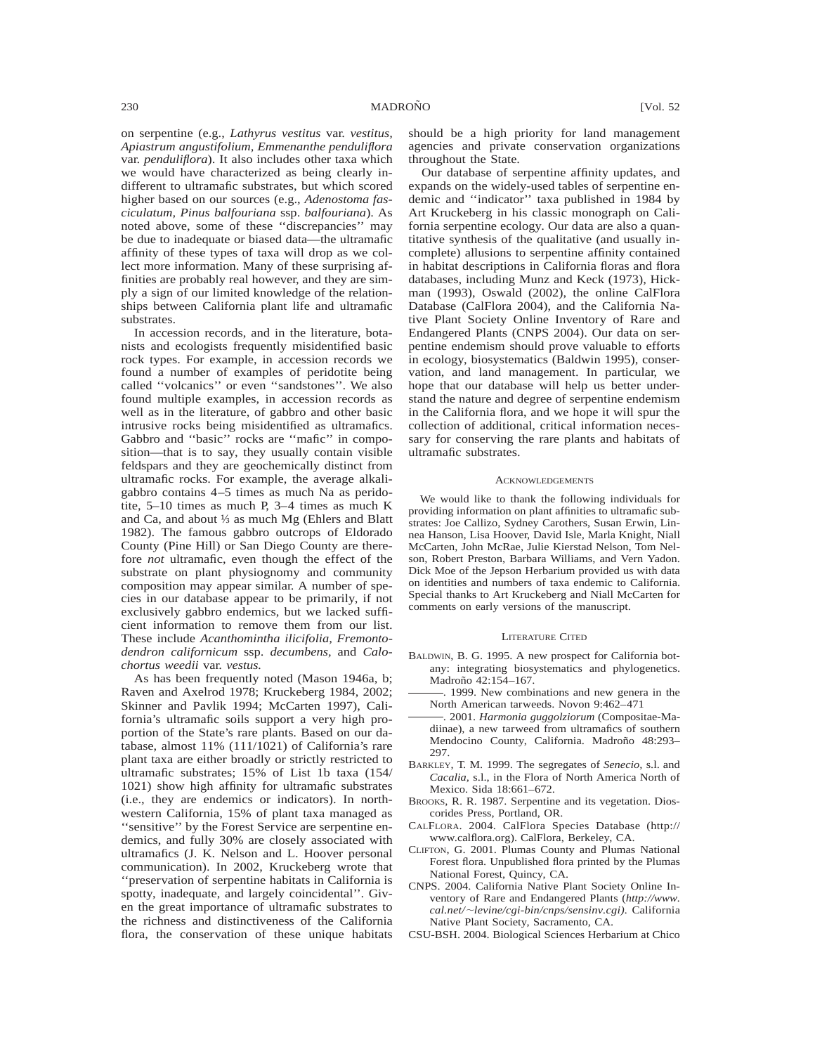on serpentine (e.g., *Lathyrus vestitus* var. *vestitus, Apiastrum angustifolium, Emmenanthe penduliflora* var. *penduliflora*). It also includes other taxa which we would have characterized as being clearly indifferent to ultramafic substrates, but which scored higher based on our sources (e.g., *Adenostoma fasciculatum, Pinus balfouriana* ssp. *balfouriana*). As noted above, some of these ''discrepancies'' may be due to inadequate or biased data—the ultramafic affinity of these types of taxa will drop as we collect more information. Many of these surprising affinities are probably real however, and they are simply a sign of our limited knowledge of the relationships between California plant life and ultramafic substrates.

In accession records, and in the literature, botanists and ecologists frequently misidentified basic rock types. For example, in accession records we found a number of examples of peridotite being called ''volcanics'' or even ''sandstones''. We also found multiple examples, in accession records as well as in the literature, of gabbro and other basic intrusive rocks being misidentified as ultramafics. Gabbro and ''basic'' rocks are ''mafic'' in composition—that is to say, they usually contain visible feldspars and they are geochemically distinct from ultramafic rocks. For example, the average alkaligabbro contains 4–5 times as much Na as peridotite, 5–10 times as much P, 3–4 times as much K and Ca, and about ⅓ as much Mg (Ehlers and Blatt 1982). The famous gabbro outcrops of Eldorado County (Pine Hill) or San Diego County are therefore *not* ultramafic, even though the effect of the substrate on plant physiognomy and community composition may appear similar. A number of species in our database appear to be primarily, if not exclusively gabbro endemics, but we lacked sufficient information to remove them from our list. These include *Acanthomintha ilicifolia, Fremontodendron californicum* ssp. *decumbens,* and *Calochortus weedii* var. *vestus.*

As has been frequently noted (Mason 1946a, b; Raven and Axelrod 1978; Kruckeberg 1984, 2002; Skinner and Pavlik 1994; McCarten 1997), California's ultramafic soils support a very high proportion of the State's rare plants. Based on our database, almost 11% (111/1021) of California's rare plant taxa are either broadly or strictly restricted to ultramafic substrates; 15% of List 1b taxa (154/ 1021) show high affinity for ultramafic substrates (i.e., they are endemics or indicators). In northwestern California, 15% of plant taxa managed as ''sensitive'' by the Forest Service are serpentine endemics, and fully 30% are closely associated with ultramafics (J. K. Nelson and L. Hoover personal communication). In 2002, Kruckeberg wrote that ''preservation of serpentine habitats in California is spotty, inadequate, and largely coincidental''. Given the great importance of ultramafic substrates to the richness and distinctiveness of the California flora, the conservation of these unique habitats should be a high priority for land management agencies and private conservation organizations throughout the State.

Our database of serpentine affinity updates, and expands on the widely-used tables of serpentine endemic and ''indicator'' taxa published in 1984 by Art Kruckeberg in his classic monograph on California serpentine ecology. Our data are also a quantitative synthesis of the qualitative (and usually incomplete) allusions to serpentine affinity contained in habitat descriptions in California floras and flora databases, including Munz and Keck (1973), Hickman (1993), Oswald (2002), the online CalFlora Database (CalFlora 2004), and the California Native Plant Society Online Inventory of Rare and Endangered Plants (CNPS 2004). Our data on serpentine endemism should prove valuable to efforts in ecology, biosystematics (Baldwin 1995), conservation, and land management. In particular, we hope that our database will help us better understand the nature and degree of serpentine endemism in the California flora, and we hope it will spur the collection of additional, critical information necessary for conserving the rare plants and habitats of ultramafic substrates.

### **ACKNOWLEDGEMENTS**

We would like to thank the following individuals for providing information on plant affinities to ultramafic substrates: Joe Callizo, Sydney Carothers, Susan Erwin, Linnea Hanson, Lisa Hoover, David Isle, Marla Knight, Niall McCarten, John McRae, Julie Kierstad Nelson, Tom Nelson, Robert Preston, Barbara Williams, and Vern Yadon. Dick Moe of the Jepson Herbarium provided us with data on identities and numbers of taxa endemic to California. Special thanks to Art Kruckeberg and Niall McCarten for comments on early versions of the manuscript.

## LITERATURE CITED

- BALDWIN, B. G. 1995. A new prospect for California botany: integrating biosystematics and phylogenetics. Madroño 42:154-167.
- . 1999. New combinations and new genera in the North American tarweeds. Novon 9:462–471
- . 2001. *Harmonia guggolziorum* (Compositae-Madiinae), a new tarweed from ultramafics of southern Mendocino County, California. Madroño 48:293-297.
- BARKLEY, T. M. 1999. The segregates of *Senecio,* s.l. and *Cacalia,* s.l., in the Flora of North America North of Mexico. Sida 18:661–672.
- BROOKS, R. R. 1987. Serpentine and its vegetation. Dioscorides Press, Portland, OR.
- CALFLORA. 2004. CalFlora Species Database (http:// www.calflora.org). CalFlora, Berkeley, CA.
- CLIFTON, G. 2001. Plumas County and Plumas National Forest flora. Unpublished flora printed by the Plumas National Forest, Quincy, CA.
- CNPS. 2004. California Native Plant Society Online Inventory of Rare and Endangered Plants (*http://www. cal.net/*;*levine/cgi-bin/cnps/sensinv.cgi).* California Native Plant Society, Sacramento, CA.
- CSU-BSH. 2004. Biological Sciences Herbarium at Chico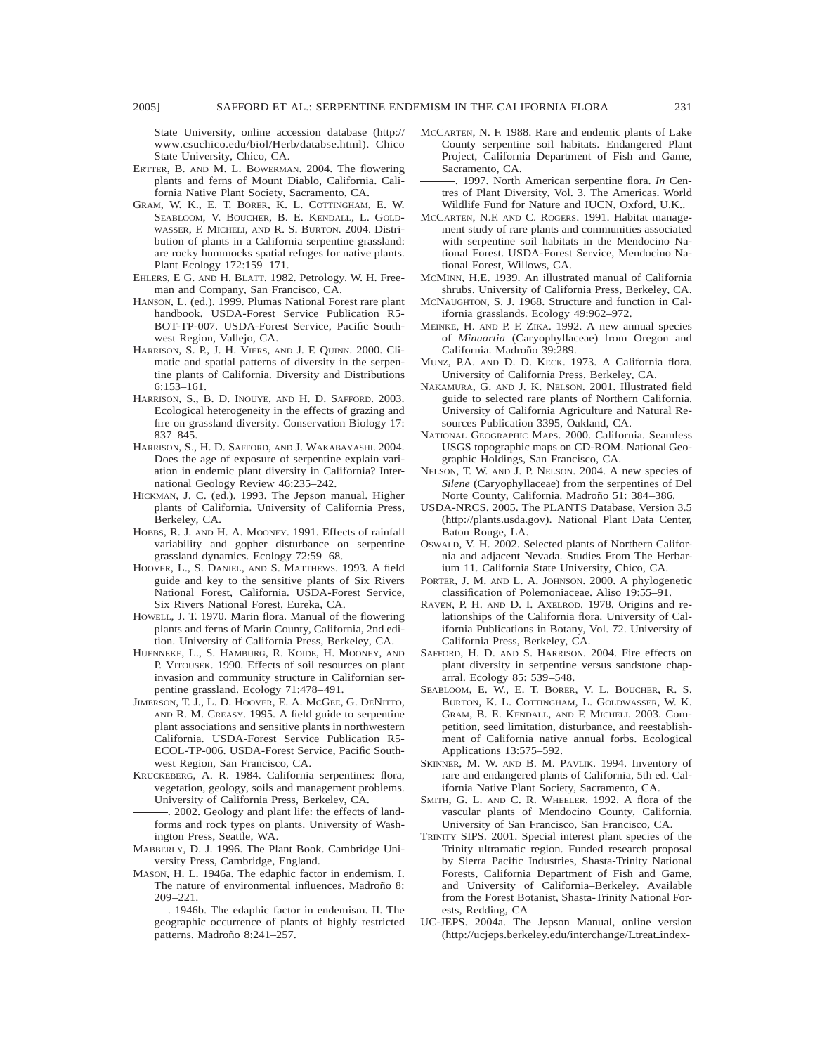State University, online accession database (http:// www.csuchico.edu/biol/Herb/databse.html). Chico State University, Chico, CA.

- ERTTER, B. AND M. L. BOWERMAN. 2004. The flowering plants and ferns of Mount Diablo, California. California Native Plant Society, Sacramento, CA.
- GRAM, W. K., E. T. BORER, K. L. COTTINGHAM, E. W. SEABLOOM, V. BOUCHER, B. E. KENDALL, L. GOLD-WASSER, F. MICHELI, AND R. S. BURTON. 2004. Distribution of plants in a California serpentine grassland: are rocky hummocks spatial refuges for native plants. Plant Ecology 172:159–171.
- EHLERS, E G. AND H. BLATT. 1982. Petrology. W. H. Freeman and Company, San Francisco, CA.
- HANSON, L. (ed.). 1999. Plumas National Forest rare plant handbook. USDA-Forest Service Publication R5- BOT-TP-007. USDA-Forest Service, Pacific Southwest Region, Vallejo, CA.
- HARRISON, S. P., J. H. VIERS, AND J. F. QUINN. 2000. Climatic and spatial patterns of diversity in the serpentine plants of California. Diversity and Distributions 6:153–161.
- HARRISON, S., B. D. INOUYE, AND H. D. SAFFORD. 2003. Ecological heterogeneity in the effects of grazing and fire on grassland diversity. Conservation Biology 17: 837–845.
- HARRISON, S., H. D. SAFFORD, AND J. WAKABAYASHI. 2004. Does the age of exposure of serpentine explain variation in endemic plant diversity in California? International Geology Review 46:235–242.
- HICKMAN, J. C. (ed.). 1993. The Jepson manual. Higher plants of California. University of California Press, Berkeley, CA.
- HOBBS, R. J. AND H. A. MOONEY. 1991. Effects of rainfall variability and gopher disturbance on serpentine grassland dynamics. Ecology 72:59–68.
- HOOVER, L., S. DANIEL, AND S. MATTHEWS. 1993. A field guide and key to the sensitive plants of Six Rivers National Forest, California. USDA-Forest Service, Six Rivers National Forest, Eureka, CA.
- HOWELL, J. T. 1970. Marin flora. Manual of the flowering plants and ferns of Marin County, California, 2nd edition. University of California Press, Berkeley, CA.
- HUENNEKE, L., S. HAMBURG, R. KOIDE, H. MOONEY, AND P. VITOUSEK. 1990. Effects of soil resources on plant invasion and community structure in Californian serpentine grassland. Ecology 71:478–491.
- JIMERSON, T. J., L. D. HOOVER, E. A. MCGEE, G. DENITTO, AND R. M. CREASY. 1995. A field guide to serpentine plant associations and sensitive plants in northwestern California. USDA-Forest Service Publication R5- ECOL-TP-006. USDA-Forest Service, Pacific Southwest Region, San Francisco, CA.
- KRUCKEBERG, A. R. 1984. California serpentines: flora, vegetation, geology, soils and management problems. University of California Press, Berkeley, CA.
- . 2002. Geology and plant life: the effects of landforms and rock types on plants. University of Washington Press, Seattle, WA.
- MABBERLY, D. J. 1996. The Plant Book. Cambridge University Press, Cambridge, England.
- MASON, H. L. 1946a. The edaphic factor in endemism. I. The nature of environmental influences. Madroño 8: 209–221.
	- . 1946b. The edaphic factor in endemism. II. The geographic occurrence of plants of highly restricted patterns. Madroño 8:241-257.
- MCCARTEN, N. F. 1988. Rare and endemic plants of Lake County serpentine soil habitats. Endangered Plant Project, California Department of Fish and Game, Sacramento, CA.
- . 1997. North American serpentine flora. *In* Centres of Plant Diversity, Vol. 3. The Americas. World Wildlife Fund for Nature and IUCN, Oxford, U.K..
- MCCARTEN, N.F. AND C. ROGERS. 1991. Habitat management study of rare plants and communities associated with serpentine soil habitats in the Mendocino National Forest. USDA-Forest Service, Mendocino National Forest, Willows, CA.
- MCMINN, H.E. 1939. An illustrated manual of California shrubs. University of California Press, Berkeley, CA.
- MCNAUGHTON, S. J. 1968. Structure and function in California grasslands. Ecology 49:962–972.
- MEINKE, H. AND P. F. ZIKA. 1992. A new annual species of *Minuartia* (Caryophyllaceae) from Oregon and California. Madroño 39:289.
- MUNZ, P.A. AND D. D. KECK. 1973. A California flora. University of California Press, Berkeley, CA.
- NAKAMURA, G. AND J. K. NELSON. 2001. Illustrated field guide to selected rare plants of Northern California. University of California Agriculture and Natural Resources Publication 3395, Oakland, CA.
- NATIONAL GEOGRAPHIC MAPS. 2000. California. Seamless USGS topographic maps on CD-ROM. National Geographic Holdings, San Francisco, CA.
- NELSON, T. W. AND J. P. NELSON. 2004. A new species of *Silene* (Caryophyllaceae) from the serpentines of Del Norte County, California. Madroño 51: 384-386.
- USDA-NRCS. 2005. The PLANTS Database, Version 3.5 (http://plants.usda.gov). National Plant Data Center, Baton Rouge, LA.
- OSWALD, V. H. 2002. Selected plants of Northern California and adjacent Nevada. Studies From The Herbarium 11. California State University, Chico, CA.
- PORTER, J. M. AND L. A. JOHNSON. 2000. A phylogenetic classification of Polemoniaceae. Aliso 19:55–91.
- RAVEN, P. H. AND D. I. AXELROD. 1978. Origins and relationships of the California flora. University of California Publications in Botany, Vol. 72. University of California Press, Berkeley, CA.
- SAFFORD, H. D. AND S. HARRISON. 2004. Fire effects on plant diversity in serpentine versus sandstone chaparral. Ecology 85: 539–548.
- SEABLOOM, E. W., E. T. BORER, V. L. BOUCHER, R. S. BURTON, K. L. COTTINGHAM, L. GOLDWASSER, W. K. GRAM, B. E. KENDALL, AND F. MICHELI. 2003. Competition, seed limitation, disturbance, and reestablishment of California native annual forbs. Ecological Applications 13:575–592.
- SKINNER, M. W. AND B. M. PAVLIK. 1994. Inventory of rare and endangered plants of California, 5th ed. California Native Plant Society, Sacramento, CA.
- SMITH, G. L. AND C. R. WHEELER. 1992. A flora of the vascular plants of Mendocino County, California. University of San Francisco, San Francisco, CA.
- TRINITY SIPS. 2001. Special interest plant species of the Trinity ultramafic region. Funded research proposal by Sierra Pacific Industries, Shasta-Trinity National Forests, California Department of Fish and Game, and University of California–Berkeley. Available from the Forest Botanist, Shasta-Trinity National Forests, Redding, CA
- UC-JEPS. 2004a. The Jepson Manual, online version (http://ucjeps.berkeley.edu/interchange/Ltreat\_index-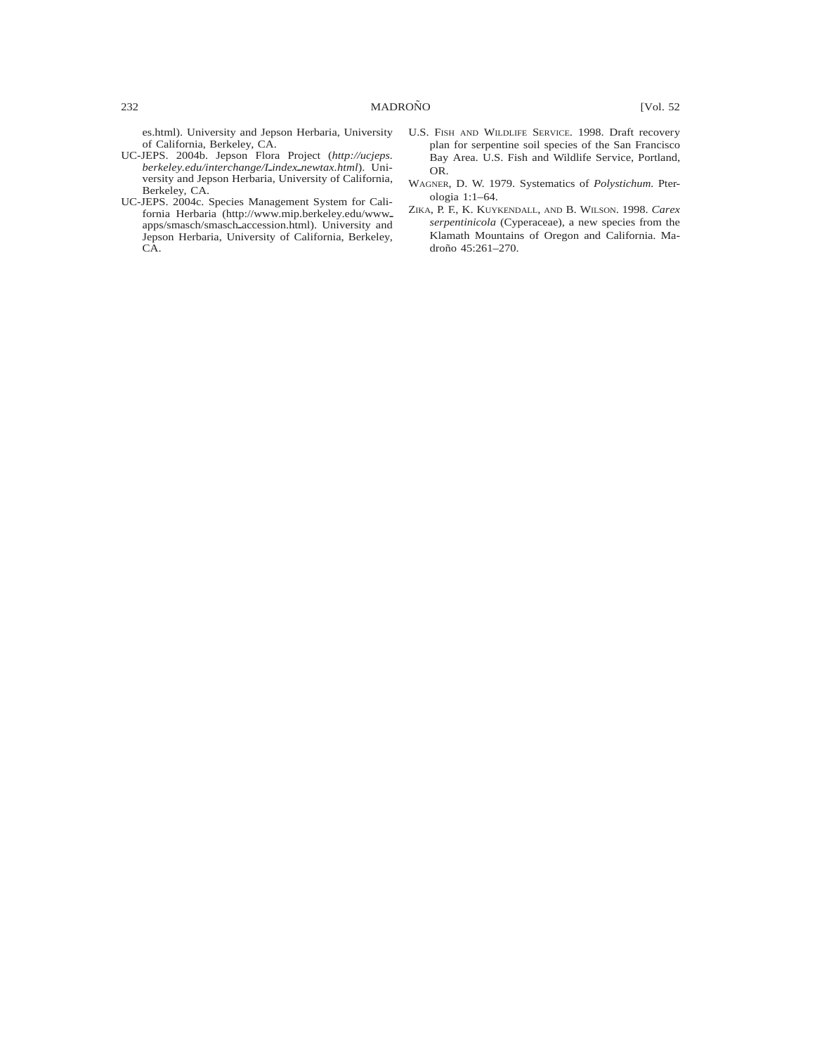es.html). University and Jepson Herbaria, University of California, Berkeley, CA.

- UC-JEPS. 2004b. Jepson Flora Project (*http://ucjeps.*  $berkeley.edu/interchange/Lindex_newtax.html$ . University and Jepson Herbaria, University of California, Berkeley, CA.
- UC-JEPS. 2004c. Species Management System for California Herbaria (http://www.mip.berkeley.edu/www\_ apps/smasch/smasch\_accession.html). University and Jepson Herbaria, University of California, Berkeley, CA.
- U.S. FISH AND WILDLIFE SERVICE. 1998. Draft recovery plan for serpentine soil species of the San Francisco Bay Area. U.S. Fish and Wildlife Service, Portland, OR.
- WAGNER, D. W. 1979. Systematics of *Polystichum.* Pterologia 1:1–64.
- ZIKA, P. F., K. KUYKENDALL, AND B. WILSON. 1998. *Carex serpentinicola* (Cyperaceae), a new species from the Klamath Mountains of Oregon and California. Madroño 45:261-270.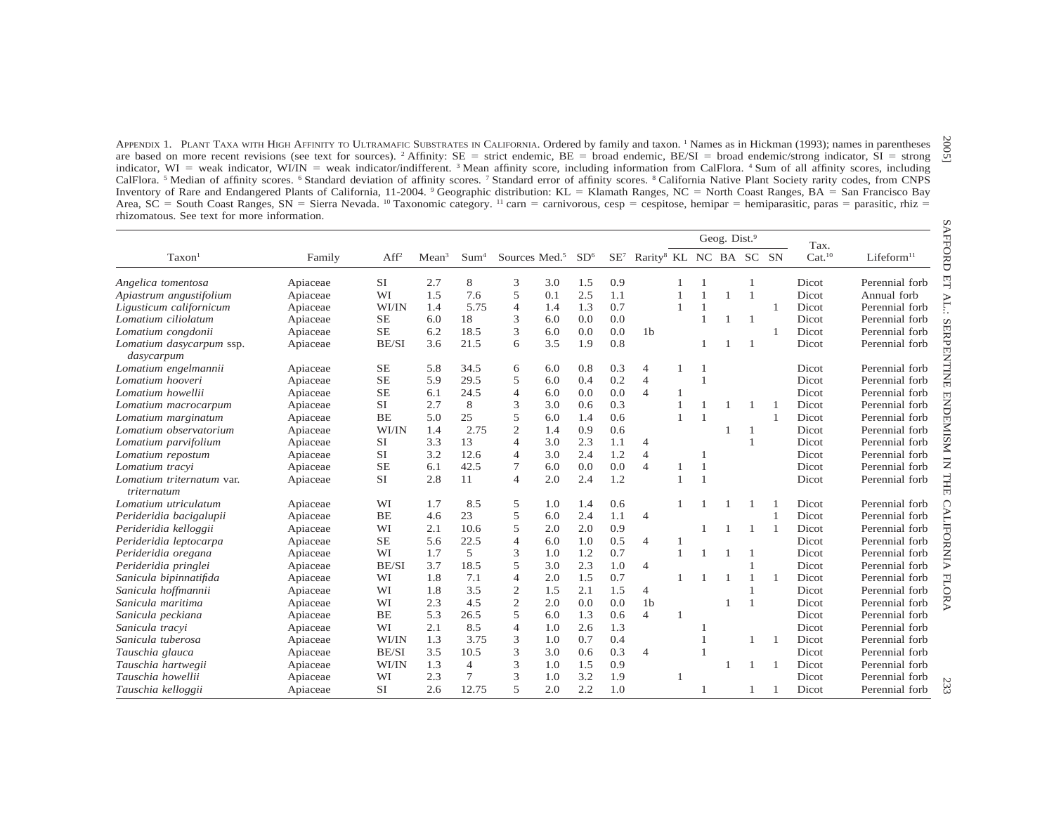| indicator, WI = weak indicator, WI/IN = weak indicator/indifferent. 3 Mean affinity score, including information from CalFlora. 4 Sum of all affinity scores, including<br>CalFlora. <sup>5</sup> Median of affinity scores. <sup>6</sup> Standard deviation of affinity scores. <sup>7</sup> Standard error of affinity scores. <sup>8</sup> California Native Plant Society rarity codes, from CNPS<br>Inventory of Rare and Endangered Plants of California, 11-2004. <sup>9</sup> Geographic distribution: KL = Klamath Ranges, NC = North Coast Ranges, BA = San Francisco Bay<br>Area, SC = South Coast Ranges, SN = Sierra Nevada. <sup>10</sup> Taxonomic category. <sup>11</sup> carn = carnivorous, cesp = cespitose, hemipar = hemiparasitic, paras = parasitic, rhiz = |          |                  |                   |                  |                           |     |                 |     |                                                    |              |                |                          |                |                |                            |                        |
|------------------------------------------------------------------------------------------------------------------------------------------------------------------------------------------------------------------------------------------------------------------------------------------------------------------------------------------------------------------------------------------------------------------------------------------------------------------------------------------------------------------------------------------------------------------------------------------------------------------------------------------------------------------------------------------------------------------------------------------------------------------------------------|----------|------------------|-------------------|------------------|---------------------------|-----|-----------------|-----|----------------------------------------------------|--------------|----------------|--------------------------|----------------|----------------|----------------------------|------------------------|
| rhizomatous. See text for more information.                                                                                                                                                                                                                                                                                                                                                                                                                                                                                                                                                                                                                                                                                                                                        |          |                  |                   |                  |                           |     |                 |     |                                                    |              |                | Geog. Dist. <sup>9</sup> |                |                |                            |                        |
| Taxon <sup>1</sup>                                                                                                                                                                                                                                                                                                                                                                                                                                                                                                                                                                                                                                                                                                                                                                 | Family   | Aff <sup>2</sup> | Mean <sup>3</sup> | Sum <sup>4</sup> | Sources Med. <sup>5</sup> |     | SD <sup>6</sup> |     | SE <sup>7</sup> Rarity <sup>8</sup> KL NC BA SC SN |              |                |                          |                |                | Tax.<br>Cat. <sup>10</sup> | Lifeform <sup>11</sup> |
| Angelica tomentosa                                                                                                                                                                                                                                                                                                                                                                                                                                                                                                                                                                                                                                                                                                                                                                 | Apiaceae | SI               | 2.7               | 8                | 3                         | 3.0 | 1.5             | 0.9 |                                                    |              |                |                          |                |                | Dicot                      | Perennial forb         |
| Apiastrum angustifolium                                                                                                                                                                                                                                                                                                                                                                                                                                                                                                                                                                                                                                                                                                                                                            | Apiaceae | WI               | 1.5               | 7.6              | 5                         | 0.1 | 2.5             | 1.1 |                                                    | $\mathbf{1}$ |                |                          | $\overline{1}$ |                | Dicot                      | Annual forb            |
| Ligusticum californicum                                                                                                                                                                                                                                                                                                                                                                                                                                                                                                                                                                                                                                                                                                                                                            | Apiaceae | WI/IN            | 1.4               | 5.75             | $\overline{4}$            | 1.4 | 1.3             | 0.7 |                                                    | $\mathbf{1}$ |                |                          |                | $\mathbf{1}$   | Dicot                      | Perennial forb         |
| Lomatium ciliolatum                                                                                                                                                                                                                                                                                                                                                                                                                                                                                                                                                                                                                                                                                                                                                                | Apiaceae | $\rm SE$         | 6.0               | 18               | 3                         | 6.0 | 0.0             | 0.0 |                                                    |              | $\mathbf{1}$   |                          |                |                | Dicot                      | Perennial forb         |
| Lomatium congdonii                                                                                                                                                                                                                                                                                                                                                                                                                                                                                                                                                                                                                                                                                                                                                                 | Apiaceae | $\rm SE$         | 6.2               | 18.5             | 3                         | 6.0 | 0.0             | 0.0 | 1 <sub>b</sub>                                     |              |                |                          |                | $\mathbf{1}$   | Dicot                      | Perennial forb         |
| Lomatium dasycarpum ssp.<br>dasycarpum                                                                                                                                                                                                                                                                                                                                                                                                                                                                                                                                                                                                                                                                                                                                             | Apiaceae | BE/SI            | 3.6               | 21.5             | 6                         | 3.5 | 1.9             | 0.8 |                                                    |              |                | 1                        | -1             |                | Dicot                      | Perennial forb         |
| Lomatium engelmannii                                                                                                                                                                                                                                                                                                                                                                                                                                                                                                                                                                                                                                                                                                                                                               | Apiaceae | $\rm SE$         | 5.8               | 34.5             | 6                         | 6.0 | 0.8             | 0.3 | 4                                                  | 1            | $\overline{1}$ |                          |                |                | Dicot                      | Perennial forb         |
| Lomatium hooveri                                                                                                                                                                                                                                                                                                                                                                                                                                                                                                                                                                                                                                                                                                                                                                   | Apiaceae | SE               | 5.9               | 29.5             | 5                         | 6.0 | 0.4             | 0.2 | $\overline{4}$                                     |              | $\overline{1}$ |                          |                |                | Dicot                      | Perennial forb         |
| Lomatium howellii                                                                                                                                                                                                                                                                                                                                                                                                                                                                                                                                                                                                                                                                                                                                                                  | Apiaceae | <b>SE</b>        | 6.1               | 24.5             | $\overline{4}$            | 6.0 | 0.0             | 0.0 | $\overline{4}$                                     | 1            |                |                          |                |                | Dicot                      | Perennial forb         |
| Lomatium macrocarpum                                                                                                                                                                                                                                                                                                                                                                                                                                                                                                                                                                                                                                                                                                                                                               | Apiaceae | SI               | 2.7               | 8                | 3                         | 3.0 | 0.6             | 0.3 |                                                    | 1            |                |                          |                | -1             | Dicot                      | Perennial forb         |
| Lomatium marginatum                                                                                                                                                                                                                                                                                                                                                                                                                                                                                                                                                                                                                                                                                                                                                                | Apiaceae | BE               | 5.0               | 25               | 5                         | 6.0 | 1.4             | 0.6 |                                                    | 1            |                |                          |                | $\mathbf{1}$   | Dicot                      | Perennial forb         |
| Lomatium observatorium                                                                                                                                                                                                                                                                                                                                                                                                                                                                                                                                                                                                                                                                                                                                                             | Apiaceae | WI/IN            | 1.4               | 2.75             | $\overline{2}$            | 1.4 | 0.9             | 0.6 |                                                    |              |                |                          | 1              |                | Dicot                      | Perennial forb         |
| Lomatium parvifolium                                                                                                                                                                                                                                                                                                                                                                                                                                                                                                                                                                                                                                                                                                                                                               | Apiaceae | <b>SI</b>        | 3.3               | 13               | $\overline{4}$            | 3.0 | 2.3             | 1.1 | $\overline{4}$                                     |              |                |                          | $\mathbf{1}$   |                | Dicot                      | Perennial forb         |
| Lomatium repostum                                                                                                                                                                                                                                                                                                                                                                                                                                                                                                                                                                                                                                                                                                                                                                  | Apiaceae | SI               | 3.2               | 12.6             | 4                         | 3.0 | 2.4             | 1.2 | $\overline{4}$                                     |              | $\overline{1}$ |                          |                |                | Dicot                      | Perennial forb         |
| Lomatium tracyi                                                                                                                                                                                                                                                                                                                                                                                                                                                                                                                                                                                                                                                                                                                                                                    | Apiaceae | $\rm SE$         | 6.1               | 42.5             | $\tau$                    | 6.0 | 0.0             | 0.0 | $\overline{4}$                                     | 1            | $\overline{1}$ |                          |                |                | Dicot                      | Perennial forb         |
| Lomatium triternatum var.<br>triternatum                                                                                                                                                                                                                                                                                                                                                                                                                                                                                                                                                                                                                                                                                                                                           | Apiaceae | <b>SI</b>        | 2.8               | 11               | $\overline{4}$            | 2.0 | 2.4             | 1.2 |                                                    | 1            | $\overline{1}$ |                          |                |                | Dicot                      | Perennial forb         |
| Lomatium utriculatum                                                                                                                                                                                                                                                                                                                                                                                                                                                                                                                                                                                                                                                                                                                                                               | Apiaceae | WI               | 1.7               | 8.5              | 5                         | 1.0 | 1.4             | 0.6 |                                                    |              |                |                          |                |                | Dicot                      | Perennial forb         |
| Perideridia bacigalupii                                                                                                                                                                                                                                                                                                                                                                                                                                                                                                                                                                                                                                                                                                                                                            | Apiaceae | <b>BE</b>        | 4.6               | 23               | 5                         | 6.0 | 2.4             | 1.1 | $\overline{4}$                                     |              |                |                          |                | 1              | Dicot                      | Perennial forb         |
| Perideridia kelloggii                                                                                                                                                                                                                                                                                                                                                                                                                                                                                                                                                                                                                                                                                                                                                              | Apiaceae | WI               | 2.1               | 10.6             | 5                         | 2.0 | 2.0             | 0.9 |                                                    |              | $\mathbf{1}$   | $\mathbf{1}$             | -1             | $\mathbf{1}$   | Dicot                      | Perennial forb         |
| Perideridia leptocarpa                                                                                                                                                                                                                                                                                                                                                                                                                                                                                                                                                                                                                                                                                                                                                             | Apiaceae | $\rm SE$         | 5.6               | 22.5             | $\overline{4}$            | 6.0 | 1.0             | 0.5 | $\overline{4}$                                     | $\mathbf{1}$ |                |                          |                |                | Dicot                      | Perennial forb         |
| Perideridia oregana                                                                                                                                                                                                                                                                                                                                                                                                                                                                                                                                                                                                                                                                                                                                                                | Apiaceae | WI               | 1.7               | 5                | 3                         | 1.0 | 1.2             | 0.7 |                                                    | $\mathbf{1}$ |                | 1                        |                |                | Dicot                      | Perennial forb         |
| Perideridia pringlei                                                                                                                                                                                                                                                                                                                                                                                                                                                                                                                                                                                                                                                                                                                                                               | Apiaceae | BE/SI            | 3.7               | 18.5             | 5                         | 3.0 | 2.3             | 1.0 | $\overline{4}$                                     |              |                |                          |                |                | Dicot                      | Perennial forb         |
| Sanicula bipinnatifida                                                                                                                                                                                                                                                                                                                                                                                                                                                                                                                                                                                                                                                                                                                                                             | Apiaceae | WI               | 1.8               | 7.1              | $\overline{4}$            | 2.0 | 1.5             | 0.7 |                                                    |              |                | -1                       | $\mathbf{1}$   | $\mathbf{1}$   | Dicot                      | Perennial forb         |
| Sanicula hoffmannii                                                                                                                                                                                                                                                                                                                                                                                                                                                                                                                                                                                                                                                                                                                                                                | Apiaceae | WI               | 1.8               | 3.5              | $\mathfrak{2}$            | 1.5 | 2.1             | 1.5 | $\overline{4}$                                     |              |                |                          |                |                | Dicot                      | Perennial forb         |
| Sanicula maritima                                                                                                                                                                                                                                                                                                                                                                                                                                                                                                                                                                                                                                                                                                                                                                  | Apiaceae | WI               | 2.3               | 4.5              | $\sqrt{2}$                | 2.0 | 0.0             | 0.0 | 1 <sub>b</sub>                                     |              |                | 1                        | $\mathbf{1}$   |                | Dicot                      | Perennial forb         |
| Sanicula peckiana                                                                                                                                                                                                                                                                                                                                                                                                                                                                                                                                                                                                                                                                                                                                                                  | Apiaceae | <b>BE</b>        | 5.3               | 26.5             | 5                         | 6.0 | 1.3             | 0.6 | $\overline{4}$                                     | 1            |                |                          |                |                | Dicot                      | Perennial forb         |
| Sanicula tracvi                                                                                                                                                                                                                                                                                                                                                                                                                                                                                                                                                                                                                                                                                                                                                                    | Apiaceae | WI               | 2.1               | 8.5              | $\overline{4}$            | 1.0 | 2.6             | 1.3 |                                                    |              |                |                          |                |                | Dicot                      | Perennial forb         |
| Sanicula tuberosa                                                                                                                                                                                                                                                                                                                                                                                                                                                                                                                                                                                                                                                                                                                                                                  | Apiaceae | WI/IN            | 1.3               | 3.75             | 3                         | 1.0 | 0.7             | 0.4 |                                                    |              |                |                          |                | $\overline{1}$ | Dicot                      | Perennial forb         |
| Tauschia glauca                                                                                                                                                                                                                                                                                                                                                                                                                                                                                                                                                                                                                                                                                                                                                                    | Apiaceae | BE/SI            | 3.5               | 10.5             | 3                         | 3.0 | 0.6             | 0.3 | $\overline{4}$                                     |              |                |                          |                |                | Dicot                      | Perennial forb         |
| Tauschia hartwegii                                                                                                                                                                                                                                                                                                                                                                                                                                                                                                                                                                                                                                                                                                                                                                 | Apiaceae | WI/IN            | 1.3               | $\overline{4}$   | 3                         | 1.0 | 1.5             | 0.9 |                                                    |              |                |                          | 1              | $\overline{1}$ | Dicot                      | Perennial forb         |
| Tauschia howellii                                                                                                                                                                                                                                                                                                                                                                                                                                                                                                                                                                                                                                                                                                                                                                  | Apiaceae | WI               | 2.3               | $\tau$           | 3                         | 1.0 | 3.2             | 1.9 |                                                    | $\mathbf{1}$ |                |                          |                |                | Dicot                      | Perennial forb         |
| Tauschia kelloggii                                                                                                                                                                                                                                                                                                                                                                                                                                                                                                                                                                                                                                                                                                                                                                 | Apiaceae | SI               | 2.6               | 12.75            | 5                         | 2.0 | 2.2             | 1.0 |                                                    |              | $\mathbf{1}$   |                          | $\mathbf{1}$   | 1              | Dicot                      | Perennial forb         |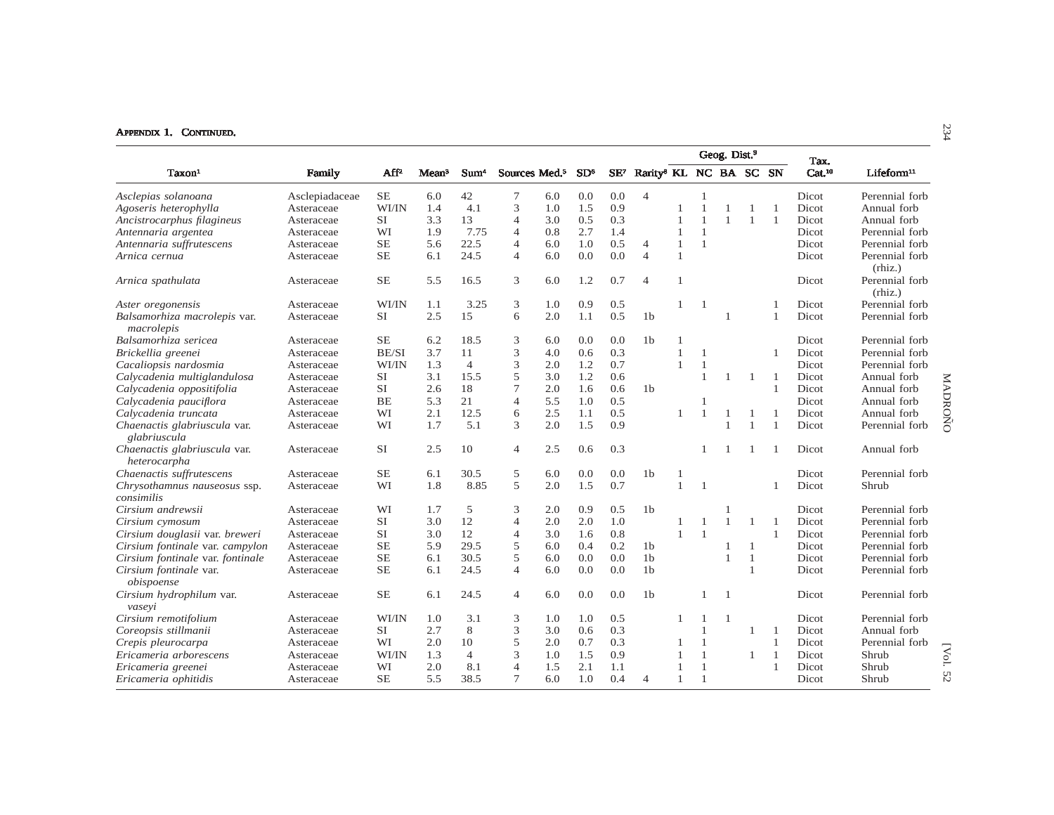|                                              |                |                  |                   |                  |                           |     |                 |        |                                    |              |              | Geog. Dist. <sup>9</sup> |                |                |                            |                           |          |
|----------------------------------------------|----------------|------------------|-------------------|------------------|---------------------------|-----|-----------------|--------|------------------------------------|--------------|--------------|--------------------------|----------------|----------------|----------------------------|---------------------------|----------|
| Taxon <sup>1</sup>                           | Family         | Aff <sup>2</sup> | Mean <sup>3</sup> | Sum <sup>4</sup> | Sources Med. <sup>5</sup> |     | SD <sup>6</sup> | $SE^7$ | Rarity <sup>8</sup> KL NC BA SC SN |              |              |                          |                |                | Tax.<br>Cat. <sup>10</sup> | $L$ ifeform $^{11}$       |          |
| Asclepias solanoana                          | Asclepiadaceae | $\rm SE$         | 6.0               | 42               | 7                         | 6.0 | 0.0             | 0.0    | $\overline{4}$                     |              | 1            |                          |                |                | Dicot                      | Perennial forb            |          |
| Agoseris heterophylla                        | Asteraceae     | WI/IN            | 1.4               | 4.1              | 3                         | 1.0 | 1.5             | 0.9    |                                    |              | 1            | $\mathbf{1}$             | -1             | $\overline{1}$ | Dicot                      | Annual forb               |          |
| Ancistrocarphus filagineus                   | Asteraceae     | <b>SI</b>        | 3.3               | 13               | 4                         | 3.0 | 0.5             | 0.3    |                                    |              | 1            | $\mathbf{1}$             | -1             |                | Dicot                      | Annual forb               |          |
| Antennaria argentea                          | Asteraceae     | WI               | 1.9               | 7.75             | $\overline{4}$            | 0.8 | 2.7             | 1.4    |                                    |              | $\mathbf{1}$ |                          |                |                | Dicot                      | Perennial forb            |          |
| Antennaria suffrutescens                     | Asteraceae     | <b>SE</b>        | 5.6               | 22.5             | 4                         | 6.0 | 1.0             | 0.5    | $\overline{4}$                     | 1            | $\mathbf{1}$ |                          |                |                | Dicot                      | Perennial forb            |          |
| Arnica cernua                                | Asteraceae     | <b>SE</b>        | 6.1               | 24.5             | $\overline{4}$            | 6.0 | 0.0             | 0.0    | $\overline{4}$                     | $\mathbf{1}$ |              |                          |                |                | Dicot                      | Perennial forb<br>(rhiz.) |          |
| Arnica spathulata                            | Asteraceae     | <b>SE</b>        | 5.5               | 16.5             | 3                         | 6.0 | 1.2             | 0.7    | $\overline{4}$                     | $\mathbf{1}$ |              |                          |                |                | Dicot                      | Perennial forb<br>(rhiz.) |          |
| Aster oregonensis                            | Asteraceae     | WI/IN            | 1.1               | 3.25             | 3                         | 1.0 | 0.9             | 0.5    |                                    | $\mathbf{1}$ | $\mathbf{1}$ |                          |                |                | Dicot                      | Perennial forb            |          |
| Balsamorhiza macrolepis var.<br>macrolepis   | Asteraceae     | SI               | 2.5               | 15               | 6                         | 2.0 | 1.1             | 0.5    | 1 <sub>b</sub>                     |              |              | -1                       |                |                | Dicot                      | Perennial forb            |          |
| Balsamorhiza sericea                         | Asteraceae     | <b>SE</b>        | 6.2               | 18.5             | 3                         | 6.0 | 0.0             | 0.0    | 1 <sub>b</sub>                     |              |              |                          |                |                | Dicot                      | Perennial forb            |          |
| Brickellia greenei                           | Asteraceae     | BE/SI            | 3.7               | 11               | 3                         | 4.0 | 0.6             | 0.3    |                                    | $\mathbf{1}$ | -1           |                          |                |                | Dicot                      | Perennial forb            |          |
| Cacaliopsis nardosmia                        | Asteraceae     | WI/IN            | 1.3               | $\overline{4}$   | 3                         | 2.0 | 1.2             | 0.7    |                                    | $\mathbf{1}$ | $\mathbf{1}$ |                          |                |                | Dicot                      | Perennial forb            |          |
| Calycadenia multiglandulosa                  | Asteraceae     | <b>SI</b>        | 3.1               | 15.5             | 5                         | 3.0 | 1.2             | 0.6    |                                    |              | $\mathbf{1}$ | -1                       | -1             |                | Dicot                      | Annual forb               |          |
| Calycadenia oppositifolia                    | Asteraceae     | <b>SI</b>        | 2.6               | 18               | $\overline{7}$            | 2.0 | 1.6             | 0.6    | 1 <sub>b</sub>                     |              |              |                          |                |                | Dicot                      | Annual forb               |          |
| Calycadenia pauciflora                       | Asteraceae     | BE               | 5.3               | 21               | $\overline{4}$            | 5.5 | 1.0             | 0.5    |                                    |              |              |                          |                |                | Dicot                      | Annual forb               |          |
| Calycadenia truncata                         | Asteraceae     | WI               | 2.1               | 12.5             | 6                         | 2.5 | 1.1             | 0.5    |                                    |              | $\mathbf{1}$ | $\mathbf{1}$             | -1             |                | Dicot                      | Annual forb               |          |
| Chaenactis glabriuscula var.<br>glabriuscula | Asteraceae     | WI               | 1.7               | 5.1              | 3                         | 2.0 | 1.5             | 0.9    |                                    |              |              | $\mathbf{1}$             | $\mathbf{1}$   | $\overline{1}$ | Dicot                      | Perennial forb            | MADROÑO  |
| Chaenactis glabriuscula var.<br>heterocarpha | Asteraceae     | <b>SI</b>        | 2.5               | 10               | $\overline{4}$            | 2.5 | 0.6             | 0.3    |                                    |              |              |                          |                |                | Dicot                      | Annual forb               |          |
| Chaenactis suffrutescens                     | Asteraceae     | <b>SE</b>        | 6.1               | 30.5             | 5                         | 6.0 | 0.0             | 0.0    | 1 <sub>b</sub>                     |              |              |                          |                |                | Dicot                      | Perennial forb            |          |
| Chrysothamnus nauseosus ssp.<br>consimilis   | Asteraceae     | WI               | 1.8               | 8.85             | 5                         | 2.0 | 1.5             | 0.7    |                                    | $\mathbf{1}$ | $\mathbf{1}$ |                          |                |                | Dicot                      | Shrub                     |          |
| Cirsium andrewsii                            | Asteraceae     | WI               | 1.7               | 5                | 3                         | 2.0 | 0.9             | 0.5    | 1 <sub>b</sub>                     |              |              |                          |                |                | Dicot                      | Perennial forb            |          |
| Cirsium cymosum                              | Asteraceae     | <b>SI</b>        | 3.0               | 12               | $\overline{4}$            | 2.0 | 2.0             | 1.0    |                                    |              | -1           | $\mathbf{1}$             | $\overline{1}$ |                | Dicot                      | Perennial forb            |          |
| Cirsium douglasii var. breweri               | Asteraceae     | <b>SI</b>        | 3.0               | 12               | $\overline{4}$            | 3.0 | 1.6             | 0.8    |                                    | $\mathbf{1}$ | $\mathbf{1}$ |                          |                | $\overline{1}$ | Dicot                      | Perennial forb            |          |
| Cirsium fontinale var. campylon              | Asteraceae     | <b>SE</b>        | 5.9               | 29.5             | 5                         | 6.0 | 0.4             | 0.2    | 1 <sub>b</sub>                     |              |              | 1                        | $\overline{1}$ |                | Dicot                      | Perennial forb            |          |
| Cirsium fontinale var. fontinale             | Asteraceae     | <b>SE</b>        | 6.1               | 30.5             | 5                         | 6.0 | 0.0             | 0.0    | 1 <sub>b</sub>                     |              |              | -1                       | $\overline{1}$ |                | Dicot                      | Perennial forb            |          |
| Cirsium fontinale var.<br>obispoense         | Asteraceae     | <b>SE</b>        | 6.1               | 24.5             | $\overline{4}$            | 6.0 | 0.0             | 0.0    | 1 <sub>b</sub>                     |              |              |                          | $\mathbf{1}$   |                | Dicot                      | Perennial forb            |          |
| Cirsium hydrophilum var.<br>vaseyi           | Asteraceae     | <b>SE</b>        | 6.1               | 24.5             | $\overline{4}$            | 6.0 | 0.0             | 0.0    | 1 <sub>b</sub>                     |              | 1            | $\overline{1}$           |                |                | Dicot                      | Perennial forb            |          |
| Cirsium remotifolium                         | Asteraceae     | WI/IN            | 1.0               | 3.1              | 3                         | 1.0 | 1.0             | 0.5    |                                    |              |              | $\mathbf{1}$             |                |                | <b>Dicot</b>               | Perennial forb            |          |
| Coreopsis stillmanii                         | Asteraceae     | <b>SI</b>        | 2.7               | 8                | 3                         | 3.0 | 0.6             | 0.3    |                                    |              | $\mathbf{1}$ |                          | 1              | -1             | Dicot                      | Annual forb               |          |
| Crepis pleurocarpa                           | Asteraceae     | WI               | 2.0               | 10               | 5                         | 2.0 | 0.7             | 0.3    |                                    |              | 1            |                          |                | $\overline{1}$ | Dicot                      | Perennial forb            |          |
| Ericameria arborescens                       | Asteraceae     | WI/IN            | 1.3               | $\overline{4}$   | 3                         | 1.0 | 1.5             | 0.9    |                                    |              | 1            |                          | 1              | $\overline{1}$ | Dicot                      | Shrub                     | [Vol.    |
| Ericameria greenei                           | Asteraceae     | WI               | 2.0               | 8.1              | $\overline{4}$            | 1.5 | 2.1             | 1.1    |                                    |              | $\mathbf{1}$ |                          |                |                | Dicot                      | Shrub                     | $\sigma$ |
| Ericameria ophitidis                         | Asteraceae     | <b>SE</b>        | 5.5               | 38.5             | 7                         | 6.0 | 1.0             | 0.4    | $\overline{4}$                     | $\mathbf{1}$ | $\mathbf{1}$ |                          |                |                | Dicot                      | Shrub                     | Ñ        |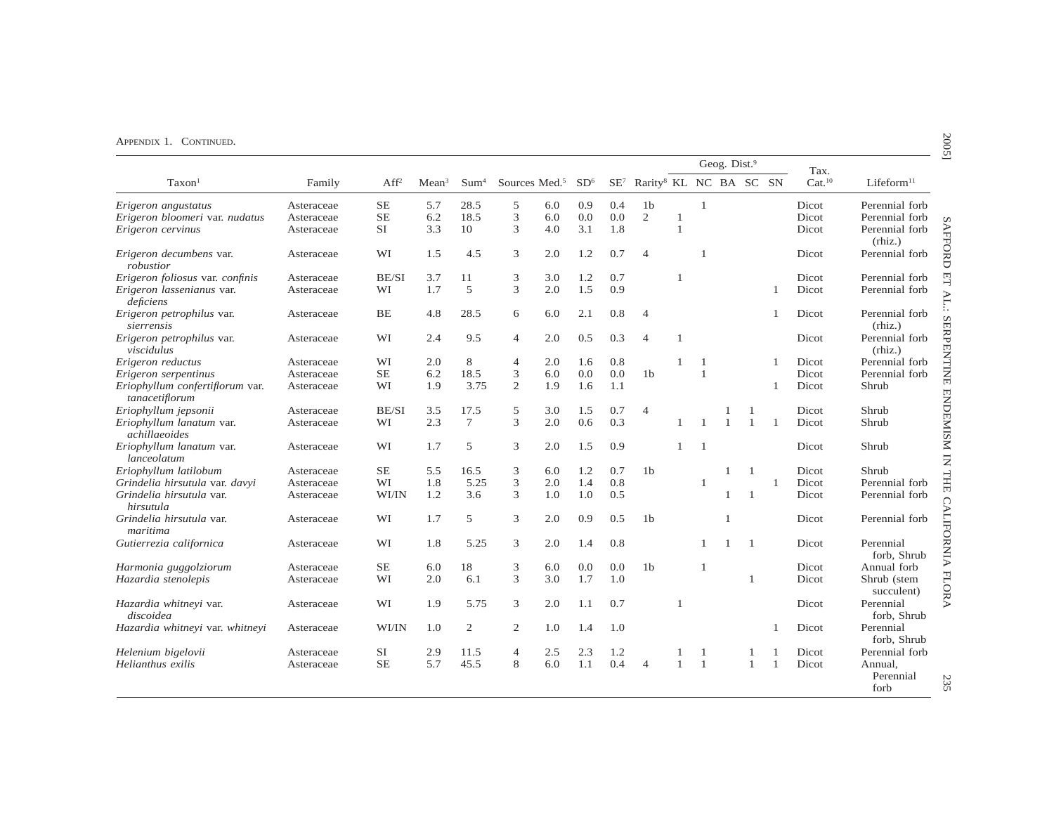|                                                   |            |                  |                   |                  |                           |     |                 |                 |                                    |              |                | Geog. Dist. <sup>9</sup> |              |              | Tax.               |                              |
|---------------------------------------------------|------------|------------------|-------------------|------------------|---------------------------|-----|-----------------|-----------------|------------------------------------|--------------|----------------|--------------------------|--------------|--------------|--------------------|------------------------------|
| Taxon <sup>1</sup>                                | Family     | Aff <sup>2</sup> | Mean <sup>3</sup> | Sum <sup>4</sup> | Sources Med. <sup>5</sup> |     | SD <sup>6</sup> | SE <sup>7</sup> | Rarity <sup>8</sup> KL NC BA SC SN |              |                |                          |              |              | Cat. <sup>10</sup> | Lifeform <sup>11</sup>       |
| Erigeron angustatus                               | Asteraceae | $SE$             | 5.7               | 28.5             | 5                         | 6.0 | 0.9             | 0.4             | 1 <sub>b</sub>                     |              | $\overline{1}$ |                          |              |              | Dicot              | Perennial forb               |
| Erigeron bloomeri var. nudatus                    | Asteraceae | <b>SE</b>        | 6.2               | 18.5             | 3                         | 6.0 | 0.0             | 0.0             | $\sqrt{2}$                         | 1            |                |                          |              |              | Dicot              | Perennial forb               |
| Erigeron cervinus                                 | Asteraceae | SI               | 3.3               | 10               | 3                         | 4.0 | 3.1             | 1.8             |                                    | $\mathbf{1}$ |                |                          |              |              | Dicot              | Perennial forb<br>(rhiz.)    |
| Erigeron decumbens var.<br>robustior              | Asteraceae | WI               | 1.5               | 4.5              | 3                         | 2.0 | 1.2             | 0.7             | $\overline{4}$                     |              | $\overline{1}$ |                          |              |              | Dicot              | Perennial forb               |
| Erigeron foliosus var. confinis                   | Asteraceae | BE/SI            | 3.7               | 11               | 3                         | 3.0 | 1.2             | 0.7             |                                    | $\mathbf{1}$ |                |                          |              |              | Dicot              | Perennial forb               |
| Erigeron lassenianus var.<br>deficiens            | Asteraceae | WI               | 1.7               | 5                | 3                         | 2.0 | 1.5             | 0.9             |                                    |              |                |                          |              | 1            | Dicot              | Perennial forb               |
| Erigeron petrophilus var.<br>sierrensis           | Asteraceae | BE               | 4.8               | 28.5             | 6                         | 6.0 | 2.1             | 0.8             | $\overline{4}$                     |              |                |                          |              | 1            | Dicot              | Perennial forb<br>(rhiz.)    |
| Erigeron petrophilus var.<br>viscidulus           | Asteraceae | WI               | 2.4               | 9.5              | $\overline{4}$            | 2.0 | 0.5             | 0.3             | $\overline{4}$                     | 1            |                |                          |              |              | Dicot              | Perennial forb<br>(rhiz.)    |
| Erigeron reductus                                 | Asteraceae | WI               | 2.0               | 8                | $\overline{4}$            | 2.0 | 1.6             | 0.8             |                                    | 1            | $\overline{1}$ |                          |              |              | Dicot              | Perennial forb               |
| Erigeron serpentinus                              | Asteraceae | <b>SE</b>        | 6.2               | 18.5             | 3                         | 6.0 | 0.0             | 0.0             | 1 <sub>b</sub>                     |              | $\overline{1}$ |                          |              |              | Dicot              | Perennial forb               |
| Eriophyllum confertiflorum var.<br>tanacetiflorum | Asteraceae | WI               | 1.9               | 3.75             | $\mathbf{2}$              | 1.9 | 1.6             | 1.1             |                                    |              |                |                          |              | $\mathbf{1}$ | Dicot              | Shrub                        |
| Eriophyllum jepsonii                              | Asteraceae | BE/SI            | 3.5               | 17.5             | 5                         | 3.0 | 1.5             | 0.7             | $\overline{4}$                     |              |                |                          |              |              | Dicot              | Shrub                        |
| Eriophyllum lanatum var.<br>achillaeoides         | Asteraceae | WI               | 2.3               | $\tau$           | 3                         | 2.0 | 0.6             | 0.3             |                                    | 1            | $\mathbf{1}$   | $\mathbf{1}$             | 1            | $\mathbf{1}$ | Dicot              | Shrub                        |
| Eriophyllum lanatum var.<br>lanceolatum           | Asteraceae | WI               | 1.7               | 5                | 3                         | 2.0 | 1.5             | 0.9             |                                    | $\mathbf{1}$ | $\overline{1}$ |                          |              |              | Dicot              | Shrub                        |
| Eriophyllum latilobum                             | Asteraceae | SЕ               | 5.5               | 16.5             | 3                         | 6.0 | 1.2             | 0.7             | 1 <sub>b</sub>                     |              |                |                          | -1           |              | Dicot              | Shrub                        |
| Grindelia hirsutula var. davyi                    | Asteraceae | WI               | 1.8               | 5.25             | 3                         | 2.0 | 1.4             | 0.8             |                                    |              | $\mathbf{1}$   |                          |              | 1            | Dicot              | Perennial forb               |
| Grindelia hirsutula var.<br>hirsutula             | Asteraceae | WI/IN            | 1.2               | 3.6              | 3                         | 1.0 | 1.0             | 0.5             |                                    |              |                | 1                        | -1           |              | Dicot              | Perennial forb               |
| Grindelia hirsutula var.<br>maritima              | Asteraceae | WI               | 1.7               | 5                | 3                         | 2.0 | 0.9             | 0.5             | 1 <sub>b</sub>                     |              |                | $\mathbf{1}$             |              |              | Dicot              | Perennial forb               |
| Gutierrezia californica                           | Asteraceae | WI               | 1.8               | 5.25             | 3                         | 2.0 | 1.4             | 0.8             |                                    |              | $\mathbf{1}$   | 1                        | -1           |              | Dicot              | Perennial<br>forb, Shrub     |
| Harmonia guggolziorum                             | Asteraceae | <b>SE</b>        | 6.0               | 18               | 3                         | 6.0 | 0.0             | 0.0             | 1 <sub>b</sub>                     |              | $\overline{1}$ |                          |              |              | Dicot              | Annual forb                  |
| Hazardia stenolepis                               | Asteraceae | WI               | 2.0               | 6.1              | 3                         | 3.0 | 1.7             | 1.0             |                                    |              |                |                          | 1            |              | Dicot              | Shrub (stem<br>succulent)    |
| Hazardia whitneyi var.<br>discoidea               | Asteraceae | WI               | 1.9               | 5.75             | 3                         | 2.0 | 1.1             | 0.7             |                                    | 1            |                |                          |              |              | Dicot              | Perennial<br>forb. Shrub     |
| Hazardia whitneyi var. whitneyi                   | Asteraceae | WI/IN            | 1.0               | $\overline{c}$   | $\mathbf{2}$              | 1.0 | 1.4             | 1.0             |                                    |              |                |                          |              |              | Dicot              | Perennial<br>forb. Shrub     |
| Helenium bigelovii                                | Asteraceae | SI               | 2.9               | 11.5             | $\overline{4}$            | 2.5 | 2.3             | 1.2             |                                    |              | -1             |                          |              |              | Dicot              | Perennial forb               |
| Helianthus exilis                                 | Asteraceae | <b>SE</b>        | 5.7               | 45.5             | 8                         | 6.0 | 1.1             | 0.4             | $\overline{4}$                     | 1            | $\mathbf{1}$   |                          | $\mathbf{1}$ | $\mathbf{1}$ | Dicot              | Annual,<br>Perennial<br>forb |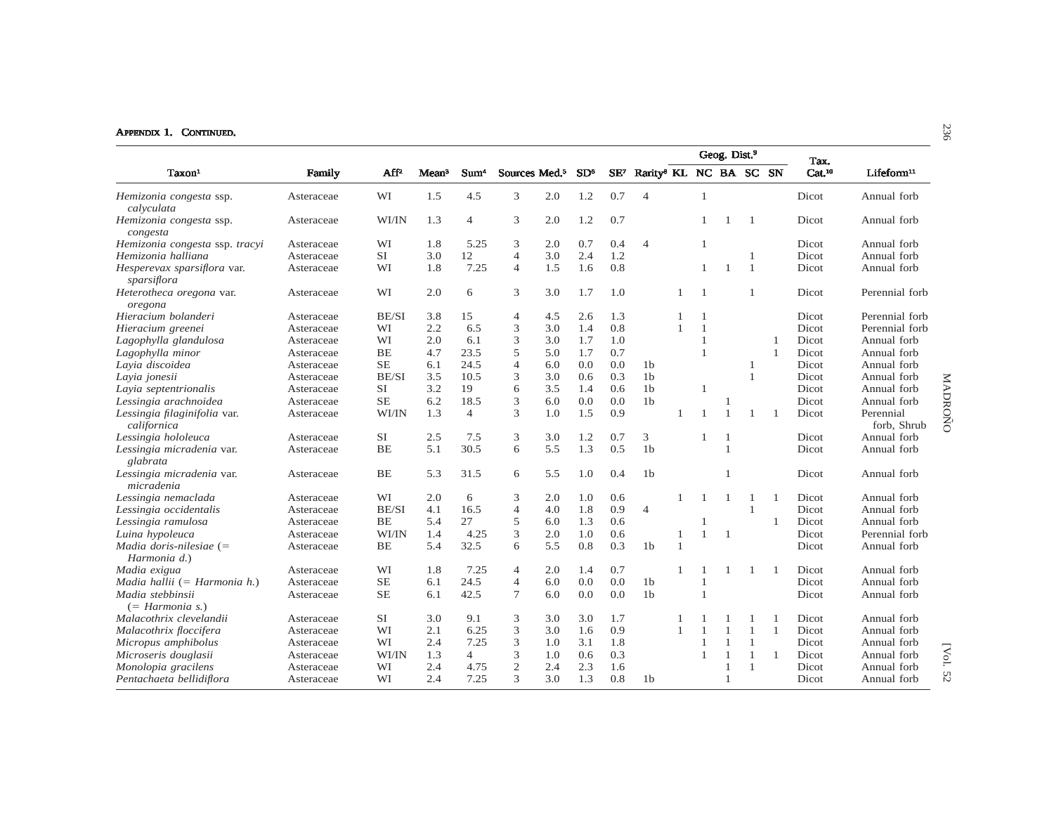|                                             |            |           |                   |                  |                           |     |                 |                 |                                    |                |                |                          |                |                |                            |                          | 96      |
|---------------------------------------------|------------|-----------|-------------------|------------------|---------------------------|-----|-----------------|-----------------|------------------------------------|----------------|----------------|--------------------------|----------------|----------------|----------------------------|--------------------------|---------|
| Taxon <sup>1</sup>                          | Family     | $AF^2$    | Mean <sup>3</sup> | Sum <sup>4</sup> | Sources Med. <sup>5</sup> |     | SD <sup>6</sup> | SE <sup>7</sup> | Rarity <sup>8</sup> KL NC BA SC SN |                |                | Geog. Dist. <sup>9</sup> |                |                | Tax.<br>Cat. <sup>10</sup> | Lifeform <sup>11</sup>   |         |
|                                             |            |           |                   |                  |                           |     |                 |                 |                                    |                |                |                          |                |                |                            |                          |         |
| Hemizonia congesta ssp.<br>calvculata       | Asteraceae | WI        | 1.5               | 4.5              | 3                         | 2.0 | 1.2             | 0.7             | $\overline{4}$                     |                | $\mathbf{1}$   |                          |                |                | Dicot                      | Annual forb              |         |
| Hemizonia congesta ssp.<br>congesta         | Asteraceae | WI/IN     | 1.3               | $\overline{4}$   | 3                         | 2.0 | 1.2             | 0.7             |                                    |                | $\mathbf{1}$   |                          | $\overline{1}$ |                | Dicot                      | Annual forb              |         |
| Hemizonia congesta ssp. tracyi              | Asteraceae | WI        | 1.8               | 5.25             | 3                         | 2.0 | 0.7             | 0.4             | $\overline{4}$                     |                | 1              |                          |                |                | Dicot                      | Annual forb              |         |
| Hemizonia halliana                          | Asteraceae | <b>SI</b> | 3.0               | 12               | $\overline{4}$            | 3.0 | 2.4             | 1.2             |                                    |                |                |                          | -1             |                | Dicot                      | Annual forb              |         |
| Hesperevax sparsiflora var.<br>sparsiflora  | Asteraceae | WI        | 1.8               | 7.25             | $\overline{4}$            | 1.5 | 1.6             | 0.8             |                                    |                | $\mathbf{1}$   |                          | $\mathbf{1}$   |                | Dicot                      | Annual forb              |         |
| Heterotheca oregona var.<br>oregona         | Asteraceae | WI        | 2.0               | 6                | 3                         | 3.0 | 1.7             | 1.0             |                                    |                | $\overline{1}$ |                          | $\overline{1}$ |                | Dicot                      | Perennial forb           |         |
| Hieracium bolanderi                         | Asteraceae | BE/SI     | 3.8               | 15               | $\overline{4}$            | 4.5 | 2.6             | 1.3             |                                    |                | $\mathbf{1}$   |                          |                |                | Dicot                      | Perennial forb           |         |
| Hieracium greenei                           | Asteraceae | WI        | 2.2               | 6.5              | 3                         | 3.0 | 1.4             | 0.8             |                                    |                | $\mathbf{1}$   |                          |                |                | Dicot                      | Perennial forb           |         |
| Lagophylla glandulosa                       | Asteraceae | WI        | 2.0               | 6.1              | 3                         | 3.0 | 1.7             | 1.0             |                                    |                | $\mathbf{1}$   |                          |                |                | Dicot                      | Annual forb              |         |
| Lagophylla minor                            | Asteraceae | <b>BE</b> | 4.7               | 23.5             | 5                         | 5.0 | 1.7             | 0.7             |                                    |                | 1              |                          |                | $\overline{1}$ | Dicot                      | Annual forb              |         |
| Layia discoidea                             | Asteraceae | <b>SE</b> | 6.1               | 24.5             | $\overline{4}$            | 6.0 | 0.0             | 0.0             | 1 <sub>b</sub>                     |                |                |                          | $\mathbf{1}$   |                | Dicot                      | Annual forb              |         |
| Layia jonesii                               | Asteraceae | BE/SI     | 3.5               | 10.5             | 3                         | 3.0 | 0.6             | 0.3             | 1 <sub>b</sub>                     |                |                |                          | $\overline{1}$ |                | Dicot                      | Annual forb              |         |
| Layia septentrionalis                       | Asteraceae | <b>SI</b> | 3.2               | 19               | 6                         | 3.5 | 1.4             | 0.6             | 1 <sub>b</sub>                     |                | 1              |                          |                |                | Dicot                      | Annual forb              |         |
| Lessingia arachnoidea                       | Asteraceae | <b>SE</b> | 6.2               | 18.5             | 3                         | 6.0 | 0.0             | 0.0             | 1 <sub>b</sub>                     |                |                | -1                       |                |                | Dicot                      | Annual forb              |         |
| Lessingia filaginifolia var.<br>californica | Asteraceae | WI/IN     | 1.3               | $\overline{4}$   | 3                         | 1.0 | 1.5             | 0.9             |                                    |                |                | $\overline{1}$           | $\overline{1}$ |                | Dicot                      | Perennial<br>forb, Shrub | MADROÑO |
| Lessingia hololeuca                         | Asteraceae | <b>SI</b> | 2.5               | 7.5              | 3                         | 3.0 | 1.2             | 0.7             | 3                                  |                | $\mathbf{1}$   | $\mathbf{1}$             |                |                | Dicot                      | Annual forb              |         |
| Lessingia micradenia var.<br>glabrata       | Asteraceae | BE        | 5.1               | 30.5             | 6                         | 5.5 | 1.3             | 0.5             | 1 <sub>b</sub>                     |                |                | $\mathbf{1}$             |                |                | Dicot                      | Annual forb              |         |
| Lessingia micradenia var.<br>micradenia     | Asteraceae | BE        | 5.3               | 31.5             | 6                         | 5.5 | 1.0             | 0.4             | 1 <sub>b</sub>                     |                |                | $\mathbf{1}$             |                |                | Dicot                      | Annual forb              |         |
| Lessingia nemaclada                         | Asteraceae | WI        | 2.0               | 6                | 3                         | 2.0 | 1.0             | 0.6             |                                    |                |                | -1                       | -1             |                | Dicot                      | Annual forb              |         |
| Lessingia occidentalis                      | Asteraceae | BE/SI     | 4.1               | 16.5             | $\overline{4}$            | 4.0 | 1.8             | 0.9             | $\overline{4}$                     |                |                |                          | $\mathbf{1}$   |                | Dicot                      | Annual forb              |         |
| Lessingia ramulosa                          | Asteraceae | BE        | 5.4               | 27               | 5                         | 6.0 | 1.3             | 0.6             |                                    |                | 1              |                          |                | 1              | Dicot                      | Annual forb              |         |
| Luina hypoleuca                             | Asteraceae | WI/IN     | 1.4               | 4.25             | 3                         | 2.0 | 1.0             | 0.6             |                                    | $\overline{1}$ | $\mathbf{1}$   | $\mathbf{1}$             |                |                | Dicot                      | Perennial forb           |         |
| Madia doris-nilesiae $(=$<br>Harmonia d.)   | Asteraceae | BE        | 5.4               | 32.5             | 6                         | 5.5 | 0.8             | 0.3             | 1 <sub>b</sub>                     | $\overline{1}$ |                |                          |                |                | Dicot                      | Annual forb              |         |
| Madia exigua                                | Asteraceae | WI        | 1.8               | 7.25             | $\overline{4}$            | 2.0 | 1.4             | 0.7             |                                    | $\overline{1}$ |                |                          | -1             |                | Dicot                      | Annual forb              |         |
| Madia hallii (= Harmonia h.)                | Asteraceae | <b>SE</b> | 6.1               | 24.5             | $\overline{4}$            | 6.0 | 0.0             | 0.0             | 1 <sub>b</sub>                     |                | -1             |                          |                |                | Dicot                      | Annual forb              |         |
| Madia stebbinsii<br>$(= Harmonia s.)$       | Asteraceae | <b>SE</b> | 6.1               | 42.5             | $\overline{7}$            | 6.0 | 0.0             | 0.0             | 1 <sub>b</sub>                     |                | $\mathbf{1}$   |                          |                |                | Dicot                      | Annual forb              |         |
| Malacothrix clevelandii                     | Asteraceae | <b>SI</b> | 3.0               | 9.1              | 3                         | 3.0 | 3.0             | 1.7             |                                    |                |                |                          | -1             |                | Dicot                      | Annual forb              |         |
| Malacothrix floccifera                      | Asteraceae | WI        | 2.1               | 6.25             | 3                         | 3.0 | 1.6             | 0.9             |                                    |                | $\mathbf{1}$   | $\overline{1}$           | $\overline{1}$ | $\mathbf{1}$   | Dicot                      | Annual forb              |         |
| Micropus amphibolus                         | Asteraceae | WI        | 2.4               | 7.25             | 3                         | 1.0 | 3.1             | 1.8             |                                    |                | 1              | $\overline{1}$           | $\mathbf{1}$   |                | Dicot                      | Annual forb              |         |
| Microseris douglasii                        | Asteraceae | WI/IN     | 1.3               | $\overline{4}$   | 3                         | 1.0 | 0.6             | 0.3             |                                    |                | $\mathbf{1}$   | $\overline{1}$           | $\overline{1}$ |                | Dicot                      | Annual forb              | [Vol.   |
| Monolopia gracilens                         | Asteraceae | WI        | 2.4               | 4.75             | $\mathbf{2}$              | 2.4 | 2.3             | 1.6             |                                    |                |                |                          | $\overline{1}$ |                | Dicot                      | Annual forb              |         |
| Pentachaeta bellidiflora                    | Asteraceae | WI        | 2.4               | 7.25             | 3                         | 3.0 | 1.3             | 0.8             | 1 <sub>b</sub>                     |                |                | $\overline{1}$           |                |                | Dicot                      | Annual forb              | 52      |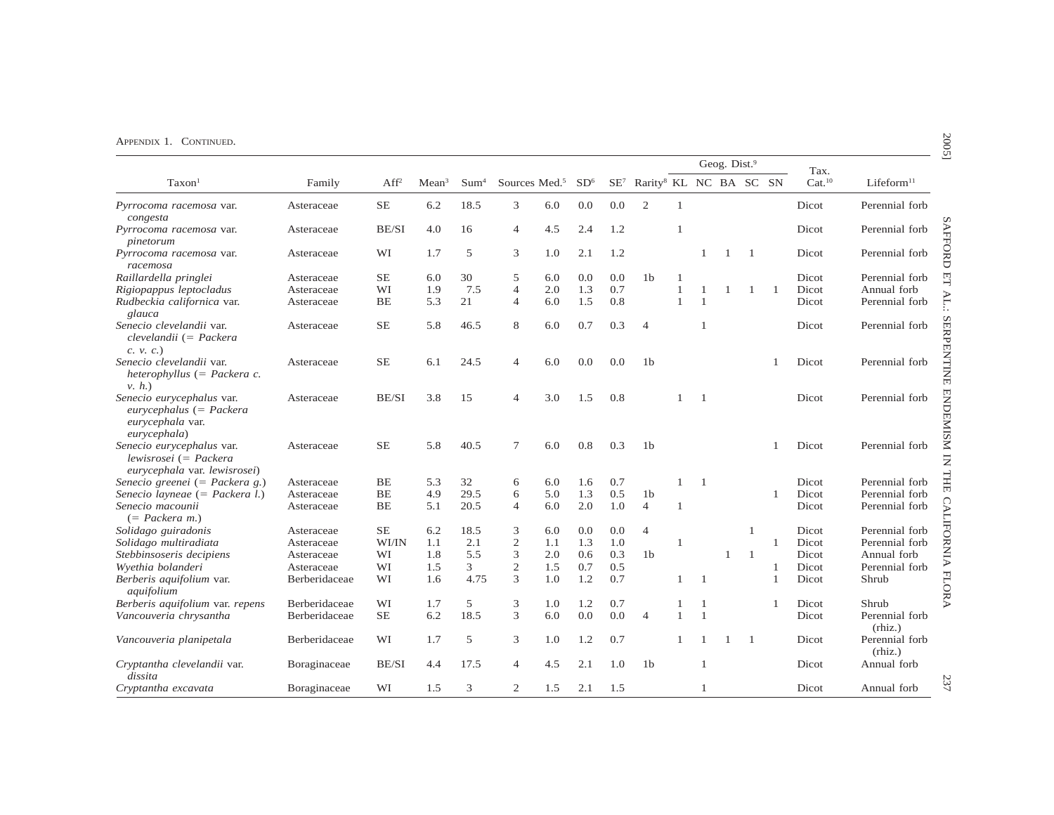|                                                                                            |               |                  |                   |                  |                           |     |                 |     |                                                    |              |                | Geog. Dist.9 |              |    | Tax.               |                                        |
|--------------------------------------------------------------------------------------------|---------------|------------------|-------------------|------------------|---------------------------|-----|-----------------|-----|----------------------------------------------------|--------------|----------------|--------------|--------------|----|--------------------|----------------------------------------|
| Taxon <sup>1</sup>                                                                         | Family        | Aff <sup>2</sup> | Mean <sup>3</sup> | Sum <sup>4</sup> | Sources Med. <sup>5</sup> |     | SD <sup>6</sup> |     | SE <sup>7</sup> Rarity <sup>8</sup> KL NC BA SC SN |              |                |              |              |    | Cat. <sup>10</sup> | Lifeform <sup>11</sup>                 |
| Pyrrocoma racemosa var.<br>congesta                                                        | Asteraceae    | $\rm SE$         | 6.2               | 18.5             | 3                         | 6.0 | 0.0             | 0.0 | 2                                                  | $\mathbf{1}$ |                |              |              |    | Dicot              | Perennial forb                         |
| Pyrrocoma racemosa var.<br>pinetorum                                                       | Asteraceae    | BE/SI            | 4.0               | 16               | 4                         | 4.5 | 2.4             | 1.2 |                                                    | $\mathbf{1}$ |                |              |              |    | Dicot              | Perennial forb                         |
| Pyrrocoma racemosa var.<br>racemosa                                                        | Asteraceae    | WI               | 1.7               | 5                | 3                         | 1.0 | 2.1             | 1.2 |                                                    |              | $\mathbf{1}$   | 1            | -1           |    | Dicot              | Perennial forb                         |
| Raillardella pringlei                                                                      | Asteraceae    | SЕ               | 6.0               | 30               | 5                         | 6.0 | 0.0             | 0.0 | 1 <sub>b</sub>                                     | 1            |                |              |              |    | Dicot              | Perennial forb                         |
| Rigiopappus leptocladus                                                                    | Asteraceae    | WI               | 1.9               | 7.5              | $\overline{4}$            | 2.0 | 1.3             | 0.7 |                                                    | 1            |                | -1           | 1            | -1 | Dicot              | Annual forb                            |
| Rudbeckia californica var.<br>glauca                                                       | Asteraceae    | <b>BE</b>        | 5.3               | 21               | $\overline{4}$            | 6.0 | 1.5             | 0.8 |                                                    | $\mathbf{1}$ | $\overline{1}$ |              |              |    | Dicot              | Perennial forb                         |
| Senecio clevelandii var.<br>$clevelandii (= Packera$<br>$c. \nu. c.)$                      | Asteraceae    | <b>SE</b>        | 5.8               | 46.5             | 8                         | 6.0 | 0.7             | 0.3 | $\overline{4}$                                     |              | -1             |              |              |    | Dicot              | Perennial forb                         |
| Senecio clevelandii var.<br>heterophyllus $(=$ Packera c.<br>v, h.                         | Asteraceae    | <b>SE</b>        | 6.1               | 24.5             | $\overline{4}$            | 6.0 | 0.0             | 0.0 | 1 <sub>b</sub>                                     |              |                |              |              |    | Dicot              | Perennial forb                         |
| Senecio eurycephalus var.<br>$eurycephalus (= Packera$<br>eurycephala var.<br>eurycephala) | Asteraceae    | BE/SI            | 3.8               | 15               | $\overline{4}$            | 3.0 | 1.5             | 0.8 |                                                    |              | $\mathbf{1}$   |              |              |    | Dicot              | Perennial forb                         |
| Senecio eurycephalus var.<br>$lewisrosei (= Packera$<br>eurycephala var. lewisrosei)       | Asteraceae    | <b>SE</b>        | 5.8               | 40.5             | 7                         | 6.0 | 0.8             | 0.3 | 1 <sub>b</sub>                                     |              |                |              |              |    | Dicot              | Perennial forb                         |
| Senecio greenei (= Packera g.)                                                             | Asteraceae    | <b>BE</b>        | 5.3               | 32               | 6                         | 6.0 | 1.6             | 0.7 |                                                    | 1            | $\overline{1}$ |              |              |    | Dicot              | Perennial forb                         |
| Senecio layneae $(=$ Packera l.)                                                           | Asteraceae    | <b>BE</b>        | 4.9               | 29.5             | 6                         | 5.0 | 1.3             | 0.5 | 1 <sub>b</sub>                                     |              |                |              |              | 1  | Dicot              | Perennial forb                         |
| Senecio macounii<br>$(=$ Packera m.)                                                       | Asteraceae    | <b>BE</b>        | 5.1               | 20.5             | $\overline{4}$            | 6.0 | 2.0             | 1.0 | $\overline{4}$                                     | $\mathbf{1}$ |                |              |              |    | Dicot              | <b>CALIFORNIA FI</b><br>Perennial forb |
| Solidago guiradonis                                                                        | Asteraceae    | <b>SE</b>        | 6.2               | 18.5             | 3                         | 6.0 | 0.0             | 0.0 | $\overline{4}$                                     |              |                |              | 1            |    | Dicot              | Perennial forb                         |
| Solidago multiradiata                                                                      | Asteraceae    | WI/IN            | 1.1               | 2.1              | $\sqrt{2}$                | 1.1 | 1.3             | 1.0 |                                                    | $\mathbf{1}$ |                |              |              | 1  | Dicot              | Perennial forb                         |
| Stebbinsoseris decipiens                                                                   | Asteraceae    | WI               | 1.8               | 5.5              | 3                         | 2.0 | 0.6             | 0.3 | 1 <sub>b</sub>                                     |              |                | $\mathbf{1}$ | $\mathbf{1}$ |    | Dicot              | Annual forb                            |
| Wyethia bolanderi                                                                          | Asteraceae    | WI               | 1.5               | 3                | $\mathbf{2}$              | 1.5 | 0.7             | 0.5 |                                                    |              |                |              |              | 1  | Dicot              | Perennial forb                         |
| Berberis aquifolium var.<br>aquifolium                                                     | Berberidaceae | WI               | 1.6               | 4.75             | 3                         | 1.0 | 1.2             | 0.7 |                                                    | 1            | $\overline{1}$ |              |              | 1  | Dicot              | Shrub                                  |
| Berberis aquifolium var. repens                                                            | Berberidaceae | WI               | 1.7               | 5                | 3                         | 1.0 | 1.2             | 0.7 |                                                    | 1            | $\mathbf{1}$   |              |              | 1  | Dicot              | Shrub                                  |
| Vancouveria chrysantha                                                                     | Berberidaceae | $\rm SE$         | 6.2               | 18.5             | 3                         | 6.0 | 0.0             | 0.0 | $\overline{4}$                                     | 1            | $\mathbf{1}$   |              |              |    | Dicot              | Perennial forb<br>(rhiz.)              |
| Vancouveria planipetala                                                                    | Berberidaceae | WI               | 1.7               | 5                | 3                         | 1.0 | 1.2             | 0.7 |                                                    |              |                | -1           | -1           |    | Dicot              | Perennial forb<br>(rhiz.)              |
| Cryptantha clevelandii var.<br>dissita                                                     | Boraginaceae  | BE/SI            | 4.4               | 17.5             | 4                         | 4.5 | 2.1             | 1.0 | 1 <sub>b</sub>                                     |              | $\mathbf{1}$   |              |              |    | Dicot              | Annual forb                            |
| Cryptantha excavata                                                                        | Boraginaceae  | WI               | 1.5               | 3                | $\mathbf{2}$              | 1.5 | 2.1             | 1.5 |                                                    |              | 1              |              |              |    | Dicot              | Annual forb                            |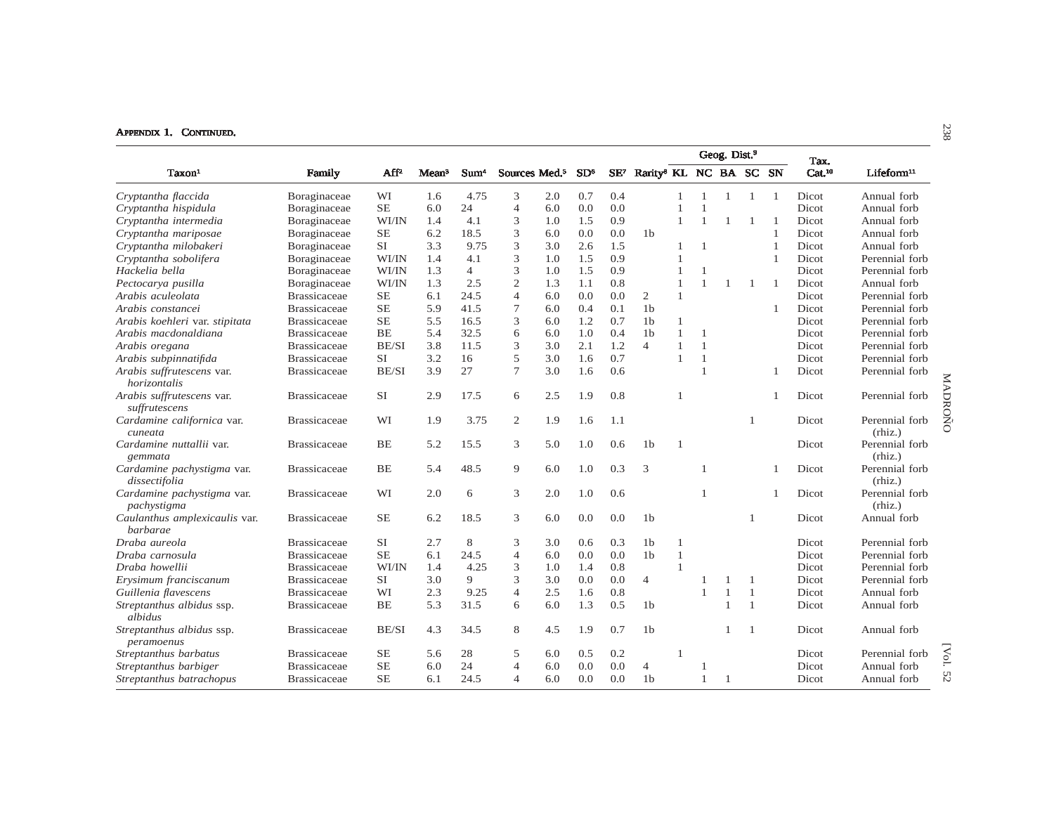|                                             |                     |           |                   |                  |                           |     |                 |        |                                    |                |              | Geog. Dist. <sup>9</sup> |                |                |                            |                           |         |
|---------------------------------------------|---------------------|-----------|-------------------|------------------|---------------------------|-----|-----------------|--------|------------------------------------|----------------|--------------|--------------------------|----------------|----------------|----------------------------|---------------------------|---------|
| Taxon <sup>1</sup>                          | Family              | $AF^2$    | Mean <sup>3</sup> | Sum <sup>4</sup> | Sources Med. <sup>5</sup> |     | SD <sup>6</sup> | $SE^7$ | Rarity <sup>8</sup> KL NC BA SC SN |                |              |                          |                |                | Tax.<br>Cat. <sup>10</sup> | Lifeform <sup>11</sup>    |         |
| Cryptantha flaccida                         | Boraginaceae        | WI        | 1.6               | 4.75             | 3                         | 2.0 | 0.7             | 0.4    |                                    |                |              | 1                        | 1              | $\overline{1}$ | Dicot                      | Annual forb               |         |
| Cryptantha hispidula                        | Boraginaceae        | <b>SE</b> | 6.0               | 24               | $\overline{4}$            | 6.0 | 0.0             | 0.0    |                                    |                |              |                          |                |                | Dicot                      | Annual forb               |         |
| Cryptantha intermedia                       | Boraginaceae        | WI/IN     | 1.4               | 4.1              | 3                         | 1.0 | 1.5             | 0.9    |                                    | $\overline{1}$ | $\mathbf{1}$ | $\mathbf{1}$             | -1             |                | Dicot                      | Annual forb               |         |
| Cryptantha mariposae                        | Boraginaceae        | <b>SE</b> | 6.2               | 18.5             | 3                         | 6.0 | 0.0             | 0.0    | 1 <sub>b</sub>                     |                |              |                          |                |                | Dicot                      | Annual forb               |         |
| Cryptantha milobakeri                       | Boraginaceae        | <b>SI</b> | 3.3               | 9.75             | 3                         | 3.0 | 2.6             | 1.5    |                                    |                | $\mathbf{1}$ |                          |                |                | Dicot                      | Annual forb               |         |
| Cryptantha sobolifera                       | Boraginaceae        | WI/IN     | 1.4               | 4.1              | 3                         | 1.0 | 1.5             | 0.9    |                                    | $\overline{1}$ |              |                          |                | $\overline{1}$ | Dicot                      | Perennial forb            |         |
| Hackelia bella                              | Boraginaceae        | WI/IN     | 1.3               | $\overline{4}$   | 3                         | 1.0 | 1.5             | 0.9    |                                    | $\mathbf{1}$   | $\mathbf{1}$ |                          |                |                | Dicot                      | Perennial forb            |         |
| Pectocarya pusilla                          | Boraginaceae        | WI/IN     | 1.3               | 2.5              | $\overline{c}$            | 1.3 | 1.1             | 0.8    |                                    |                | $\mathbf{1}$ | $\overline{1}$           | 1              | -1             | Dicot                      | Annual forb               |         |
| Arabis aculeolata                           | <b>Brassicaceae</b> | $\rm SE$  | 6.1               | 24.5             | $\overline{4}$            | 6.0 | 0.0             | 0.0    | $\overline{2}$                     | $\mathbf{1}$   |              |                          |                |                | Dicot                      | Perennial forb            |         |
| Arabis constancei                           | <b>Brassicaceae</b> | $\rm SE$  | 5.9               | 41.5             | 7                         | 6.0 | 0.4             | 0.1    | 1 <sub>b</sub>                     |                |              |                          |                | -1             | Dicot                      | Perennial forb            |         |
| Arabis koehleri var. stipitata              | <b>Brassicaceae</b> | <b>SE</b> | 5.5               | 16.5             | 3                         | 6.0 | 1.2             | 0.7    | 1 <sub>b</sub>                     |                |              |                          |                |                | Dicot                      | Perennial forb            |         |
| Arabis macdonaldiana                        | <b>Brassicaceae</b> | <b>BE</b> | 5.4               | 32.5             | 6                         | 6.0 | 1.0             | 0.4    | 1 <sub>b</sub>                     | $\overline{1}$ | $\mathbf{1}$ |                          |                |                | Dicot                      | Perennial forb            |         |
| Arabis oregana                              | <b>Brassicaceae</b> | BE/SI     | 3.8               | 11.5             | 3                         | 3.0 | 2.1             | 1.2    | $\overline{4}$                     |                | $\mathbf{1}$ |                          |                |                | Dicot                      | Perennial forb            |         |
| Arabis subpinnatifida                       | <b>Brassicaceae</b> | <b>SI</b> | 3.2               | 16               | 5                         | 3.0 | 1.6             | 0.7    |                                    |                | $\mathbf{1}$ |                          |                |                | Dicot                      | Perennial forb            |         |
| Arabis suffrutescens var.<br>horizontalis   | <b>Brassicaceae</b> | BE/SI     | 3.9               | 27               | $\tau$                    | 3.0 | 1.6             | 0.6    |                                    |                | $\mathbf{1}$ |                          |                |                | Dicot                      | Perennial forb            |         |
| Arabis suffrutescens var.<br>suffrutescens  | <b>Brassicaceae</b> | <b>SI</b> | 2.9               | 17.5             | 6                         | 2.5 | 1.9             | 0.8    |                                    |                |              |                          |                |                | Dicot                      | Perennial forb            | MADRONO |
| Cardamine californica var.<br>cuneata       | <b>Brassicaceae</b> | WI        | 1.9               | 3.75             | $\mathbf{2}$              | 1.9 | 1.6             | 1.1    |                                    |                |              |                          | -1             |                | Dicot                      | Perennial forb<br>(rhiz.) |         |
| Cardamine nuttallii var.<br>gemmata         | <b>Brassicaceae</b> | <b>BE</b> | 5.2               | 15.5             | 3                         | 5.0 | 1.0             | 0.6    | 1 <sub>b</sub>                     |                |              |                          |                |                | Dicot                      | Perennial forb<br>(rhiz.) |         |
| Cardamine pachystigma var.<br>dissectifolia | <b>Brassicaceae</b> | <b>BE</b> | 5.4               | 48.5             | 9                         | 6.0 | 1.0             | 0.3    | 3                                  |                | $\mathbf{1}$ |                          |                |                | Dicot                      | Perennial forb<br>(rhiz.) |         |
| Cardamine pachystigma var.<br>pachystigma   | <b>Brassicaceae</b> | WI        | 2.0               | 6                | 3                         | 2.0 | 1.0             | 0.6    |                                    |                | 1            |                          |                |                | Dicot                      | Perennial forb<br>(rhiz.) |         |
| Caulanthus amplexicaulis var.<br>barbarae   | <b>Brassicaceae</b> | <b>SE</b> | 6.2               | 18.5             | 3                         | 6.0 | 0.0             | 0.0    | 1 <sub>b</sub>                     |                |              |                          | $\mathbf{1}$   |                | Dicot                      | Annual forb               |         |
| Draba aureola                               | <b>Brassicaceae</b> | SI        | 2.7               | 8                | 3                         | 3.0 | 0.6             | 0.3    | 1 <sub>b</sub>                     |                |              |                          |                |                | Dicot                      | Perennial forb            |         |
| Draba carnosula                             | <b>Brassicaceae</b> | <b>SE</b> | 6.1               | 24.5             | $\overline{4}$            | 6.0 | 0.0             | 0.0    | 1 <sub>b</sub>                     | $\mathbf{1}$   |              |                          |                |                | Dicot                      | Perennial forb            |         |
| Draba howellii                              | <b>Brassicaceae</b> | WI/IN     | 1.4               | 4.25             | 3                         | 1.0 | 1.4             | 0.8    |                                    | $\overline{1}$ |              |                          |                |                | Dicot                      | Perennial forb            |         |
| Erysimum franciscanum                       | <b>Brassicaceae</b> | <b>SI</b> | 3.0               | 9                | 3                         | 3.0 | 0.0             | 0.0    | $\overline{4}$                     |                |              |                          | -1             |                | Dicot                      | Perennial forb            |         |
| Guillenia flavescens                        | <b>Brassicaceae</b> | WI        | 2.3               | 9.25             | $\overline{4}$            | 2.5 | 1.6             | 0.8    |                                    |                | $\mathbf{1}$ | $\overline{1}$           | $\overline{1}$ |                | Dicot                      | Annual forb               |         |
| Streptanthus albidus ssp.<br>albidus        | <b>Brassicaceae</b> | BE        | 5.3               | 31.5             | 6                         | 6.0 | 1.3             | 0.5    | 1 <sub>b</sub>                     |                |              | $\overline{1}$           | $\mathbf{1}$   |                | Dicot                      | Annual forb               |         |
| Streptanthus albidus ssp.<br>peramoenus     | <b>Brassicaceae</b> | BE/SI     | 4.3               | 34.5             | 8                         | 4.5 | 1.9             | 0.7    | 1 <sub>b</sub>                     |                |              |                          | $\overline{1}$ |                | Dicot                      | Annual forb               |         |
| Streptanthus barbatus                       | <b>Brassicaceae</b> | SE        | 5.6               | 28               | 5                         | 6.0 | 0.5             | 0.2    |                                    |                |              |                          |                |                | Dicot                      | Perennial forb            | [Vol.   |
| Streptanthus barbiger                       | <b>Brassicaceae</b> | <b>SE</b> | 6.0               | 24               | $\overline{4}$            | 6.0 | 0.0             | 0.0    | $\overline{4}$                     |                |              |                          |                |                | Dicot                      | Annual forb               |         |
| Streptanthus batrachopus                    | <b>Brassicaceae</b> | $\rm SE$  | 6.1               | 24.5             | 4                         | 6.0 | 0.0             | 0.0    | 1 <sub>b</sub>                     |                | 1            | -1                       |                |                | Dicot                      | Annual forb               | 52      |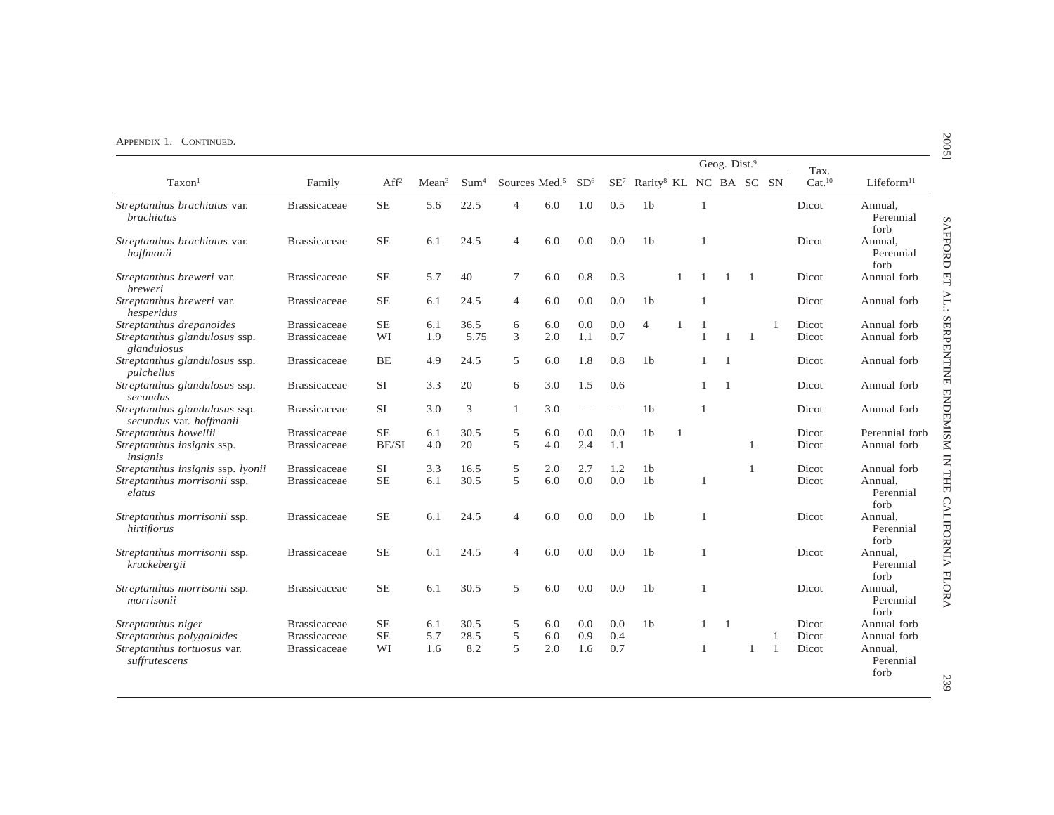|                                                          |                     |                  |                   |                  |                           |     |                 |     |                                                    |              |                | Geog. Dist. <sup>9</sup> |              |    | Tax.               |                              |
|----------------------------------------------------------|---------------------|------------------|-------------------|------------------|---------------------------|-----|-----------------|-----|----------------------------------------------------|--------------|----------------|--------------------------|--------------|----|--------------------|------------------------------|
| Taxon <sup>1</sup>                                       | Family              | Aff <sup>2</sup> | Mean <sup>3</sup> | Sum <sup>4</sup> | Sources Med. <sup>5</sup> |     | SD <sup>6</sup> |     | SE <sup>7</sup> Rarity <sup>8</sup> KL NC BA SC SN |              |                |                          |              |    | Cat. <sup>10</sup> | Lifeform <sup>11</sup>       |
| Streptanthus brachiatus var.<br><b>brachiatus</b>        | <b>Brassicaceae</b> | $SE$             | 5.6               | 22.5             | $\overline{4}$            | 6.0 | 1.0             | 0.5 | 1 <sub>b</sub>                                     |              | $\overline{1}$ |                          |              |    | Dicot              | Annual,<br>Perennial<br>forb |
| Streptanthus brachiatus var.<br>hoffmanii                | <b>Brassicaceae</b> | <b>SE</b>        | 6.1               | 24.5             | 4                         | 6.0 | 0.0             | 0.0 | 1 <sub>b</sub>                                     |              | $\overline{1}$ |                          |              |    | Dicot              | Annual,<br>Perennial<br>forb |
| Streptanthus breweri var.<br>breweri                     | <b>Brassicaceae</b> | $\rm SE$         | 5.7               | 40               | 7                         | 6.0 | 0.8             | 0.3 |                                                    |              |                | $\mathbf{1}$             | -1           |    | Dicot              | Annual forb                  |
| Streptanthus breweri var.<br>hesperidus                  | <b>Brassicaceae</b> | <b>SE</b>        | 6.1               | 24.5             | $\overline{4}$            | 6.0 | 0.0             | 0.0 | 1 <sub>b</sub>                                     |              | $\overline{1}$ |                          |              |    | Dicot              | Annual forb                  |
| Streptanthus drepanoides                                 | <b>Brassicaceae</b> | $\rm SE$         | 6.1               | 36.5             | 6                         | 6.0 | 0.0             | 0.0 | 4                                                  | 1            | 1              |                          |              | 1  | Dicot              | Annual forb                  |
| Streptanthus glandulosus ssp.<br>glandulosus             | <b>Brassicaceae</b> | WI               | 1.9               | 5.75             | 3                         | 2.0 | 1.1             | 0.7 |                                                    |              | $\overline{1}$ | $\mathbf{1}$             | -1           |    | Dicot              | Annual forb                  |
| Streptanthus glandulosus ssp.<br>pulchellus              | <b>Brassicaceae</b> | BE               | 4.9               | 24.5             | 5                         | 6.0 | 1.8             | 0.8 | 1 <sub>b</sub>                                     |              | $\mathbf{1}$   | $\overline{1}$           |              |    | Dicot              | Annual forb                  |
| Streptanthus glandulosus ssp.<br>secundus                | <b>Brassicaceae</b> | <b>SI</b>        | 3.3               | 20               | 6                         | 3.0 | 1.5             | 0.6 |                                                    |              | $\mathbf{1}$   | $\mathbf{1}$             |              |    | Dicot              | Annual forb                  |
| Streptanthus glandulosus ssp.<br>secundus var. hoffmanii | <b>Brassicaceae</b> | <b>SI</b>        | 3.0               | 3                | $\mathbf{1}$              | 3.0 |                 |     | 1 <sub>b</sub>                                     |              | $\overline{1}$ |                          |              |    | Dicot              | Annual forb                  |
| Streptanthus howellii                                    | <b>Brassicaceae</b> | $SE$             | 6.1               | 30.5             | 5                         | 6.0 | 0.0             | 0.0 | 1 <sub>b</sub>                                     | $\mathbf{1}$ |                |                          |              |    | Dicot              | Perennial forb               |
| Streptanthus insignis ssp.<br>insignis                   | <b>Brassicaceae</b> | BE/SI            | 4.0               | 20               | 5                         | 4.0 | 2.4             | 1.1 |                                                    |              |                |                          | $\mathbf{1}$ |    | Dicot              | Annual forb                  |
| Streptanthus insignis ssp. lyonii                        | <b>Brassicaceae</b> | <b>SI</b>        | 3.3               | 16.5             | 5                         | 2.0 | 2.7             | 1.2 | 1 <sub>b</sub>                                     |              |                |                          | 1            |    | Dicot              | Annual forb                  |
| Streptanthus morrisonii ssp.<br>elatus                   | <b>Brassicaceae</b> | <b>SE</b>        | 6.1               | 30.5             | 5                         | 6.0 | 0.0             | 0.0 | 1 <sub>b</sub>                                     |              | $\mathbf{1}$   |                          |              |    | Dicot              | Annual.<br>Perennial<br>forb |
| Streptanthus morrisonii ssp.<br>hirtiflorus              | <b>Brassicaceae</b> | <b>SE</b>        | 6.1               | 24.5             | 4                         | 6.0 | 0.0             | 0.0 | 1 <sub>b</sub>                                     |              | $\overline{1}$ |                          |              |    | Dicot              | Annual,<br>Perennial<br>forb |
| Streptanthus morrisonii ssp.<br>kruckebergii             | <b>Brassicaceae</b> | $\rm SE$         | 6.1               | 24.5             | 4                         | 6.0 | 0.0             | 0.0 | 1 <sub>b</sub>                                     |              | $\overline{1}$ |                          |              |    | Dicot              | Annual,<br>Perennial<br>forb |
| Streptanthus morrisonii ssp.<br>morrisonii               | <b>Brassicaceae</b> | <b>SE</b>        | 6.1               | 30.5             | 5                         | 6.0 | 0.0             | 0.0 | 1 <sub>b</sub>                                     |              | 1              |                          |              |    | Dicot              | Annual.<br>Perennial<br>forb |
| Streptanthus niger                                       | <b>Brassicaceae</b> | <b>SE</b>        | 6.1               | 30.5             | 5                         | 6.0 | 0.0             | 0.0 | 1 <sub>b</sub>                                     |              | $\mathbf{1}$   | $\overline{1}$           |              |    | Dicot              | Annual forb                  |
| Streptanthus polygaloides                                | <b>Brassicaceae</b> | <b>SE</b>        | 5.7               | 28.5             | 5                         | 6.0 | 0.9             | 0.4 |                                                    |              |                |                          |              |    | Dicot              | Annual forb                  |
| Streptanthus tortuosus var.<br>suffrutescens             | <b>Brassicaceae</b> | WI               | 1.6               | 8.2              | 5                         | 2.0 | 1.6             | 0.7 |                                                    |              |                |                          | $\mathbf{1}$ | -1 | Dicot              | Annual,<br>Perennial<br>forb |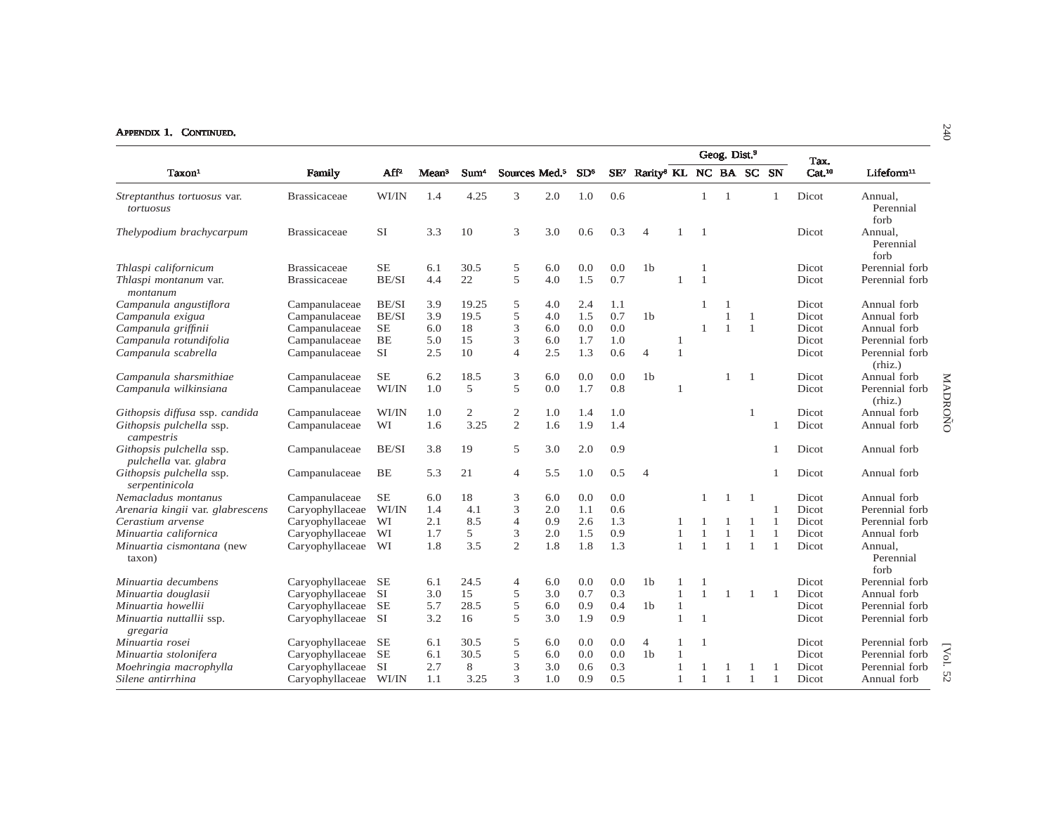|                                                   |                     |           |                   |                  |                           |     |                 |        |                                    |                |                | Geog. Dist. <sup>9</sup> |                |                |                            |                              |         |
|---------------------------------------------------|---------------------|-----------|-------------------|------------------|---------------------------|-----|-----------------|--------|------------------------------------|----------------|----------------|--------------------------|----------------|----------------|----------------------------|------------------------------|---------|
| Taxon <sup>1</sup>                                | Family              | $AF^2$    | Mean <sup>3</sup> | Sum <sup>4</sup> | Sources Med. <sup>5</sup> |     | SD <sup>6</sup> | $SE^7$ | Rarity <sup>8</sup> KL NC BA SC SN |                |                |                          |                |                | Tax.<br>Cat. <sup>10</sup> | Lifeform <sup>11</sup>       |         |
| <i>Streptanthus tortuosus var.</i><br>tortuosus   | <b>Brassicaceae</b> | WI/IN     | 1.4               | 4.25             | 3                         | 2.0 | 1.0             | 0.6    |                                    |                | 1              | $\overline{1}$           |                | $\mathbf{1}$   | Dicot                      | Annual,<br>Perennial<br>forb |         |
| Thelypodium brachycarpum                          | <b>Brassicaceae</b> | <b>SI</b> | 3.3               | 10               | 3                         | 3.0 | 0.6             | 0.3    | $\overline{4}$                     |                | - 1            |                          |                |                | Dicot                      | Annual.<br>Perennial<br>forb |         |
| Thlaspi californicum                              | <b>Brassicaceae</b> | <b>SE</b> | 6.1               | 30.5             | 5                         | 6.0 | 0.0             | 0.0    | 1 <sub>b</sub>                     |                | $\mathbf{1}$   |                          |                |                | Dicot                      | Perennial forb               |         |
| Thlaspi montanum var.<br>montanum                 | <b>Brassicaceae</b> | BE/SI     | 4.4               | 22               | 5                         | 4.0 | 1.5             | 0.7    |                                    |                | $\overline{1}$ |                          |                |                | Dicot                      | Perennial forb               |         |
| Campanula angustiflora                            | Campanulaceae       | BE/SI     | 3.9               | 19.25            | 5                         | 4.0 | 2.4             | 1.1    |                                    |                |                |                          |                |                | Dicot                      | Annual forb                  |         |
| Campanula exigua                                  | Campanulaceae       | BE/SI     | 3.9               | 19.5             | 5                         | 4.0 | 1.5             | 0.7    | 1 <sub>b</sub>                     |                |                | $\overline{1}$           | $\mathbf{1}$   |                | Dicot                      | Annual forb                  |         |
| Campanula griffinii                               | Campanulaceae       | $\rm SE$  | 6.0               | 18               | 3                         | 6.0 | 0.0             | 0.0    |                                    |                |                | $\mathbf{1}$             | $\mathbf{1}$   |                | Dicot                      | Annual forb                  |         |
| Campanula rotundifolia                            | Campanulaceae       | <b>BE</b> | 5.0               | 15               | 3                         | 6.0 | 1.7             | 1.0    |                                    | -1             |                |                          |                |                | Dicot                      | Perennial forb               |         |
| Campanula scabrella                               | Campanulaceae       | <b>SI</b> | 2.5               | 10               | $\overline{4}$            | 2.5 | 1.3             | 0.6    | $\overline{4}$                     | $\overline{1}$ |                |                          |                |                | Dicot                      | Perennial forb<br>(rhiz.)    |         |
| Campanula sharsmithiae                            | Campanulaceae       | $\rm SE$  | 6.2               | 18.5             | 3                         | 6.0 | 0.0             | 0.0    | 1 <sub>b</sub>                     |                |                |                          | $\overline{1}$ |                | Dicot                      | Annual forb                  |         |
| Campanula wilkinsiana                             | Campanulaceae       | WI/IN     | 1.0               | 5                | 5                         | 0.0 | 1.7             | 0.8    |                                    |                |                |                          |                |                | Dicot                      | Perennial forb<br>(rhiz.)    | MADROÑO |
| Githopsis diffusa ssp. candida                    | Campanulaceae       | WI/IN     | 1.0               | $\sqrt{2}$       | $\overline{c}$            | 1.0 | 1.4             | 1.0    |                                    |                |                |                          | $\mathbf{1}$   |                | Dicot                      | Annual forb                  |         |
| Githopsis pulchella ssp.<br>campestris            | Campanulaceae       | WI        | 1.6               | 3.25             | $\overline{c}$            | 1.6 | 1.9             | 1.4    |                                    |                |                |                          |                | $\mathbf{1}$   | Dicot                      | Annual forb                  |         |
| Githopsis pulchella ssp.<br>pulchella var. glabra | Campanulaceae       | BE/SI     | 3.8               | 19               | 5                         | 3.0 | 2.0             | 0.9    |                                    |                |                |                          |                |                | Dicot                      | Annual forb                  |         |
| Githopsis pulchella ssp.<br>serpentinicola        | Campanulaceae       | BE        | 5.3               | 21               | 4                         | 5.5 | 1.0             | 0.5    | $\overline{4}$                     |                |                |                          |                |                | Dicot                      | Annual forb                  |         |
| Nemacladus montanus                               | Campanulaceae       | $\rm SE$  | 6.0               | 18               | 3                         | 6.0 | 0.0             | 0.0    |                                    |                |                | $\overline{1}$           | -1             |                | Dicot                      | Annual forb                  |         |
| Arenaria kingii var. glabrescens                  | Caryophyllaceae     | WI/IN     | 1.4               | 4.1              | 3                         | 2.0 | 1.1             | 0.6    |                                    |                |                |                          |                |                | Dicot                      | Perennial forb               |         |
| Cerastium arvense                                 | Caryophyllaceae     | WI        | 2.1               | 8.5              | $\overline{4}$            | 0.9 | 2.6             | 1.3    |                                    |                |                |                          | 1              |                | Dicot                      | Perennial forb               |         |
| Minuartia californica                             | Caryophyllaceae     | WI        | 1.7               | 5                | 3                         | 2.0 | 1.5             | 0.9    |                                    |                | $\mathbf{1}$   | $\mathbf{1}$             | $\mathbf{1}$   | $\overline{1}$ | Dicot                      | Annual forb                  |         |
| Minuartia cismontana (new<br>taxon)               | Caryophyllaceae     | WI        | 1.8               | 3.5              | $\overline{2}$            | 1.8 | 1.8             | 1.3    |                                    | $\mathbf{1}$   | $\overline{1}$ | $\overline{1}$           | $\mathbf{1}$   | $\overline{1}$ | Dicot                      | Annual,<br>Perennial<br>forb |         |
| Minuartia decumbens                               | Caryophyllaceae     | SE        | 6.1               | 24.5             | 4                         | 6.0 | 0.0             | 0.0    | 1 <sub>b</sub>                     |                |                |                          |                |                | Dicot                      | Perennial forb               |         |
| Minuartia douglasii                               | Caryophyllaceae     | <b>SI</b> | 3.0               | 15               | 5                         | 3.0 | 0.7             | 0.3    |                                    | $\mathbf{1}$   | $\mathbf{1}$   | $\overline{1}$           | $\overline{1}$ | $\overline{1}$ | Dicot                      | Annual forb                  |         |
| Minuartia howellii                                | Caryophyllaceae     | <b>SE</b> | 5.7               | 28.5             | 5                         | 6.0 | 0.9             | 0.4    | 1 <sub>b</sub>                     |                |                |                          |                |                | Dicot                      | Perennial forb               |         |
| Minuartia nuttallii ssp.<br>gregaria              | Caryophyllaceae     | <b>SI</b> | 3.2               | 16               | 5                         | 3.0 | 1.9             | 0.9    |                                    | $\overline{1}$ | $\overline{1}$ |                          |                |                | Dicot                      | Perennial forb               |         |
| Minuartia rosei                                   | Caryophyllaceae     | <b>SE</b> | 6.1               | 30.5             | 5                         | 6.0 | 0.0             | 0.0    | $\overline{4}$                     |                | $\overline{1}$ |                          |                |                | Dicot                      | Perennial forb               |         |
| Minuartia stolonifera                             | Caryophyllaceae     | <b>SE</b> | 6.1               | 30.5             | 5                         | 6.0 | 0.0             | 0.0    | 1 <sub>b</sub>                     |                |                |                          |                |                | Dicot                      | Perennial forb               | [Vol.   |
| Moehringia macrophylla                            | Caryophyllaceae     | <b>SI</b> | 2.7               | 8                | 3                         | 3.0 | 0.6             | 0.3    |                                    |                |                |                          | $\mathbf{1}$   |                | Dicot                      | Perennial forb               |         |
| Silene antirrhina                                 | Caryophyllaceae     | WI/IN     | 1.1               | 3.25             | 3                         | 1.0 | 0.9             | 0.5    |                                    | $\overline{1}$ | $\mathbf{1}$   | $\overline{1}$           | $\overline{1}$ |                | Dicot                      | Annual forb                  | 52      |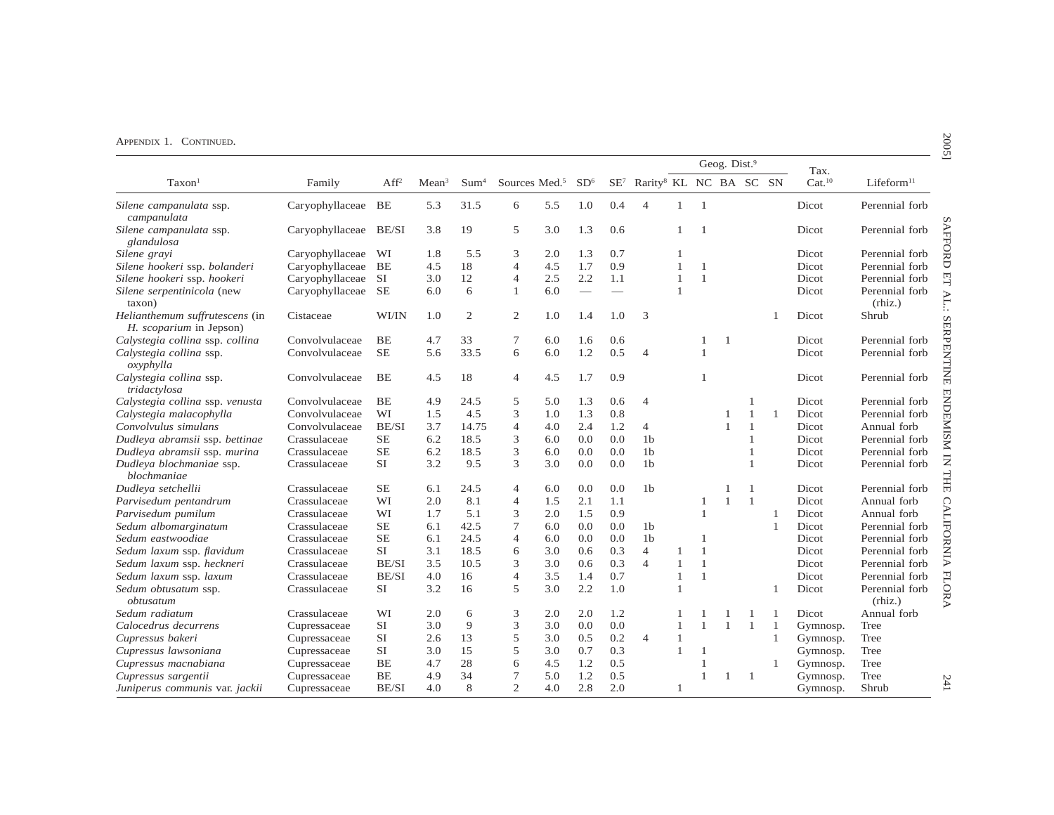|                                                           |                 |                  |                   |                  |                           |     |                 |     |                                                    |              |                | Geog. Dist.9   |              |    | Tax.               |                           |
|-----------------------------------------------------------|-----------------|------------------|-------------------|------------------|---------------------------|-----|-----------------|-----|----------------------------------------------------|--------------|----------------|----------------|--------------|----|--------------------|---------------------------|
| Taxon <sup>1</sup>                                        | Family          | Aff <sup>2</sup> | Mean <sup>3</sup> | Sum <sup>4</sup> | Sources Med. <sup>5</sup> |     | SD <sup>6</sup> |     | SE <sup>7</sup> Rarity <sup>8</sup> KL NC BA SC SN |              |                |                |              |    | Cat. <sup>10</sup> | Lifeform <sup>11</sup>    |
| Silene campanulata ssp.<br>campanulata                    | Caryophyllaceae | $\rm BE$         | 5.3               | 31.5             | 6                         | 5.5 | 1.0             | 0.4 | $\overline{4}$                                     | $\mathbf{1}$ | $\overline{1}$ |                |              |    | Dicot              | Perennial forb            |
| Silene campanulata ssp.<br>glandulosa                     | Caryophyllaceae | BE/SI            | 3.8               | 19               | 5                         | 3.0 | 1.3             | 0.6 |                                                    | 1            | $\overline{1}$ |                |              |    | Dicot              | Perennial forb            |
| Silene grayi                                              | Caryophyllaceae | WI               | 1.8               | 5.5              | 3                         | 2.0 | 1.3             | 0.7 |                                                    | 1            |                |                |              |    | Dicot              | Perennial forb            |
| Silene hookeri ssp. bolanderi                             | Caryophyllaceae | <b>BE</b>        | 4.5               | 18               | 4                         | 4.5 | 1.7             | 0.9 |                                                    | $\mathbf{1}$ | $\overline{1}$ |                |              |    | Dicot              | Perennial forb            |
| Silene hookeri ssp. hookeri                               | Caryophyllaceae | <b>SI</b>        | 3.0               | 12               | $\overline{4}$            | 2.5 | 2.2             | 1.1 |                                                    | 1            | $\overline{1}$ |                |              |    | Dicot              | Perennial forb            |
| Silene serpentinicola (new<br>taxon)                      | Caryophyllaceae | <b>SE</b>        | 6.0               | 6                | $\mathbf{1}$              | 6.0 |                 |     |                                                    | 1            |                |                |              |    | Dicot              | Perennial forb<br>(rhiz.) |
| Helianthemum suffrutescens (in<br>H. scoparium in Jepson) | Cistaceae       | WI/IN            | 1.0               | $\overline{c}$   | $\overline{c}$            | 1.0 | 1.4             | 1.0 | 3                                                  |              |                |                |              |    | Dicot              | Shrub                     |
| Calystegia collina ssp. collina                           | Convolvulaceae  | BE               | 4.7               | 33               | 7                         | 6.0 | 1.6             | 0.6 |                                                    |              | $\mathbf{1}$   | $\overline{1}$ |              |    | Dicot              | Perennial forb            |
| Calystegia collina ssp.<br>oxyphylla                      | Convolvulaceae  | <b>SE</b>        | 5.6               | 33.5             | 6                         | 6.0 | 1.2             | 0.5 | $\overline{4}$                                     |              | $\mathbf{1}$   |                |              |    | Dicot              | Perennial forb            |
| Calystegia collina ssp.<br>tridactylosa                   | Convolvulaceae  | <b>BE</b>        | 4.5               | 18               | $\overline{4}$            | 4.5 | 1.7             | 0.9 |                                                    |              | $\mathbf{1}$   |                |              |    | Dicot              | Perennial forb            |
| Calystegia collina ssp. venusta                           | Convolvulaceae  | BE               | 4.9               | 24.5             | 5                         | 5.0 | 1.3             | 0.6 | $\overline{4}$                                     |              |                |                | 1            |    | Dicot              | Perennial forb            |
| Calystegia malacophylla                                   | Convolvulaceae  | WI               | 1.5               | 4.5              | 3                         | 1.0 | 1.3             | 0.8 |                                                    |              |                | 1              | $\mathbf{1}$ | -1 | Dicot              | Perennial forb            |
| Convolvulus simulans                                      | Convolvulaceae  | BE/SI            | 3.7               | 14.75            | $\overline{4}$            | 4.0 | 2.4             | 1.2 | 4                                                  |              |                | $\mathbf{1}$   | $\mathbf{1}$ |    | Dicot              | Annual forb               |
| Dudleya abramsii ssp. bettinae                            | Crassulaceae    | <b>SE</b>        | 6.2               | 18.5             | 3                         | 6.0 | 0.0             | 0.0 | 1 <sub>b</sub>                                     |              |                |                | 1            |    | Dicot              | Perennial forb            |
| Dudleya abramsii ssp. murina                              | Crassulaceae    | <b>SE</b>        | 6.2               | 18.5             | 3                         | 6.0 | 0.0             | 0.0 | 1 <sub>b</sub>                                     |              |                |                | 1            |    | Dicot              | Perennial forb            |
| Dudleya blochmaniae ssp.<br>blochmaniae                   | Crassulaceae    | <b>SI</b>        | 3.2               | 9.5              | 3                         | 3.0 | 0.0             | 0.0 | 1 <sub>b</sub>                                     |              |                |                | 1            |    | Dicot              | Perennial forb            |
| Dudleya setchellii                                        | Crassulaceae    | <b>SE</b>        | 6.1               | 24.5             | 4                         | 6.0 | 0.0             | 0.0 | 1 <sub>b</sub>                                     |              |                |                | -1           |    | Dicot              | Perennial forb            |
| Parvisedum pentandrum                                     | Crassulaceae    | WI               | 2.0               | 8.1              | $\overline{4}$            | 1.5 | 2.1             | 1.1 |                                                    |              | $\mathbf{1}$   | $\mathbf{1}$   | $\mathbf{1}$ |    | Dicot              | Annual forb               |
| Parvisedum pumilum                                        | Crassulaceae    | WI               | 1.7               | 5.1              | 3                         | 2.0 | 1.5             | 0.9 |                                                    |              | $\overline{1}$ |                |              | 1  | Dicot              | Annual forb               |
| Sedum albomarginatum                                      | Crassulaceae    | <b>SE</b>        | 6.1               | 42.5             | $\tau$                    | 6.0 | 0.0             | 0.0 | 1 <sub>b</sub>                                     |              |                |                |              | 1  | Dicot              | Perennial forb            |
| Sedum eastwoodiae                                         | Crassulaceae    | <b>SE</b>        | 6.1               | 24.5             | 4                         | 6.0 | 0.0             | 0.0 | 1 <sub>b</sub>                                     |              | $\overline{1}$ |                |              |    | Dicot              | Perennial forb            |
| Sedum laxum ssp. flavidum                                 | Crassulaceae    | <b>SI</b>        | 3.1               | 18.5             | 6                         | 3.0 | 0.6             | 0.3 | $\overline{4}$                                     | 1            | $\overline{1}$ |                |              |    | Dicot              | Perennial forb            |
| Sedum laxum ssp. heckneri                                 | Crassulaceae    | BE/SI            | 3.5               | 10.5             | 3                         | 3.0 | 0.6             | 0.3 | $\overline{4}$                                     | 1            | 1              |                |              |    | Dicot              | Perennial forb            |
| Sedum laxum ssp. laxum                                    | Crassulaceae    | BE/SI            | 4.0               | 16               | $\overline{4}$            | 3.5 | 1.4             | 0.7 |                                                    | 1            | $\overline{1}$ |                |              |    | Dicot              | Perennial forb            |
| Sedum obtusatum ssp.<br>obtusatum                         | Crassulaceae    | <b>SI</b>        | 3.2               | 16               | 5                         | 3.0 | 2.2             | 1.0 |                                                    | 1            |                |                |              | 1  | Dicot              | Perennial forb<br>(rhiz.) |
| Sedum radiatum                                            | Crassulaceae    | WI               | 2.0               | 6                | 3                         | 2.0 | 2.0             | 1.2 |                                                    |              |                |                | 1            | 1  | Dicot              | Annual forb               |
| Calocedrus decurrens                                      | Cupressaceae    | <b>SI</b>        | 3.0               | 9                | 3                         | 3.0 | 0.0             | 0.0 |                                                    | $\mathbf{1}$ | $\mathbf{1}$   |                | -1           | 1  | Gymnosp.           | Tree                      |
| Cupressus bakeri                                          | Cupressaceae    | <b>SI</b>        | 2.6               | 13               | 5                         | 3.0 | 0.5             | 0.2 | $\overline{4}$                                     | $\mathbf{1}$ |                |                |              | 1  | Gymnosp.           | Tree                      |
| Cupressus lawsoniana                                      | Cupressaceae    | <b>SI</b>        | 3.0               | 15               | 5                         | 3.0 | 0.7             | 0.3 |                                                    | 1            | $\overline{1}$ |                |              |    | Gymnosp.           | Tree                      |
| Cupressus macnabiana                                      | Cupressaceae    | <b>BE</b>        | 4.7               | 28               | 6                         | 4.5 | 1.2             | 0.5 |                                                    |              |                |                |              | 1  | Gymnosp.           | Tree                      |
| Cupressus sargentii                                       | Cupressaceae    | BE               | 4.9               | 34               | $\overline{7}$            | 5.0 | 1.2             | 0.5 |                                                    |              |                | 1              | -1           |    | Gymnosp.           | Tree                      |
| Juniperus communis var. jackii                            | Cupressaceae    | BE/SI            | 4.0               | 8                | 2                         | 4.0 | 2.8             | 2.0 |                                                    | 1            |                |                |              |    | Gymnosp.           | Shrub                     |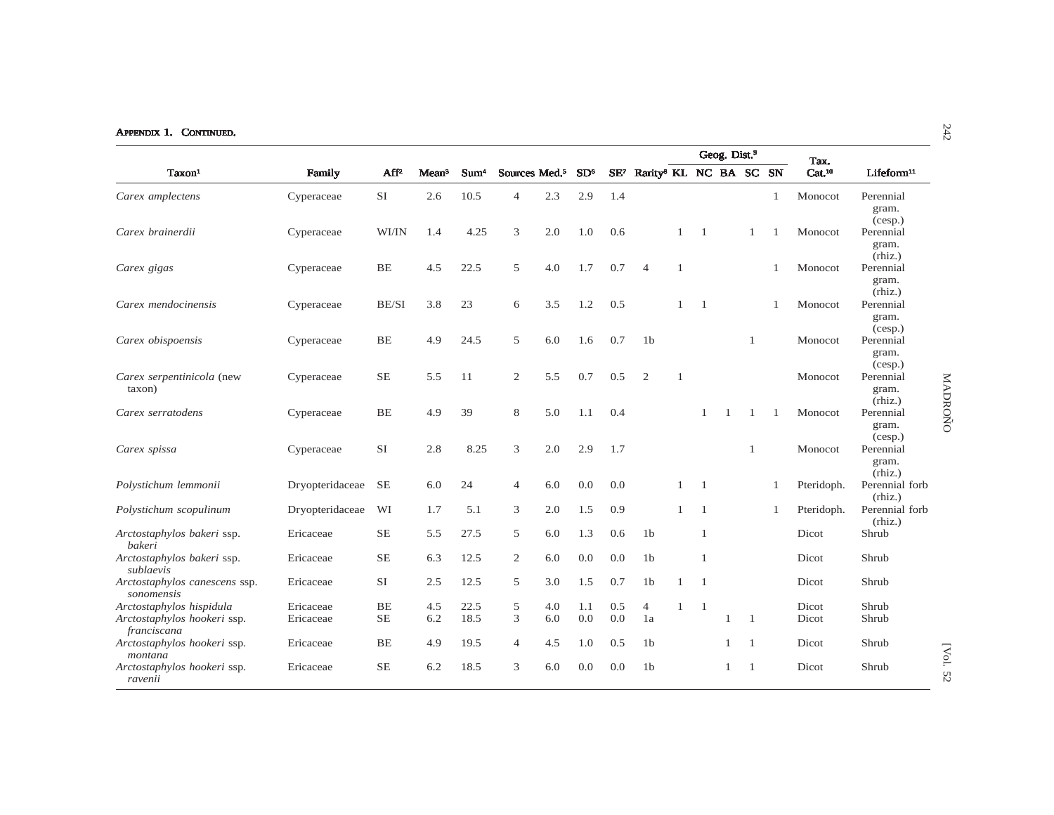| APPENDIX 1. CONTINUED.                      |                 |                  |                   |                  |                           |     |                 |     |                                                    |                |                |                          |              |                |                    |                               | $\ddot{4}$ |
|---------------------------------------------|-----------------|------------------|-------------------|------------------|---------------------------|-----|-----------------|-----|----------------------------------------------------|----------------|----------------|--------------------------|--------------|----------------|--------------------|-------------------------------|------------|
|                                             |                 |                  |                   |                  |                           |     |                 |     |                                                    |                |                | Geog. Dist. <sup>9</sup> |              |                | Tax.               |                               |            |
| Taxon <sup>1</sup>                          | Family          | Aff <sup>2</sup> | Mean <sup>3</sup> | Sum <sup>4</sup> | Sources Med. <sup>5</sup> |     | SD <sup>6</sup> |     | SE <sup>7</sup> Rarity <sup>8</sup> KL NC BA SC SN |                |                |                          |              |                | Cat. <sup>10</sup> | Lifeform <sup>11</sup>        |            |
| Carex amplectens                            | Cyperaceae      | SI               | 2.6               | 10.5             | $\overline{4}$            | 2.3 | 2.9             | 1.4 |                                                    |                |                |                          |              | 1              | Monocot            | Perennial<br>gram.<br>(cesp.) |            |
| Carex brainerdii                            | Cyperaceae      | WI/IN            | 1.4               | 4.25             | 3                         | 2.0 | 1.0             | 0.6 |                                                    | 1              | $\overline{1}$ |                          | -1           | -1             | Monocot            | Perennial<br>gram.<br>(rhiz.) |            |
| Carex gigas                                 | Cyperaceae      | BE               | 4.5               | 22.5             | 5                         | 4.0 | 1.7             | 0.7 | $\overline{4}$                                     | -1             |                |                          |              | 1              | Monocot            | Perennial<br>gram.<br>(rhiz.) |            |
| Carex mendocinensis                         | Cyperaceae      | BE/SI            | 3.8               | 23               | 6                         | 3.5 | 1.2             | 0.5 |                                                    | $\mathbf{1}$   | $\overline{1}$ |                          |              | -1             | Monocot            | Perennial<br>gram.<br>(cesp.) |            |
| Carex obispoensis                           | Cyperaceae      | BE               | 4.9               | 24.5             | 5                         | 6.0 | 1.6             | 0.7 | 1 <sub>b</sub>                                     |                |                |                          | -1           |                | Monocot            | Perennial<br>gram.<br>(cesp.) |            |
| Carex serpentinicola (new<br>taxon)         | Cyperaceae      | <b>SE</b>        | 5.5               | 11               | $\mathbf{2}$              | 5.5 | 0.7             | 0.5 | $\overline{2}$                                     | $\overline{1}$ |                |                          |              |                | Monocot            | Perennial<br>gram.<br>(rhiz.) | MADROÑO    |
| Carex serratodens                           | Cyperaceae      | BE               | 4.9               | 39               | 8                         | 5.0 | 1.1             | 0.4 |                                                    |                |                |                          | -1           | $\overline{1}$ | Monocot            | Perennial<br>gram.<br>(cesp.) |            |
| Carex spissa                                | Cyperaceae      | <b>SI</b>        | 2.8               | 8.25             | 3                         | 2.0 | 2.9             | 1.7 |                                                    |                |                |                          | $\mathbf{1}$ |                | Monocot            | Perennial<br>gram.<br>(rhiz.) |            |
| Polystichum lemmonii                        | Dryopteridaceae | <b>SE</b>        | 6.0               | 24               | $\overline{4}$            | 6.0 | 0.0             | 0.0 |                                                    | 1              | $\mathbf{1}$   |                          |              | 1              | Pteridoph.         | Perennial forb<br>(rhiz.)     |            |
| Polystichum scopulinum                      | Dryopteridaceae | WI               | 1.7               | 5.1              | 3                         | 2.0 | 1.5             | 0.9 |                                                    | -1             | $\overline{1}$ |                          |              | -1             | Pteridoph.         | Perennial forb<br>(rhiz.)     |            |
| Arctostaphylos bakeri ssp.<br>bakeri        | Ericaceae       | <b>SE</b>        | 5.5               | 27.5             | 5                         | 6.0 | 1.3             | 0.6 | 1 <sub>b</sub>                                     |                | $\mathbf{1}$   |                          |              |                | Dicot              | Shrub                         |            |
| Arctostaphylos bakeri ssp.<br>sublaevis     | Ericaceae       | <b>SE</b>        | 6.3               | 12.5             | 2                         | 6.0 | 0.0             | 0.0 | 1 <sub>b</sub>                                     |                | 1              |                          |              |                | Dicot              | Shrub                         |            |
| Arctostaphylos canescens ssp.<br>sonomensis | Ericaceae       | SI               | 2.5               | 12.5             | 5                         | 3.0 | 1.5             | 0.7 | 1 <sub>b</sub>                                     | 1              | -1             |                          |              |                | Dicot              | Shrub                         |            |
| Arctostaphylos hispidula                    | Ericaceae       | BE               | 4.5               | 22.5             | 5                         | 4.0 | 1.1             | 0.5 | $\overline{4}$                                     | 1              | $\mathbf{1}$   |                          |              |                | Dicot              | Shrub                         |            |
| Arctostaphylos hookeri ssp.<br>franciscana  | Ericaceae       | <b>SE</b>        | 6.2               | 18.5             | 3                         | 6.0 | 0.0             | 0.0 | 1a                                                 |                |                | $\mathbf{1}$             | -1           |                | Dicot              | Shrub                         |            |
| Arctostaphylos hookeri ssp.<br>montana      | Ericaceae       | BE               | 4.9               | 19.5             | $\overline{4}$            | 4.5 | 1.0             | 0.5 | 1 <sub>b</sub>                                     |                |                | 1                        | -1           |                | Dicot              | Shrub                         |            |
| Arctostaphylos hookeri ssp.<br>ravenii      | Ericaceae       | <b>SE</b>        | 6.2               | 18.5             | 3                         | 6.0 | 0.0             | 0.0 | 1 <sub>b</sub>                                     |                |                | $\mathbf{1}$             | -1           |                | Dicot              | Shrub                         | [Vol. 52   |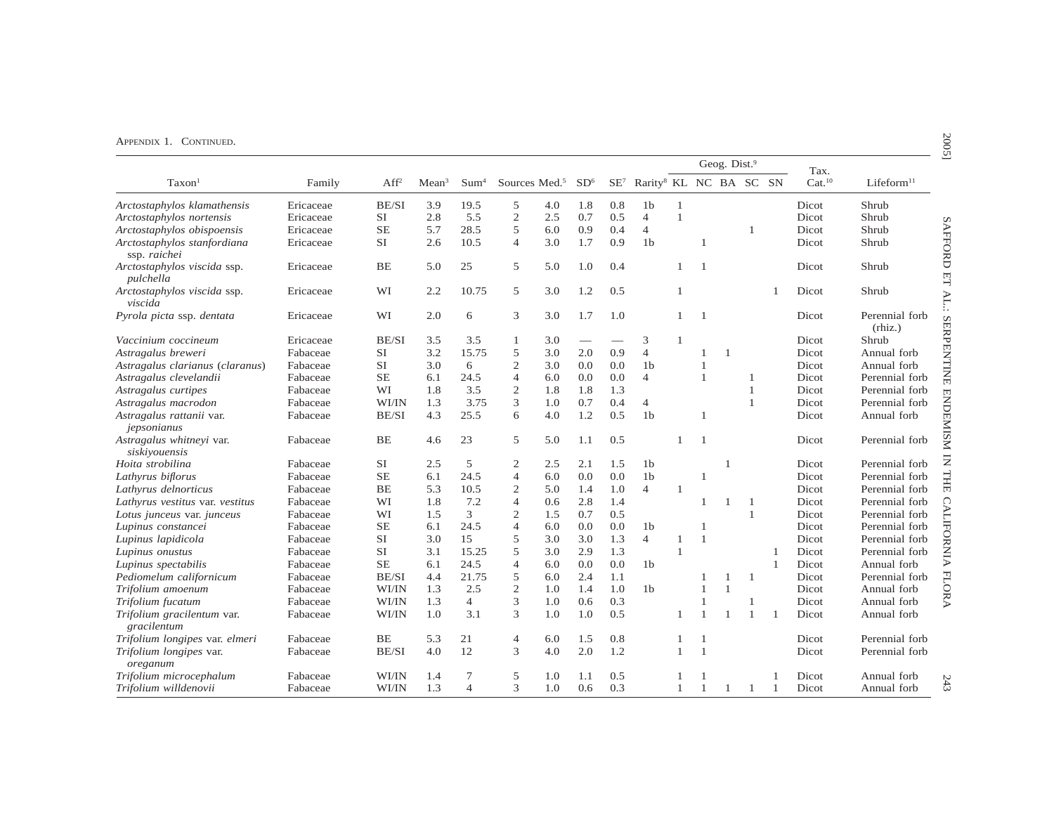|                                             |           |                  |                   |                  |                           |     |                 |     |                                                    |              |                | Geog. Dist.9   |              |                | Tax.               |                           |
|---------------------------------------------|-----------|------------------|-------------------|------------------|---------------------------|-----|-----------------|-----|----------------------------------------------------|--------------|----------------|----------------|--------------|----------------|--------------------|---------------------------|
| Taxon <sup>1</sup>                          | Family    | Aff <sup>2</sup> | Mean <sup>3</sup> | Sum <sup>4</sup> | Sources Med. <sup>5</sup> |     | SD <sup>6</sup> |     | SE <sup>7</sup> Rarity <sup>8</sup> KL NC BA SC SN |              |                |                |              |                | Cat. <sup>10</sup> | Lifeform <sup>11</sup>    |
| Arctostaphylos klamathensis                 | Ericaceae | BE/SI            | 3.9               | 19.5             | 5                         | 4.0 | 1.8             | 0.8 | 1 <sub>b</sub>                                     | $\mathbf{1}$ |                |                |              |                | Dicot              | Shrub                     |
| Arctostaphylos nortensis                    | Ericaceae | <b>SI</b>        | 2.8               | 5.5              | $\mathfrak{2}$            | 2.5 | 0.7             | 0.5 | $\overline{4}$                                     | 1            |                |                |              |                | Dicot              | Shrub                     |
| Arctostaphylos obispoensis                  | Ericaceae | <b>SE</b>        | 5.7               | 28.5             | 5                         | 6.0 | 0.9             | 0.4 | $\overline{4}$                                     |              |                |                | 1            |                | Dicot              | Shrub                     |
| Arctostaphylos stanfordiana<br>ssp. raichei | Ericaceae | <b>SI</b>        | 2.6               | 10.5             | $\overline{4}$            | 3.0 | 1.7             | 0.9 | 1 <sub>b</sub>                                     |              | $\overline{1}$ |                |              |                | Dicot              | Shrub                     |
| Arctostaphylos viscida ssp.<br>pulchella    | Ericaceae | BE               | 5.0               | 25               | 5                         | 5.0 | 1.0             | 0.4 |                                                    | -1           | -1             |                |              |                | Dicot              | Shrub                     |
| Arctostaphylos viscida ssp.<br>viscida      | Ericaceae | WI               | 2.2               | 10.75            | 5                         | 3.0 | 1.2             | 0.5 |                                                    | 1            |                |                |              |                | Dicot              | Shrub                     |
| Pyrola picta ssp. dentata                   | Ericaceae | WI               | 2.0               | 6                | 3                         | 3.0 | 1.7             | 1.0 |                                                    | 1            | $\overline{1}$ |                |              |                | Dicot              | Perennial forb<br>(rhiz.) |
| Vaccinium coccineum                         | Ericaceae | BE/SI            | 3.5               | 3.5              | $\mathbf{1}$              | 3.0 |                 |     | 3                                                  | $\mathbf{1}$ |                |                |              |                | Dicot              | Shrub                     |
| Astragalus breweri                          | Fabaceae  | <b>SI</b>        | 3.2               | 15.75            | 5                         | 3.0 | 2.0             | 0.9 | $\overline{4}$                                     |              | 1              | $\overline{1}$ |              |                | Dicot              | Annual forb               |
| Astragalus clarianus (claranus)             | Fabaceae  | <b>SI</b>        | 3.0               | 6                | $\mathbf 2$               | 3.0 | 0.0             | 0.0 | 1 <sub>b</sub>                                     |              | $\overline{1}$ |                |              |                | Dicot              | Annual forb               |
| Astragalus clevelandii                      | Fabaceae  | <b>SE</b>        | 6.1               | 24.5             | $\overline{4}$            | 6.0 | 0.0             | 0.0 | $\overline{4}$                                     |              | $\overline{1}$ |                | 1            |                | Dicot              | Perennial forb            |
| Astragalus curtipes                         | Fabaceae  | WI               | 1.8               | 3.5              | $\mathfrak{2}$            | 1.8 | 1.8             | 1.3 |                                                    |              |                |                | 1            |                | Dicot              | Perennial forb            |
| Astragalus macrodon                         | Fabaceae  | WI/IN            | 1.3               | 3.75             | 3                         | 1.0 | 0.7             | 0.4 | $\overline{4}$                                     |              |                |                | 1            |                | Dicot              | Perennial forb            |
| Astragalus rattanii var.<br>jepsonianus     | Fabaceae  | BE/SI            | 4.3               | 25.5             | 6                         | 4.0 | 1.2             | 0.5 | 1 <sub>b</sub>                                     |              | $\overline{1}$ |                |              |                | Dicot              | Annual forb               |
| Astragalus whitneyi var.<br>siskiyouensis   | Fabaceae  | BE               | 4.6               | 23               | 5                         | 5.0 | 1.1             | 0.5 |                                                    | 1            | $\overline{1}$ |                |              |                | Dicot              | Perennial forb            |
| Hoita strobilina                            | Fabaceae  | <b>SI</b>        | 2.5               | 5                | 2                         | 2.5 | 2.1             | 1.5 | 1 <sub>b</sub>                                     |              |                | 1              |              |                | Dicot              | Perennial forb            |
| Lathyrus biflorus                           | Fabaceae  | <b>SE</b>        | 6.1               | 24.5             | $\overline{4}$            | 6.0 | 0.0             | 0.0 | 1 <sub>b</sub>                                     |              | -1             |                |              |                | Dicot              | Perennial forb            |
| Lathyrus delnorticus                        | Fabaceae  | <b>BE</b>        | 5.3               | 10.5             | $\mathfrak{2}$            | 5.0 | 1.4             | 1.0 | $\overline{4}$                                     | $\mathbf{1}$ |                |                |              |                | Dicot              | Perennial forb            |
| Lathyrus vestitus var. vestitus             | Fabaceae  | WI               | 1.8               | 7.2              | $\overline{4}$            | 0.6 | 2.8             | 1.4 |                                                    |              | 1              | 1              | 1            |                | Dicot              | Perennial forb            |
| Lotus junceus var. junceus                  | Fabaceae  | WI               | 1.5               | 3                | $\overline{2}$            | 1.5 | 0.7             | 0.5 |                                                    |              |                |                | $\mathbf{1}$ |                | Dicot              | Perennial forb            |
| Lupinus constancei                          | Fabaceae  | <b>SE</b>        | 6.1               | 24.5             | $\overline{4}$            | 6.0 | 0.0             | 0.0 | 1 <sub>b</sub>                                     |              | $\mathbf{1}$   |                |              |                | Dicot              | Perennial forb            |
| Lupinus lapidicola                          | Fabaceae  | SI               | 3.0               | 15               | 5                         | 3.0 | 3.0             | 1.3 | $\overline{4}$                                     | 1            | $\overline{1}$ |                |              |                | Dicot              | Perennial forb            |
| Lupinus onustus                             | Fabaceae  | <b>SI</b>        | 3.1               | 15.25            | 5                         | 3.0 | 2.9             | 1.3 |                                                    | $\mathbf{1}$ |                |                |              | -1             | Dicot              | Perennial forb            |
| Lupinus spectabilis                         | Fabaceae  | <b>SE</b>        | 6.1               | 24.5             | $\overline{4}$            | 6.0 | 0.0             | 0.0 | 1 <sub>b</sub>                                     |              |                |                |              | $\mathbf{1}$   | Dicot              | Annual forb               |
| Pediomelum californicum                     | Fabaceae  | BE/SI            | 4.4               | 21.75            | 5                         | 6.0 | 2.4             | 1.1 |                                                    |              | 1              | 1              | 1            |                | Dicot              | Perennial forb            |
| Trifolium amoenum                           | Fabaceae  | WI/IN            | 1.3               | 2.5              | $\overline{2}$            | 1.0 | 1.4             | 1.0 | 1 <sub>b</sub>                                     |              | $\overline{1}$ | -1             |              |                | Dicot              | Annual forb               |
| Trifolium fucatum                           | Fabaceae  | WI/IN            | 1.3               | $\overline{4}$   | 3                         | 1.0 | 0.6             | 0.3 |                                                    |              | $\mathbf{1}$   |                | 1            |                | Dicot              | Annual forb               |
| Trifolium gracilentum var.<br>gracilentum   | Fabaceae  | WI/IN            | 1.0               | 3.1              | 3                         | 1.0 | 1.0             | 0.5 |                                                    | 1            | $\overline{1}$ |                | $\mathbf{1}$ | $\overline{1}$ | Dicot              | Annual forb               |
| Trifolium longipes var. elmeri              | Fabaceae  | BE               | 5.3               | 21               | $\overline{4}$            | 6.0 | 1.5             | 0.8 |                                                    | 1            | $\mathbf{1}$   |                |              |                | Dicot              | Perennial forb            |
| Trifolium longipes var.<br>oreganum         | Fabaceae  | BE/SI            | 4.0               | 12               | 3                         | 4.0 | 2.0             | 1.2 |                                                    | $\mathbf{1}$ | $\overline{1}$ |                |              |                | Dicot              | Perennial forb            |
| Trifolium microcephalum                     | Fabaceae  | WI/IN            | 1.4               | 7                | 5                         | 1.0 | 1.1             | 0.5 |                                                    |              |                |                |              |                | Dicot              | Annual forb               |
| Trifolium willdenovii                       | Fabaceae  | WI/IN            | 1.3               | $\overline{4}$   | 3                         | 1.0 | 0.6             | 0.3 |                                                    | $\mathbf{1}$ | $\overline{1}$ | -1             | -1           | 1              | Dicot              | Annual forb               |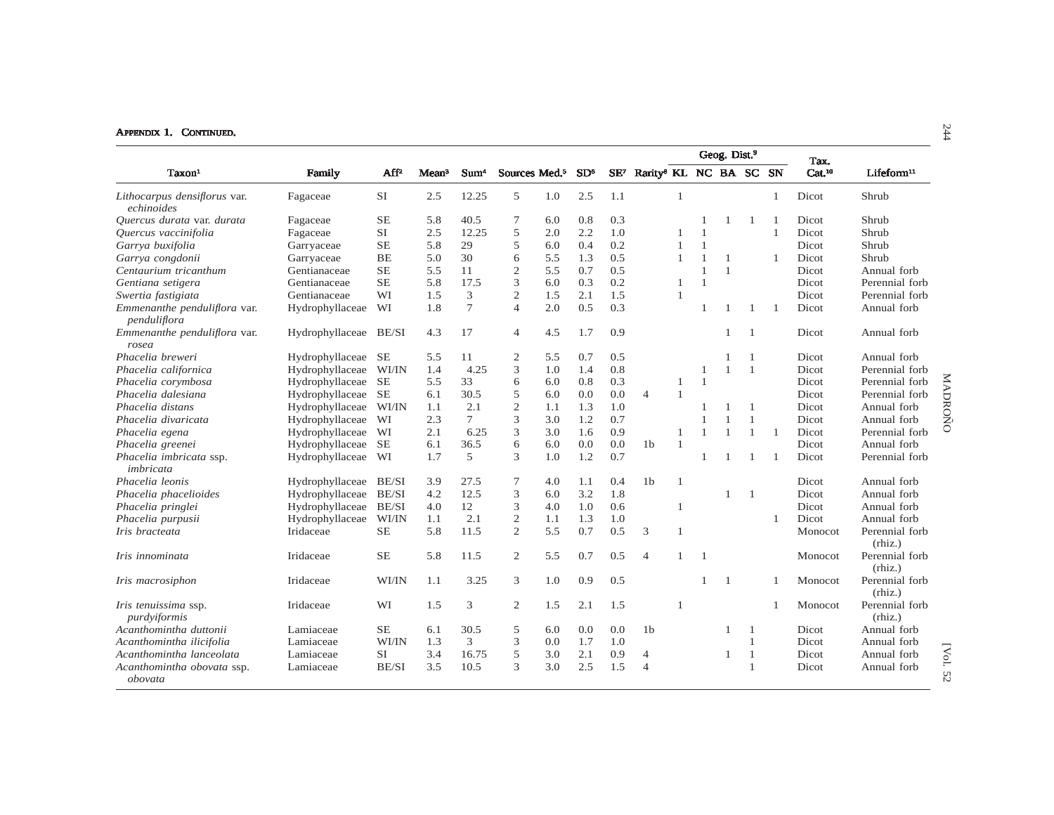|                                              |                       |           |                   |                  |                |                           |                 |                 |                                    |                |                | Geog. Dist. <sup>9</sup> |                |                | Tax.               |                           |
|----------------------------------------------|-----------------------|-----------|-------------------|------------------|----------------|---------------------------|-----------------|-----------------|------------------------------------|----------------|----------------|--------------------------|----------------|----------------|--------------------|---------------------------|
| Taxon <sup>1</sup>                           | Family                | $AF^2$    | Mean <sup>3</sup> | Sum <sup>4</sup> |                | Sources Med. <sup>5</sup> | SD <sup>6</sup> | SE <sup>7</sup> | Rarity <sup>8</sup> KL NC BA SC SN |                |                |                          |                |                | Cat. <sup>10</sup> | Lifeform <sup>11</sup>    |
| Lithocarpus densiflorus var.<br>echinoides   | Fagaceae              | <b>SI</b> | 2.5               | 12.25            | 5              | 1.0                       | 2.5             | 1.1             |                                    | 1              |                |                          |                | $\mathbf{1}$   | Dicot              | Shrub                     |
| Quercus durata var. durata                   | Fagaceae              | <b>SE</b> | 5.8               | 40.5             | 7              | 6.0                       | 0.8             | 0.3             |                                    |                |                | 1                        | $\overline{1}$ |                | <b>Dicot</b>       | Shrub                     |
| Quercus vaccinifolia                         | Fagaceae              | <b>SI</b> | 2.5               | 12.25            | 5              | 2.0                       | 2.2             | 1.0             |                                    |                | $\mathbf{1}$   |                          |                | $\mathbf{1}$   | Dicot              | Shrub                     |
| Garrya buxifolia                             | Garryaceae            | <b>SE</b> | 5.8               | 29               | 5              | 6.0                       | 0.4             | 0.2             |                                    |                | $\mathbf{1}$   |                          |                |                | Dicot              | Shrub                     |
| Garrya congdonii                             | Garryaceae            | <b>BE</b> | 5.0               | 30               | 6              | 5.5                       | 1.3             | 0.5             |                                    | -1             | 1              | -1                       |                | 1              | Dicot              | Shrub                     |
| Centaurium tricanthum                        | Gentianaceae          | <b>SE</b> | 5.5               | 11               | $\overline{c}$ | 5.5                       | 0.7             | 0.5             |                                    |                | $\mathbf{1}$   | $\mathbf{1}$             |                |                | Dicot              | Annual forb               |
| Gentiana setigera                            | Gentianaceae          | <b>SE</b> | 5.8               | 17.5             | 3              | 6.0                       | 0.3             | 0.2             |                                    | $\mathbf{1}$   | $\mathbf{1}$   |                          |                |                | Dicot              | Perennial forb            |
| Swertia fastigiata                           | Gentianaceae          | WI        | 1.5               | 3                | $\mathbf{2}$   | 1.5                       | 2.1             | 1.5             |                                    | $\overline{1}$ |                |                          |                |                | Dicot              | Perennial forb            |
| Emmenanthe penduliflora var.<br>penduliflora | Hydrophyllaceae       | WI        | 1.8               | $\overline{7}$   | $\overline{4}$ | 2.0                       | 0.5             | 0.3             |                                    |                | 1              | $\overline{1}$           | $\overline{1}$ | $\overline{1}$ | Dicot              | Annual forb               |
| Emmenanthe penduliflora var.<br>rosea        | Hydrophyllaceae BE/SI |           | 4.3               | 17               | $\overline{4}$ | 4.5                       | 1.7             | 0.9             |                                    |                |                | $\mathbf{1}$             | $\mathbf{1}$   |                | Dicot              | Annual forb               |
| Phacelia breweri                             | Hydrophyllaceae       | <b>SE</b> | 5.5               | 11               | $\mathfrak{2}$ | 5.5                       | 0.7             | 0.5             |                                    |                |                |                          | $\mathbf{1}$   |                | Dicot              | Annual forb               |
| Phacelia californica                         | Hydrophyllaceae       | WI/IN     | 1.4               | 4.25             | 3              | 1.0                       | 1.4             | 0.8             |                                    |                | 1              | $\mathbf{1}$             | -1             |                | Dicot              | Perennial forb            |
| Phacelia corymbosa                           | Hydrophyllaceae       | <b>SE</b> | 5.5               | 33               | 6              | 6.0                       | 0.8             | 0.3             |                                    | -1             | $\mathbf{1}$   |                          |                |                | Dicot              | Perennial forb            |
| Phacelia dalesiana                           | Hydrophyllaceae       | <b>SE</b> | 6.1               | 30.5             | 5              | 6.0                       | 0.0             | 0.0             | $\overline{4}$                     | $\mathbf{1}$   |                |                          |                |                | Dicot              | Perennial forb            |
| Phacelia distans                             | Hydrophyllaceae       | WI/IN     | 1.1               | 2.1              | $\sqrt{2}$     | 1.1                       | 1.3             | 1.0             |                                    |                |                |                          | $\overline{1}$ |                | Dicot              | Annual forb               |
| Phacelia divaricata                          | Hydrophyllaceae       | WI        | 2.3               | $\tau$           | 3              | 3.0                       | 1.2             | 0.7             |                                    |                | $\mathbf{1}$   | $\mathbf{1}$             | 1              |                | Dicot              | MADROÑO<br>Annual forb    |
| Phacelia egena                               | Hydrophyllaceae       | WI        | 2.1               | 6.25             | 3              | 3.0                       | 1.6             | 0.9             |                                    | $\overline{1}$ | $\mathbf{1}$   | $\overline{1}$           | $\mathbf{1}$   | $\mathbf{1}$   | Dicot              | Perennial forb            |
| Phacelia greenei                             | Hydrophyllaceae       | <b>SE</b> | 6.1               | 36.5             | 6              | 6.0                       | 0.0             | 0.0             | 1 <sub>b</sub>                     |                |                |                          |                |                | Dicot              | Annual forb               |
| Phacelia imbricata ssp.<br>imbricata         | Hydrophyllaceae       | WI        | 1.7               | 5                | 3              | 1.0                       | 1.2             | 0.7             |                                    |                |                |                          | -1             | -1             | Dicot              | Perennial forb            |
| Phacelia leonis                              | Hydrophyllaceae       | BE/SI     | 3.9               | 27.5             | 7              | 4.0                       | 1.1             | 0.4             | 1 <sub>b</sub>                     | 1              |                |                          |                |                | Dicot              | Annual forb               |
| Phacelia phacelioides                        | Hydrophyllaceae       | BE/SI     | 4.2               | 12.5             | 3              | 6.0                       | 3.2             | 1.8             |                                    |                |                | 1                        | -1             |                | Dicot              | Annual forb               |
| Phacelia pringlei                            | Hydrophyllaceae       | BE/SI     | 4.0               | 12               | 3              | 4.0                       | 1.0             | 0.6             |                                    | -1             |                |                          |                |                | Dicot              | Annual forb               |
| Phacelia purpusii                            | Hydrophyllaceae       | WI/IN     | 1.1               | 2.1              | $\sqrt{2}$     | 1.1                       | 1.3             | 1.0             |                                    |                |                |                          |                | $\mathbf{1}$   | Dicot              | Annual forb               |
| Iris bracteata                               | Iridaceae             | <b>SE</b> | 5.8               | 11.5             | $\overline{2}$ | 5.5                       | 0.7             | 0.5             | 3                                  | $\mathbf{1}$   |                |                          |                |                | Monocot            | Perennial forb<br>(rhiz.) |
| Iris innominata                              | Iridaceae             | <b>SE</b> | 5.8               | 11.5             | 2              | 5.5                       | 0.7             | 0.5             | $\overline{4}$                     | $\mathbf{1}$   | $\overline{1}$ |                          |                |                | Monocot            | Perennial forb<br>(rhiz.) |
| Iris macrosiphon                             | Iridaceae             | WI/IN     | 1.1               | 3.25             | 3              | 1.0                       | 0.9             | 0.5             |                                    |                |                | $\overline{1}$           |                | -1             | Monocot            | Perennial forb<br>(rhiz.) |
| Iris tenuissima ssp.<br>purdviformis         | Iridaceae             | WI        | 1.5               | 3                | 2              | 1.5                       | 2.1             | 1.5             |                                    | $\overline{1}$ |                |                          |                |                | Monocot            | Perennial forb<br>(rhiz.) |
| Acanthomintha duttonii                       | Lamiaceae             | <b>SE</b> | 6.1               | 30.5             | 5              | 6.0                       | 0.0             | 0.0             | 1 <sub>b</sub>                     |                |                | $\overline{1}$           | -1             |                | Dicot              | Annual forb               |
| Acanthomintha ilicifolia                     | Lamiaceae             | WI/IN     | 1.3               | 3                | 3              | 0.0                       | 1.7             | 1.0             |                                    |                |                |                          | $\mathbf{1}$   |                | Dicot              | Annual forb               |
| Acanthomintha lanceolata                     | Lamiaceae             | <b>SI</b> | 3.4               | 16.75            | 5              | 3.0                       | 2.1             | 0.9             | $\overline{4}$                     |                |                | $\overline{1}$           | $\mathbf{1}$   |                | Dicot              | Annual forb               |
| Acanthomintha obovata ssp.<br>obovata        | Lamiaceae             | BE/SI     | 3.5               | 10.5             | 3              | 3.0                       | 2.5             | 1.5             | 4                                  |                |                |                          | $\mathbf{1}$   |                | Dicot              | [Vol. 52<br>Annual forb   |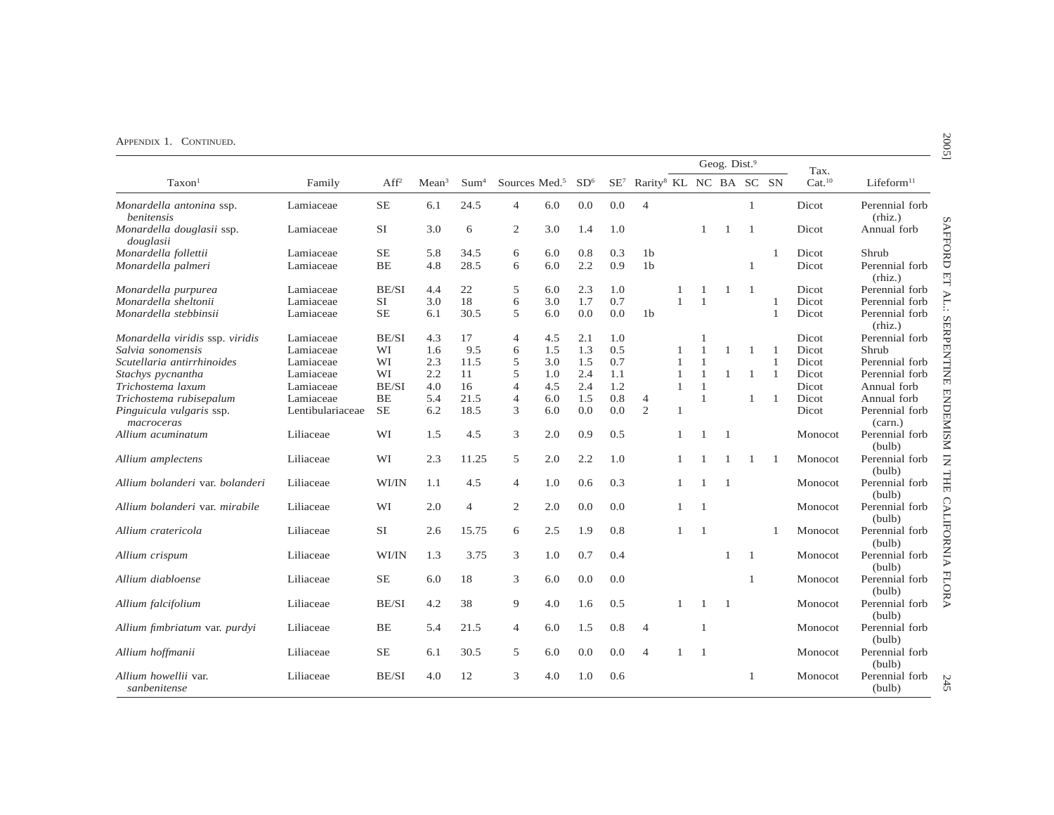|                                        |                  |                  |                   |                  |                |                           |                 |     |                                                    |              |                | Geog. Dist. <sup>9</sup> |              |                | Tax.               |                           |
|----------------------------------------|------------------|------------------|-------------------|------------------|----------------|---------------------------|-----------------|-----|----------------------------------------------------|--------------|----------------|--------------------------|--------------|----------------|--------------------|---------------------------|
| Taxon <sup>1</sup>                     | Family           | Aff <sup>2</sup> | Mean <sup>3</sup> | Sum <sup>4</sup> |                | Sources Med. <sup>5</sup> | SD <sup>6</sup> |     | SE <sup>7</sup> Rarity <sup>8</sup> KL NC BA SC SN |              |                |                          |              |                | Cat. <sup>10</sup> | Lifeform <sup>11</sup>    |
| Monardella antonina ssp.<br>benitensis | Lamiaceae        | $\rm SE$         | 6.1               | 24.5             | $\overline{4}$ | 6.0                       | 0.0             | 0.0 | $\overline{4}$                                     |              |                |                          | $\mathbf{1}$ |                | Dicot              | Perennial forb<br>(rhiz.) |
| Monardella douglasii ssp.<br>douglasii | Lamiaceae        | SI               | 3.0               | 6                | $\overline{c}$ | 3.0                       | 1.4             | 1.0 |                                                    |              | $\mathbf{1}$   | -1                       | 1            |                | Dicot              | Annual forb               |
| Monardella follettii                   | Lamiaceae        | <b>SE</b>        | 5.8               | 34.5             | 6              | 6.0                       | 0.8             | 0.3 | 1 <sub>b</sub>                                     |              |                |                          |              | 1              | Dicot              | Shrub                     |
| Monardella palmeri                     | Lamiaceae        | BE               | 4.8               | 28.5             | 6              | 6.0                       | 2.2             | 0.9 | 1 <sub>b</sub>                                     |              |                |                          | 1            |                | Dicot              | Perennial forb<br>(rhiz.) |
| Monardella purpurea                    | Lamiaceae        | BE/SI            | 4.4               | 22               | 5              | 6.0                       | 2.3             | 1.0 |                                                    |              |                |                          | -1           |                | Dicot              | Perennial forb            |
| Monardella sheltonii                   | Lamiaceae        | SI               | 3.0               | 18               | 6              | 3.0                       | 1.7             | 0.7 |                                                    | 1            | $\mathbf{1}$   |                          |              | 1              | Dicot              | Perennial forb            |
| Monardella stebbinsii                  | Lamiaceae        | <b>SE</b>        | 6.1               | 30.5             | 5              | 6.0                       | 0.0             | 0.0 | 1 <sub>b</sub>                                     |              |                |                          |              | $\mathbf{1}$   | Dicot              | Perennial forb<br>(rhiz.) |
| Monardella viridis ssp. viridis        | Lamiaceae        | BE/SI            | 4.3               | 17               | $\overline{4}$ | 4.5                       | 2.1             | 1.0 |                                                    |              |                |                          |              |                | Dicot              | Perennial forb            |
| Salvia sonomensis                      | Lamiaceae        | WI               | 1.6               | 9.5              | 6              | 1.5                       | 1.3             | 0.5 |                                                    | 1            |                |                          | -1           | $\overline{1}$ | Dicot              | Shrub                     |
| Scutellaria antirrhinoides             | Lamiaceae        | WI               | 2.3               | 11.5             | 5              | 3.0                       | 1.5             | 0.7 |                                                    | 1            |                |                          |              | $\mathbf{1}$   | Dicot              | Perennial forb            |
| Stachys pycnantha                      | Lamiaceae        | WI               | 2.2               | 11               | 5              | 1.0                       | 2.4             | 1.1 |                                                    | $\mathbf{1}$ |                |                          | 1            | $\mathbf{1}$   | Dicot              | Perennial forb            |
| Trichostema laxum                      | Lamiaceae        | BE/SI            | 4.0               | 16               | $\overline{4}$ | 4.5                       | 2.4             | 1.2 |                                                    | 1            |                |                          |              |                | Dicot              | Annual forb               |
| Trichostema rubisepalum                | Lamiaceae        | BE               | 5.4               | 21.5             | $\overline{4}$ | 6.0                       | 1.5             | 0.8 | $\overline{4}$                                     |              | $\overline{1}$ |                          | 1            | $\overline{1}$ | Dicot              | Annual forb               |
| Pinguicula vulgaris ssp.<br>macroceras | Lentibulariaceae | $\rm SE$         | 6.2               | 18.5             | 3              | 6.0                       | 0.0             | 0.0 | 2                                                  | 1            |                |                          |              |                | Dicot              | Perennial forb<br>(carn.) |
| Allium acuminatum                      | Liliaceae        | WI               | 1.5               | 4.5              | 3              | 2.0                       | 0.9             | 0.5 |                                                    | 1            |                | $\overline{1}$           |              |                | Monocot            | Perennial forb<br>(bulb)  |
| Allium amplectens                      | Liliaceae        | WI               | 2.3               | 11.25            | 5              | 2.0                       | 2.2             | 1.0 |                                                    |              |                |                          | -1           | -1             | Monocot            | Perennial forb<br>(bulb)  |
| Allium bolanderi var. bolanderi        | Liliaceae        | WI/IN            | 1.1               | 4.5              | 4              | 1.0                       | 0.6             | 0.3 |                                                    |              | $\mathbf{1}$   | $\overline{1}$           |              |                | Monocot            | Perennial forb<br>(bulb)  |
| Allium bolanderi var. mirabile         | Liliaceae        | WI               | 2.0               | $\overline{4}$   | 2              | 2.0                       | 0.0             | 0.0 |                                                    | 1            | $\overline{1}$ |                          |              |                | Monocot            | Perennial forb<br>(bulb)  |
| Allium cratericola                     | Liliaceae        | SI               | 2.6               | 15.75            | 6              | 2.5                       | 1.9             | 0.8 |                                                    | 1            | -1             |                          |              | 1              | Monocot            | Perennial forb<br>(bulb)  |
| Allium crispum                         | Liliaceae        | WI/IN            | 1.3               | 3.75             | 3              | 1.0                       | 0.7             | 0.4 |                                                    |              |                | 1                        | -1           |                | Monocot            | Perennial forb<br>(bulb)  |
| Allium diabloense                      | Liliaceae        | <b>SE</b>        | 6.0               | 18               | 3              | 6.0                       | 0.0             | 0.0 |                                                    |              |                |                          | $\mathbf{1}$ |                | Monocot            | Perennial forb<br>(bulb)  |
| Allium falcifolium                     | Liliaceae        | BE/SI            | 4.2               | 38               | 9              | 4.0                       | 1.6             | 0.5 |                                                    |              | $\overline{1}$ | $\overline{1}$           |              |                | Monocot            | Perennial forb<br>(bulb)  |
| Allium fimbriatum var. purdyi          | Liliaceae        | BE               | 5.4               | 21.5             | $\overline{4}$ | 6.0                       | 1.5             | 0.8 | $\overline{4}$                                     |              | $\overline{1}$ |                          |              |                | Monocot            | Perennial forb<br>(bulb)  |
| Allium hoffmanii                       | Liliaceae        | $\rm SE$         | 6.1               | 30.5             | 5              | 6.0                       | 0.0             | 0.0 | $\overline{4}$                                     | 1            | $\overline{1}$ |                          |              |                | Monocot            | Perennial forb<br>(bulb)  |
| Allium howellii var.<br>sanbenitense   | Liliaceae        | BE/SI            | 4.0               | 12               | 3              | 4.0                       | 1.0             | 0.6 |                                                    |              |                |                          | 1            |                | Monocot            | Perennial forb<br>(bulb)  |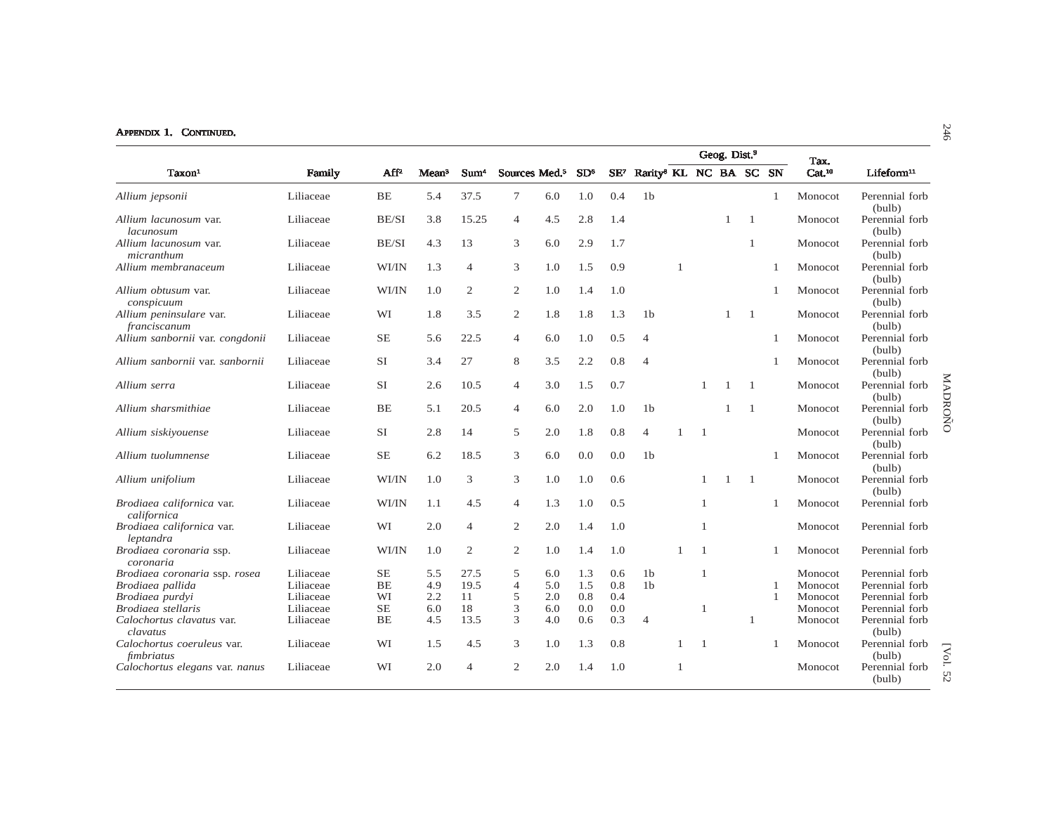|                                          |           |           |                   |                  |                           |     |                 |        |                                    |                |                | Geog. Dist. <sup>9</sup> |                |                |                            |                                     |
|------------------------------------------|-----------|-----------|-------------------|------------------|---------------------------|-----|-----------------|--------|------------------------------------|----------------|----------------|--------------------------|----------------|----------------|----------------------------|-------------------------------------|
| Taxon <sup>1</sup>                       | Family    | $AF^2$    | Mean <sup>3</sup> | Sum <sup>4</sup> | Sources Med. <sup>5</sup> |     | SD <sup>6</sup> | $SE^7$ | Rarity <sup>8</sup> KL NC BA SC SN |                |                |                          |                |                | Tax.<br>Cat. <sup>10</sup> | Lifeform <sup>11</sup>              |
| Allium jepsonii                          | Liliaceae | <b>BE</b> | 5.4               | 37.5             | $\tau$                    | 6.0 | 1.0             | 0.4    | 1 <sub>b</sub>                     |                |                |                          |                | $\mathbf{1}$   | Monocot                    | Perennial forb<br>(bulb)            |
| Allium lacunosum var.<br>lacunosum       | Liliaceae | BE/SI     | 3.8               | 15.25            | 4                         | 4.5 | 2.8             | 1.4    |                                    |                |                | -1                       | -1             |                | Monocot                    | Perennial forb<br>(bulb)            |
| Allium lacunosum var.<br>micranthum      | Liliaceae | BE/SI     | 4.3               | 13               | 3                         | 6.0 | 2.9             | 1.7    |                                    |                |                |                          | $\mathbf{1}$   |                | Monocot                    | Perennial forb<br>(bulb)            |
| Allium membranaceum                      | Liliaceae | WI/IN     | 1.3               | $\overline{4}$   | 3                         | 1.0 | 1.5             | 0.9    |                                    | $\overline{1}$ |                |                          |                |                | Monocot                    | Perennial forb<br>(bulb)            |
| Allium obtusum var.<br>conspicuum        | Liliaceae | WI/IN     | 1.0               | 2                | $\overline{c}$            | 1.0 | 1.4             | 1.0    |                                    |                |                |                          |                |                | Monocot                    | Perennial forb<br>(bulb)            |
| Allium peninsulare var.<br>franciscanum  | Liliaceae | WI        | 1.8               | 3.5              | $\overline{c}$            | 1.8 | 1.8             | 1.3    | 1 <sub>b</sub>                     |                |                | $\overline{1}$           | -1             |                | Monocot                    | Perennial forb<br>(bulb)            |
| Allium sanbornii var. congdonii          | Liliaceae | <b>SE</b> | 5.6               | 22.5             | $\overline{4}$            | 6.0 | 1.0             | 0.5    | $\overline{4}$                     |                |                |                          |                |                | Monocot                    | Perennial forb<br>(bulb)            |
| Allium sanbornii var. sanbornii          | Liliaceae | <b>SI</b> | 3.4               | 27               | 8                         | 3.5 | 2.2             | 0.8    | $\overline{4}$                     |                |                |                          |                |                | Monocot                    | Perennial forb<br>(bulb)            |
| Allium serra                             | Liliaceae | <b>SI</b> | 2.6               | 10.5             | $\overline{4}$            | 3.0 | 1.5             | 0.7    |                                    |                | $\mathbf{1}$   | 1                        | -1             |                | Monocot                    | MADROÑO<br>Perennial forb<br>(bulb) |
| Allium sharsmithiae                      | Liliaceae | BE        | 5.1               | 20.5             | $\overline{4}$            | 6.0 | 2.0             | 1.0    | 1 <sub>b</sub>                     |                |                | $\overline{1}$           | $\overline{1}$ |                | Monocot                    | Perennial forb<br>(bulb)            |
| Allium siskiyouense                      | Liliaceae | <b>SI</b> | 2.8               | 14               | 5                         | 2.0 | 1.8             | 0.8    | $\overline{4}$                     |                | $\overline{1}$ |                          |                |                | Monocot                    | Perennial forb<br>(bulb)            |
| Allium tuolumnense                       | Liliaceae | $\rm SE$  | 6.2               | 18.5             | 3                         | 6.0 | 0.0             | 0.0    | 1 <sub>b</sub>                     |                |                |                          |                |                | Monocot                    | Perennial forb<br>(bulb)            |
| Allium unifolium                         | Liliaceae | WI/IN     | 1.0               | 3                | 3                         | 1.0 | 1.0             | 0.6    |                                    |                | 1              | -1                       | -1             |                | Monocot                    | Perennial forb<br>(bulb)            |
| Brodiaea californica var.<br>californica | Liliaceae | WI/IN     | 1.1               | 4.5              | 4                         | 1.3 | 1.0             | 0.5    |                                    |                | 1              |                          |                |                | Monocot                    | Perennial forb                      |
| Brodiaea californica var.<br>leptandra   | Liliaceae | WI        | 2.0               | $\overline{4}$   | $\overline{c}$            | 2.0 | 1.4             | 1.0    |                                    |                | $\mathbf{1}$   |                          |                |                | Monocot                    | Perennial forb                      |
| Brodiaea coronaria ssp.<br>coronaria     | Liliaceae | WI/IN     | 1.0               | 2                | $\overline{c}$            | 1.0 | 1.4             | 1.0    |                                    |                | $\mathbf{1}$   |                          |                |                | Monocot                    | Perennial forb                      |
| Brodiaea coronaria ssp. rosea            | Liliaceae | <b>SE</b> | 5.5               | 27.5             | 5                         | 6.0 | 1.3             | 0.6    | 1 <sub>b</sub>                     |                | $\mathbf{1}$   |                          |                |                | Monocot                    | Perennial forb                      |
| Brodiaea pallida                         | Liliaceae | BE        | 4.9               | 19.5             | $\overline{4}$            | 5.0 | 1.5             | 0.8    | 1 <sub>b</sub>                     |                |                |                          |                | $\overline{1}$ | Monocot                    | Perennial forb                      |
| Brodiaea purdvi                          | Liliaceae | WI        | 2.2               | 11               | 5                         | 2.0 | 0.8             | 0.4    |                                    |                |                |                          |                |                | Monocot                    | Perennial forb                      |
| Brodiaea stellaris                       | Liliaceae | $\rm SE$  | 6.0               | 18               | 3                         | 6.0 | 0.0             | 0.0    |                                    |                | $\mathbf{1}$   |                          |                |                | Monocot                    | Perennial forb                      |
| Calochortus clavatus var.<br>clavatus    | Liliaceae | <b>BE</b> | 4.5               | 13.5             | 3                         | 4.0 | 0.6             | 0.3    | $\overline{4}$                     |                |                |                          | $\mathbf{1}$   |                | Monocot                    | Perennial forb<br>(bulb)            |
| Calochortus coeruleus var.<br>fimbriatus | Liliaceae | WI        | 1.5               | 4.5              | 3                         | 1.0 | 1.3             | 0.8    |                                    |                | $\overline{1}$ |                          |                |                | Monocot                    | Perennial forb<br>[Vol.<br>(bulb)   |
| Calochortus elegans var. nanus           | Liliaceae | WI        | 2.0               | $\overline{4}$   | $\overline{2}$            | 2.0 | 1.4             | 1.0    |                                    |                |                |                          |                |                | Monocot                    | Perennial forb<br>52<br>(bulb)      |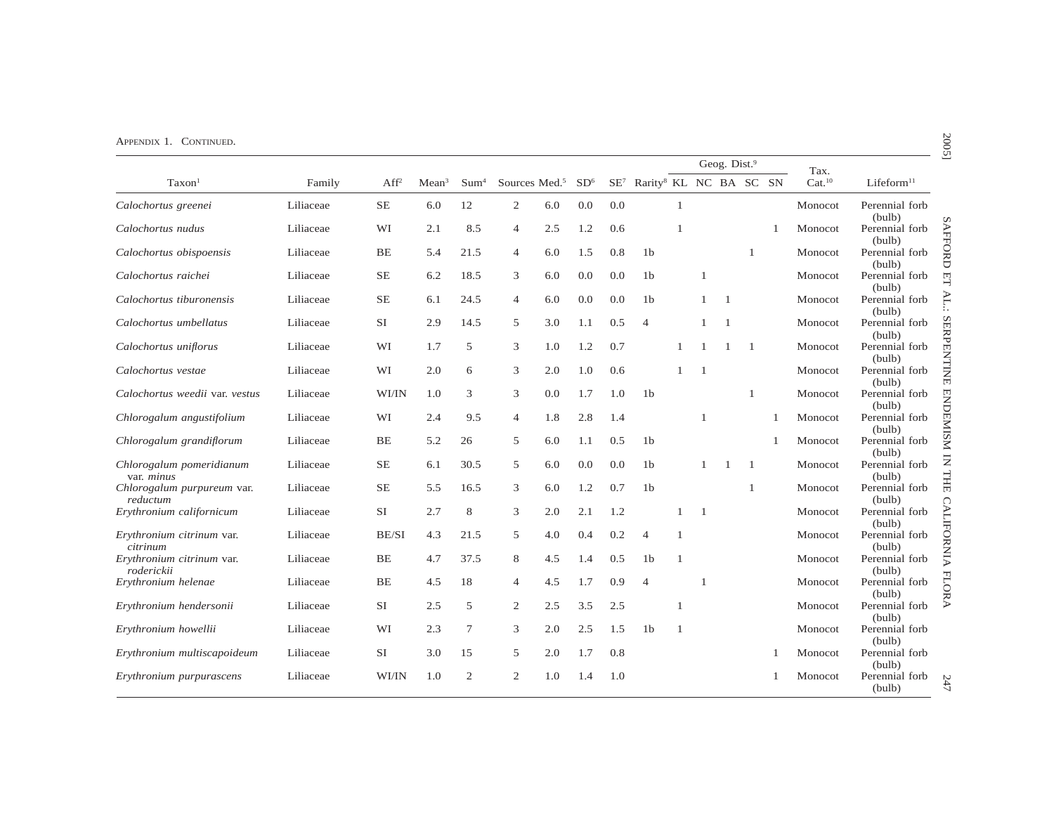|                                         |           |                  |                   |                  |                           |     |                 |     |                                                    |                |                | Geog. Dist. <sup>9</sup> |                |   | Tax.               |                          |
|-----------------------------------------|-----------|------------------|-------------------|------------------|---------------------------|-----|-----------------|-----|----------------------------------------------------|----------------|----------------|--------------------------|----------------|---|--------------------|--------------------------|
| Taxon <sup>1</sup>                      | Family    | Aff <sup>2</sup> | Mean <sup>3</sup> | Sum <sup>4</sup> | Sources Med. <sup>5</sup> |     | SD <sup>6</sup> |     | SE <sup>7</sup> Rarity <sup>8</sup> KL NC BA SC SN |                |                |                          |                |   | Cat. <sup>10</sup> | Lifeform <sup>11</sup>   |
| Calochortus greenei                     | Liliaceae | $\rm SE$         | 6.0               | 12               | $\mathbf{2}$              | 6.0 | 0.0             | 0.0 |                                                    | $\mathbf{1}$   |                |                          |                |   | Monocot            | Perennial forb<br>(bulb) |
| Calochortus nudus                       | Liliaceae | WI               | 2.1               | 8.5              | 4                         | 2.5 | 1.2             | 0.6 |                                                    | $\mathbf{1}$   |                |                          |                |   | Monocot            | Perennial forb<br>(bulb) |
| Calochortus obispoensis                 | Liliaceae | <b>BE</b>        | 5.4               | 21.5             | 4                         | 6.0 | 1.5             | 0.8 | 1 <sub>b</sub>                                     |                |                |                          | -1             |   | Monocot            | Perennial forb<br>(bulb) |
| Calochortus raichei                     | Liliaceae | SE               | 6.2               | 18.5             | 3                         | 6.0 | 0.0             | 0.0 | 1 <sub>b</sub>                                     |                | $\mathbf{1}$   |                          |                |   | Monocot            | Perennial forb<br>(bulb) |
| Calochortus tiburonensis                | Liliaceae | <b>SE</b>        | 6.1               | 24.5             | $\overline{4}$            | 6.0 | 0.0             | 0.0 | 1 <sub>b</sub>                                     |                | $\overline{1}$ | $\overline{1}$           |                |   | Monocot            | Perennial forb<br>(bulb) |
| Calochortus umbellatus                  | Liliaceae | <b>SI</b>        | 2.9               | 14.5             | 5                         | 3.0 | 1.1             | 0.5 | $\overline{4}$                                     |                | -1             | $\overline{1}$           |                |   | Monocot            | Perennial forb<br>(bulb) |
| Calochortus uniflorus                   | Liliaceae | WI               | 1.7               | 5                | 3                         | 1.0 | 1.2             | 0.7 |                                                    | 1              |                | $\overline{1}$           | $\overline{1}$ |   | Monocot            | Perennial forb<br>(bulb) |
| Calochortus vestae                      | Liliaceae | WI               | 2.0               | 6                | 3                         | 2.0 | 1.0             | 0.6 |                                                    | 1              | $\overline{1}$ |                          |                |   | Monocot            | Perennial forb<br>(bulb) |
| Calochortus weedii var. vestus          | Liliaceae | WI/IN            | 1.0               | 3                | 3                         | 0.0 | 1.7             | 1.0 | 1 <sub>b</sub>                                     |                |                |                          | 1              |   | Monocot            | Perennial forb<br>(bulb) |
| Chlorogalum angustifolium               | Liliaceae | WI               | 2.4               | 9.5              | $\overline{4}$            | 1.8 | 2.8             | 1.4 |                                                    |                |                |                          |                | 1 | Monocot            | Perennial forb<br>(bulb) |
| Chlorogalum grandiflorum                | Liliaceae | <b>BE</b>        | 5.2               | 26               | 5                         | 6.0 | 1.1             | 0.5 | 1 <sub>b</sub>                                     |                |                |                          |                | 1 | Monocot            | Perennial forb<br>(bulb) |
| Chlorogalum pomeridianum<br>var. minus  | Liliaceae | <b>SE</b>        | 6.1               | 30.5             | 5                         | 6.0 | 0.0             | 0.0 | 1 <sub>b</sub>                                     |                | 1              | $\mathbf{1}$             | -1             |   | Monocot            | Perennial forb<br>(bulb) |
| Chlorogalum purpureum var.<br>reductum  | Liliaceae | <b>SE</b>        | 5.5               | 16.5             | 3                         | 6.0 | 1.2             | 0.7 | 1 <sub>b</sub>                                     |                |                |                          | 1              |   | Monocot            | Perennial forb<br>(bulb) |
| Erythronium californicum                | Liliaceae | <b>SI</b>        | 2.7               | 8                | 3                         | 2.0 | 2.1             | 1.2 |                                                    | 1              | $\mathbf{1}$   |                          |                |   | Monocot            | Perennial forb<br>(bulb) |
| Erythronium citrinum var.<br>citrinum   | Liliaceae | BE/SI            | 4.3               | 21.5             | 5                         | 4.0 | 0.4             | 0.2 | $\overline{4}$                                     | $\mathbf{1}$   |                |                          |                |   | Monocot            | Perennial forb<br>(bulb) |
| Erythronium citrinum var.<br>roderickii | Liliaceae | <b>BE</b>        | 4.7               | 37.5             | 8                         | 4.5 | 1.4             | 0.5 | 1 <sub>b</sub>                                     | $\mathbf{1}$   |                |                          |                |   | Monocot            | Perennial forb<br>(bulb) |
| Erythronium helenae                     | Liliaceae | BE               | 4.5               | 18               | $\overline{4}$            | 4.5 | 1.7             | 0.9 | $\overline{4}$                                     |                | $\mathbf{1}$   |                          |                |   | Monocot            | Perennial forb<br>(bulb) |
| Erythronium hendersonii                 | Liliaceae | <b>SI</b>        | 2.5               | 5                | 2                         | 2.5 | 3.5             | 2.5 |                                                    | $\overline{1}$ |                |                          |                |   | Monocot            | Perennial forb<br>(bulb) |
| Erythronium howellii                    | Liliaceae | WI               | 2.3               | $\tau$           | 3                         | 2.0 | 2.5             | 1.5 | 1 <sub>b</sub>                                     | 1              |                |                          |                |   | Monocot            | Perennial forb<br>(bulb) |
| Erythronium multiscapoideum             | Liliaceae | <b>SI</b>        | 3.0               | 15               | 5                         | 2.0 | 1.7             | 0.8 |                                                    |                |                |                          |                | 1 | Monocot            | Perennial forb<br>(bulb) |
| Erythronium purpurascens                | Liliaceae | WI/IN            | 1.0               | $\overline{2}$   | $\mathbf{2}$              | 1.0 | 1.4             | 1.0 |                                                    |                |                |                          |                |   | Monocot            | Perennial forb<br>(bulb) |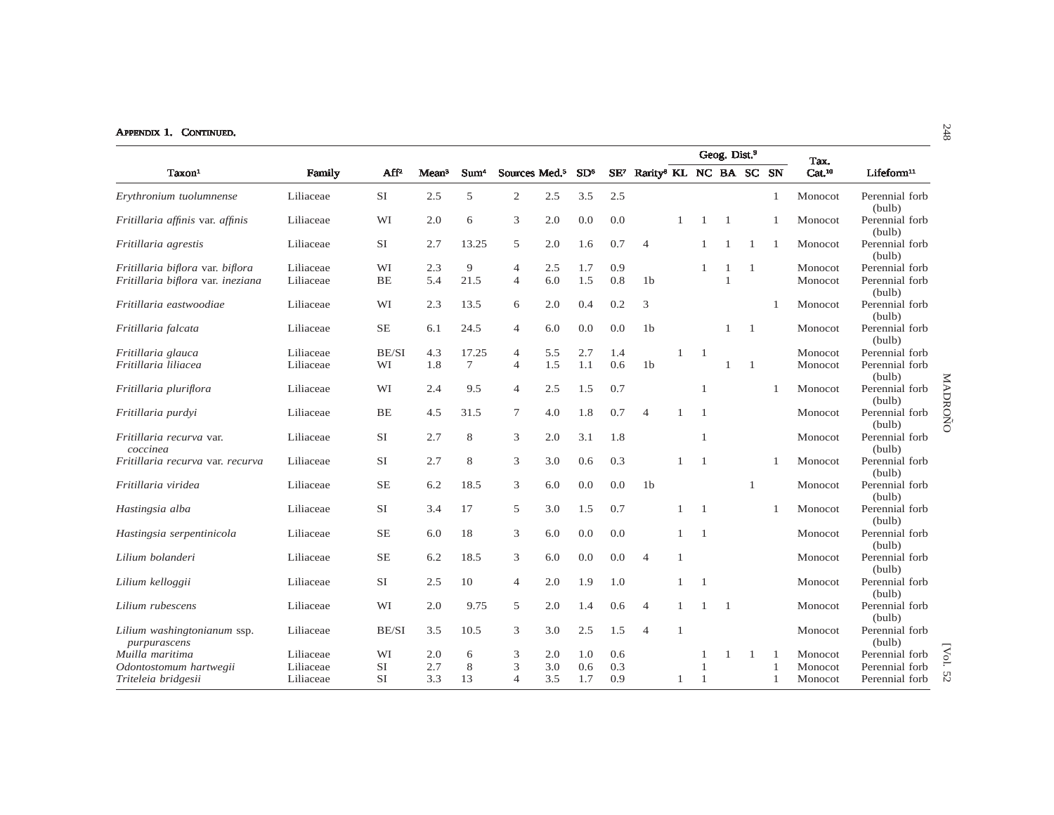|                                             |           |                  |                   |                  |                           |     |                 |     |                                                    |              |                | Geog. Dist. <sup>9</sup> |                |              |                            |                                     |
|---------------------------------------------|-----------|------------------|-------------------|------------------|---------------------------|-----|-----------------|-----|----------------------------------------------------|--------------|----------------|--------------------------|----------------|--------------|----------------------------|-------------------------------------|
| Taxon <sup>1</sup>                          | Family    | Aff <sup>2</sup> | Mean <sup>3</sup> | Sum <sup>4</sup> | Sources Med. <sup>5</sup> |     | SD <sup>6</sup> |     | SE <sup>7</sup> Rarity <sup>8</sup> KL NC BA SC SN |              |                |                          |                |              | Tax.<br>Cat. <sup>10</sup> | Lifeform <sup>11</sup>              |
| Erythronium tuolumnense                     | Liliaceae | <b>SI</b>        | 2.5               | 5                | $\mathfrak{2}$            | 2.5 | 3.5             | 2.5 |                                                    |              |                |                          |                | 1            | Monocot                    | Perennial forb<br>(bulb)            |
| Fritillaria affinis var. affinis            | Liliaceae | WI               | 2.0               | 6                | 3                         | 2.0 | 0.0             | 0.0 |                                                    |              |                | 1                        |                |              | Monocot                    | Perennial forb<br>(bulb)            |
| Fritillaria agrestis                        | Liliaceae | <b>SI</b>        | 2.7               | 13.25            | 5                         | 2.0 | 1.6             | 0.7 | $\overline{4}$                                     |              | 1              | $\mathbf{1}$             | 1              |              | Monocot                    | Perennial forb<br>(bulb)            |
| Fritillaria biflora var. biflora            | Liliaceae | WI               | 2.3               | 9                | $\overline{4}$            | 2.5 | 1.7             | 0.9 |                                                    |              | 1              | 1                        | -1             |              | Monocot                    | Perennial forb                      |
| Fritillaria biflora var. ineziana           | Liliaceae | BE               | 5.4               | 21.5             | $\overline{4}$            | 6.0 | 1.5             | 0.8 | 1 <sub>b</sub>                                     |              |                | -1                       |                |              | Monocot                    | Perennial forb<br>(bulb)            |
| Fritillaria eastwoodiae                     | Liliaceae | WI               | 2.3               | 13.5             | 6                         | 2.0 | 0.4             | 0.2 | 3                                                  |              |                |                          |                | $\mathbf{1}$ | Monocot                    | Perennial forb<br>(bulb)            |
| Fritillaria falcata                         | Liliaceae | <b>SE</b>        | 6.1               | 24.5             | $\overline{4}$            | 6.0 | 0.0             | 0.0 | 1 <sub>b</sub>                                     |              |                | -1                       | -1             |              | Monocot                    | Perennial forb<br>(bulb)            |
| Fritillaria glauca                          | Liliaceae | BE/SI            | 4.3               | 17.25            | $\overline{4}$            | 5.5 | 2.7             | 1.4 |                                                    | -1           | $\overline{1}$ |                          |                |              | Monocot                    | Perennial forb                      |
| Fritillaria liliacea                        | Liliaceae | WI               | 1.8               | 7                | $\overline{4}$            | 1.5 | 1.1             | 0.6 | 1 <sub>b</sub>                                     |              |                | $\mathbf{1}$             | $\overline{1}$ |              | Monocot                    | Perennial forb<br>(bulb)            |
| Fritillaria pluriflora                      | Liliaceae | WI               | 2.4               | 9.5              | $\overline{4}$            | 2.5 | 1.5             | 0.7 |                                                    |              | $\mathbf{1}$   |                          |                |              | Monocot                    | MADROÑO<br>Perennial forb<br>(bulb) |
| Fritillaria purdyi                          | Liliaceae | BE               | 4.5               | 31.5             | $\tau$                    | 4.0 | 1.8             | 0.7 | $\overline{4}$                                     |              | $\overline{1}$ |                          |                |              | Monocot                    | Perennial forb<br>(bulb)            |
| Fritillaria recurva var.<br>coccinea        | Liliaceae | <b>SI</b>        | 2.7               | 8                | 3                         | 2.0 | 3.1             | 1.8 |                                                    |              | $\mathbf{1}$   |                          |                |              | Monocot                    | Perennial forb<br>(bulb)            |
| Fritillaria recurva var. recurva            | Liliaceae | <b>SI</b>        | 2.7               | 8                | 3                         | 3.0 | 0.6             | 0.3 |                                                    | 1            | $\overline{1}$ |                          |                | -1           | Monocot                    | Perennial forb<br>(bulb)            |
| Fritillaria viridea                         | Liliaceae | <b>SE</b>        | 6.2               | 18.5             | 3                         | 6.0 | 0.0             | 0.0 | 1 <sub>b</sub>                                     |              |                |                          | 1              |              | Monocot                    | Perennial forb<br>(bulb)            |
| Hastingsia alba                             | Liliaceae | <b>SI</b>        | 3.4               | 17               | 5                         | 3.0 | 1.5             | 0.7 |                                                    | 1            | $\overline{1}$ |                          |                |              | Monocot                    | Perennial forb<br>(bulb)            |
| Hastingsia serpentinicola                   | Liliaceae | <b>SE</b>        | 6.0               | 18               | 3                         | 6.0 | 0.0             | 0.0 |                                                    | 1            | $\overline{1}$ |                          |                |              | Monocot                    | Perennial forb<br>(bulb)            |
| Lilium bolanderi                            | Liliaceae | <b>SE</b>        | 6.2               | 18.5             | 3                         | 6.0 | 0.0             | 0.0 | $\overline{4}$                                     | $\mathbf{1}$ |                |                          |                |              | Monocot                    | Perennial forb<br>(bulb)            |
| Lilium kelloggii                            | Liliaceae | <b>SI</b>        | 2.5               | 10               | $\overline{4}$            | 2.0 | 1.9             | 1.0 |                                                    | 1            | $\overline{1}$ |                          |                |              | Monocot                    | Perennial forb<br>(bulb)            |
| Lilium rubescens                            | Liliaceae | WI               | 2.0               | 9.75             | 5                         | 2.0 | 1.4             | 0.6 | $\overline{4}$                                     | -1           |                | $\overline{1}$           |                |              | Monocot                    | Perennial forb<br>(bulb)            |
| Lilium washingtonianum ssp.<br>purpurascens | Liliaceae | BE/SI            | 3.5               | 10.5             | 3                         | 3.0 | 2.5             | 1.5 | $\overline{4}$                                     | $\mathbf{1}$ |                |                          |                |              | Monocot                    | Perennial forb<br>(bulb)            |
| Muilla maritima                             | Liliaceae | WI               | 2.0               | 6                | 3                         | 2.0 | 1.0             | 0.6 |                                                    |              |                |                          | -1             |              | Monocot                    | [Vol.<br>Perennial forb             |
| Odontostomum hartwegii                      | Liliaceae | SI               | 2.7               | $\,$ 8 $\,$      | 3                         | 3.0 | 0.6             | 0.3 |                                                    |              |                |                          |                |              | Monocot                    | Perennial forb                      |
| Triteleia bridgesii                         | Liliaceae | <b>SI</b>        | 3.3               | 13               | $\overline{4}$            | 3.5 | 1.7             | 0.9 |                                                    | 1            | -1             |                          |                |              | Monocot                    | 52<br>Perennial forb                |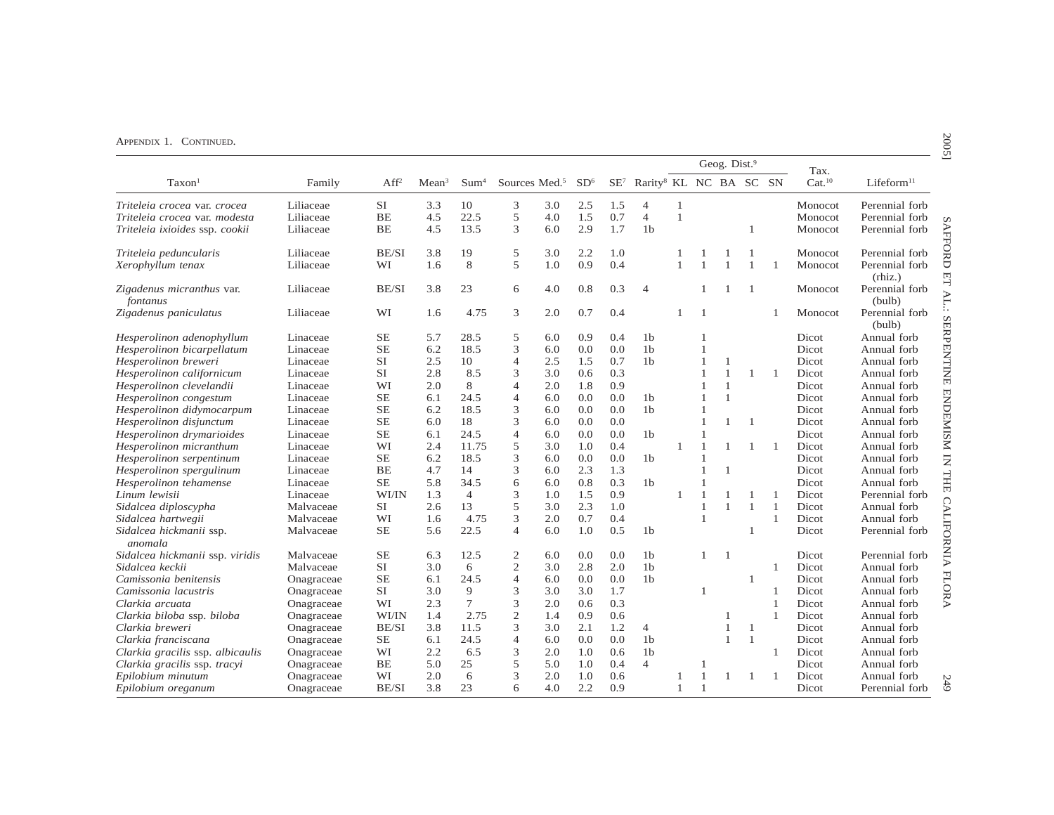| Rarity <sup>8</sup> KL NC BA SC SN<br>Cat. <sup>10</sup><br>Sources Med. <sup>5</sup><br>SD <sup>6</sup><br>$SE^7$<br>Lifeform <sup>11</sup><br>Taxon <sup>1</sup><br>Family<br>Aff <sup>2</sup><br>Sum <sup>4</sup><br>Mean <sup>3</sup><br><b>SI</b><br>3.3<br>10<br>3<br>3.0<br>2.5<br>1.5<br>$\overline{4}$<br>$\mathbf{1}$<br>Perennial forb<br>Liliaceae<br>Monocot<br>Triteleia crocea var. crocea<br>22.5<br>0.7<br>5<br>$\overline{4}$<br>$\mathbf{1}$<br>Liliaceae<br>BE<br>4.5<br>4.0<br>1.5<br>Perennial forb<br>Triteleia crocea var. modesta<br>Monocot<br>13.5<br>3<br>BE<br>4.5<br>6.0<br>2.9<br>1.7<br>1 <sub>b</sub><br>Perennial forb<br>Triteleia ixioides ssp. cookii<br>Liliaceae<br>Monocot<br>1<br>3.8<br>19<br>2.2<br>Triteleia peduncularis<br><b>BE/SI</b><br>5<br>3.0<br>1.0<br>Monocot<br>Perennial forb<br>Liliaceae<br>1<br>1<br>5<br>8<br>1.0<br>0.9<br>0.4<br>WI<br>1.6<br>1<br>Xerophyllum tenax<br>Liliaceae<br>$\mathbf{1}$<br>$\mathbf{1}$<br>$\mathbf{1}$<br>Monocot<br>Perennial forb<br>1<br>(rhiz.)<br>BE/SI<br>3.8<br>23<br>4.0<br>0.8<br>0.3<br>Zigadenus micranthus var.<br>6<br>$\overline{4}$<br>Monocot<br>Perennial forb<br>Liliaceae<br>(bulb)<br>fontanus<br>3<br>0.7<br>0.4<br>Zigadenus paniculatus<br>WI<br>1.6<br>4.75<br>2.0<br>1<br>Monocot<br>Perennial forb<br>Liliaceae<br>$\overline{1}$<br>(bulb)<br>Hesperolinon adenophyllum<br><b>SE</b><br>5.7<br>28.5<br>5<br>6.0<br>0.9<br>0.4<br>1 <sub>b</sub><br>Dicot<br>Annual forb<br>Linaceae<br>$\mathbf{1}$<br>1 <sub>b</sub><br><b>SE</b><br>6.2<br>18.5<br>3<br>0.0<br>0.0<br>Hesperolinon bicarpellatum<br>Linaceae<br>6.0<br>Dicot<br>Annual forb<br>$\mathbf{1}$<br>0.7<br>1 <sub>b</sub><br>Hesperolinon breweri<br><b>SI</b><br>2.5<br>10<br>$\overline{4}$<br>2.5<br>1.5<br>Dicot<br>Linaceae<br>$\overline{1}$<br>Annual forb<br>1<br><b>SI</b><br>8.5<br>3<br>0.3<br>Hesperolinon californicum<br>2.8<br>3.0<br>0.6<br>1<br>1<br>Dicot<br>Annual forb<br>Linaceae<br>$\mathbf{1}$<br>8<br>WI<br>2.0<br>$\overline{4}$<br>1.8<br>0.9<br>Hesperolinon clevelandii<br>2.0<br>1<br>Dicot<br>Annual forb<br>Linaceae<br>$\mathbf{1}$<br>SE<br>24.5<br>0.0<br>Hesperolinon congestum<br>6.1<br>$\overline{4}$<br>6.0<br>0.0<br>1 <sub>b</sub><br>$\mathbf{1}$<br>$\mathbf{1}$<br>Dicot<br>Annual forb<br>Linaceae<br>18.5<br>3<br>0.0<br>1 <sub>b</sub><br>Hesperolinon didymocarpum<br>SЕ<br>6.2<br>6.0<br>0.0<br>Dicot<br>Annual forb<br>Linaceae<br>$\mathbf{1}$<br>18<br>3<br>Hesperolinon disjunctum<br>$\rm SE$<br>6.0<br>6.0<br>0.0<br>0.0<br>$\overline{1}$<br>1<br>$\overline{1}$<br>Dicot<br>Annual forb<br>Linaceae<br><b>SE</b><br>24.5<br>$\overline{4}$<br>0.0<br>Dicot<br>Hesperolinon drymarioides<br>6.1<br>6.0<br>0.0<br>1 <sub>b</sub><br>Annual forb<br>Linaceae<br>Hesperolinon micranthum<br>WI<br>2.4<br>11.75<br>5<br>1.0<br>0.4<br>3.0<br>Dicot<br>Annual forb<br>Linaceae<br>$\mathbf{1}$<br>-1<br>3<br>6.2<br>18.5<br>0.0<br>0.0<br>1 <sub>b</sub><br><b>SE</b><br>Dicot<br>Hesperolinon serpentinum<br>Linaceae<br>6.0<br>$\mathbf{1}$<br>Annual forb<br>3<br>Hesperolinon spergulinum<br>BE<br>4.7<br>14<br>6.0<br>2.3<br>1.3<br>$\mathbf{1}$<br>$\mathbf{1}$<br>Dicot<br>Annual forb<br>Linaceae<br>SE<br>6<br>0.3<br>5.8<br>34.5<br>6.0<br>0.8<br>1 <sub>b</sub><br>Dicot<br>Hesperolinon tehamense<br>Linaceae<br>Annual forb<br>3<br>1.3<br>$\overline{4}$<br>0.9<br>WI/IN<br>1.0<br>1.5<br>Dicot<br>Linum lewisii<br>Linaceae<br>$\mathbf{1}$<br>$\overline{1}$<br>Perennial forb<br>1<br>$\mathbf{1}$<br>-1<br>13<br>5<br><b>SI</b><br>2.6<br>3.0<br>2.3<br>1.0<br>$\mathbf{1}$<br>$\mathbf{1}$<br>$\mathbf{1}$<br>$\mathbf{1}$<br>Dicot<br>Sidalcea diploscypha<br>Malvaceae<br>Annual forb<br>3<br>0.4<br>WI<br>1.6<br>4.75<br>2.0<br>0.7<br>$\mathbf{1}$<br>1<br>Dicot<br>Sidalcea hartwegii<br>Malvaceae<br>Annual forb<br><b>SE</b><br>5.6<br>22.5<br>$\overline{4}$<br>6.0<br>1.0<br>0.5<br>Sidalcea hickmanii ssp.<br>1 <sub>b</sub><br>Dicot<br>Malvaceae<br>Perennial forb<br>anomala<br>$\mathbf{2}$<br>0.0<br>Sidalcea hickmanii ssp. viridis<br>$\rm SE$<br>6.3<br>12.5<br>6.0<br>0.0<br>1 <sub>b</sub><br>Dicot<br>Perennial forb<br>Malvaceae<br>1<br>$\overline{1}$<br>$\sqrt{2}$<br>6<br>2.8<br>2.0<br>1 <sub>b</sub><br>Sidalcea keckii<br>SI<br>3.0<br>3.0<br>$\mathbf{1}$<br>Dicot<br>Annual forb<br>Malvaceae<br>$\overline{4}$<br>0.0<br>1 <sub>b</sub><br>$\rm SE$<br>24.5<br>0.0<br>Camissonia benitensis<br>6.1<br>6.0<br>$\mathbf{1}$<br>Dicot<br>Annual forb<br>Onagraceae<br>9<br><b>SI</b><br>3.0<br>3<br>Camissonia lacustris<br>3.0<br>3.0<br>1.7<br><b>Dicot</b><br>Annual forb<br>Onagraceae<br>$\overline{1}$<br>1<br>$\tau$<br>3<br>WI<br>2.3<br>0.3<br>2.0<br>0.6<br>$\mathbf{1}$<br>Dicot<br>Annual forb<br>Clarkia arcuata<br>Onagraceae<br>$\overline{2}$<br>0.9<br>0.6<br>WI/IN<br>1.4<br>2.75<br>1<br>Clarkia biloba ssp. biloba<br>Onagraceae<br>1.4<br>Dicot<br>Annual forb<br>1<br>BE/SI<br>3<br>1.2<br>3.8<br>11.5<br>3.0<br>2.1<br>$\overline{4}$<br>1<br>Dicot<br>Annual forb<br>Clarkia breweri<br>Onagraceae<br>24.5<br>$\overline{4}$<br>0.0<br>6.1<br>0.0<br>1 <sub>b</sub><br>$\mathbf{1}$<br>Dicot<br>Clarkia franciscana<br>Onagraceae<br>SE<br>6.0<br>$\mathbf{1}$<br>Annual forb<br>3<br>1 <sub>b</sub><br>WI<br>2.2<br>6.5<br>2.0<br>1.0<br>0.6<br>Dicot<br>Annual forb<br>Clarkia gracilis ssp. albicaulis<br>Onagraceae<br>1<br>5<br>5.0<br>25<br>0.4<br>$\overline{4}$<br>ВE<br>5.0<br>1.0<br>Dicot<br>Clarkia gracilis ssp. tracyi<br>Onagraceae<br>Annual forb<br>3<br>WI<br>2.0<br>6<br>2.0<br>1.0<br>0.6<br>Epilobium minutum<br>Onagraceae<br>$\overline{1}$<br>1<br>$\mathbf{1}$<br>Dicot<br>1<br>$\mathbf{1}$<br>Annual forb<br>$BE/SI$<br>3.8<br>23<br>4.0<br>2.2<br>0.9<br>Epilobium oreganum<br>6<br>1<br>$\overline{1}$<br>Dicot<br>Perennial forb<br>Onagraceae |  |  |  |  |  |  | Geog. Dist.9 |  | Tax. |  |
|-------------------------------------------------------------------------------------------------------------------------------------------------------------------------------------------------------------------------------------------------------------------------------------------------------------------------------------------------------------------------------------------------------------------------------------------------------------------------------------------------------------------------------------------------------------------------------------------------------------------------------------------------------------------------------------------------------------------------------------------------------------------------------------------------------------------------------------------------------------------------------------------------------------------------------------------------------------------------------------------------------------------------------------------------------------------------------------------------------------------------------------------------------------------------------------------------------------------------------------------------------------------------------------------------------------------------------------------------------------------------------------------------------------------------------------------------------------------------------------------------------------------------------------------------------------------------------------------------------------------------------------------------------------------------------------------------------------------------------------------------------------------------------------------------------------------------------------------------------------------------------------------------------------------------------------------------------------------------------------------------------------------------------------------------------------------------------------------------------------------------------------------------------------------------------------------------------------------------------------------------------------------------------------------------------------------------------------------------------------------------------------------------------------------------------------------------------------------------------------------------------------------------------------------------------------------------------------------------------------------------------------------------------------------------------------------------------------------------------------------------------------------------------------------------------------------------------------------------------------------------------------------------------------------------------------------------------------------------------------------------------------------------------------------------------------------------------------------------------------------------------------------------------------------------------------------------------------------------------------------------------------------------------------------------------------------------------------------------------------------------------------------------------------------------------------------------------------------------------------------------------------------------------------------------------------------------------------------------------------------------------------------------------------------------------------------------------------------------------------------------------------------------------------------------------------------------------------------------------------------------------------------------------------------------------------------------------------------------------------------------------------------------------------------------------------------------------------------------------------------------------------------------------------------------------------------------------------------------------------------------------------------------------------------------------------------------------------------------------------------------------------------------------------------------------------------------------------------------------------------------------------------------------------------------------------------------------------------------------------------------------------------------------------------------------------------------------------------------------------------------------------------------------------------------------------------------------------------------------------------------------------------------------------------------------------------------------------------------------------------------------------------------------------------------------------------------------------------------------------------------------------------------------------------------------------------------------------------------------------------------------------------------------------------------------------------------------------------------------------------------------------------------------------------------------------------------------------------------------------------------------------------------------------------------------------------------------------------------------------------------------------------------------------------------------------------------------------------------------------------------------------------------------------------------------------------------------------------------------------------------------------------|--|--|--|--|--|--|--------------|--|------|--|
|                                                                                                                                                                                                                                                                                                                                                                                                                                                                                                                                                                                                                                                                                                                                                                                                                                                                                                                                                                                                                                                                                                                                                                                                                                                                                                                                                                                                                                                                                                                                                                                                                                                                                                                                                                                                                                                                                                                                                                                                                                                                                                                                                                                                                                                                                                                                                                                                                                                                                                                                                                                                                                                                                                                                                                                                                                                                                                                                                                                                                                                                                                                                                                                                                                                                                                                                                                                                                                                                                                                                                                                                                                                                                                                                                                                                                                                                                                                                                                                                                                                                                                                                                                                                                                                                                                                                                                                                                                                                                                                                                                                                                                                                                                                                                                                                                                                                                                                                                                                                                                                                                                                                                                                                                                                                                                                                                                                                                                                                                                                                                                                                                                                                                                                                                                                                                                                                                           |  |  |  |  |  |  |              |  |      |  |
|                                                                                                                                                                                                                                                                                                                                                                                                                                                                                                                                                                                                                                                                                                                                                                                                                                                                                                                                                                                                                                                                                                                                                                                                                                                                                                                                                                                                                                                                                                                                                                                                                                                                                                                                                                                                                                                                                                                                                                                                                                                                                                                                                                                                                                                                                                                                                                                                                                                                                                                                                                                                                                                                                                                                                                                                                                                                                                                                                                                                                                                                                                                                                                                                                                                                                                                                                                                                                                                                                                                                                                                                                                                                                                                                                                                                                                                                                                                                                                                                                                                                                                                                                                                                                                                                                                                                                                                                                                                                                                                                                                                                                                                                                                                                                                                                                                                                                                                                                                                                                                                                                                                                                                                                                                                                                                                                                                                                                                                                                                                                                                                                                                                                                                                                                                                                                                                                                           |  |  |  |  |  |  |              |  |      |  |
|                                                                                                                                                                                                                                                                                                                                                                                                                                                                                                                                                                                                                                                                                                                                                                                                                                                                                                                                                                                                                                                                                                                                                                                                                                                                                                                                                                                                                                                                                                                                                                                                                                                                                                                                                                                                                                                                                                                                                                                                                                                                                                                                                                                                                                                                                                                                                                                                                                                                                                                                                                                                                                                                                                                                                                                                                                                                                                                                                                                                                                                                                                                                                                                                                                                                                                                                                                                                                                                                                                                                                                                                                                                                                                                                                                                                                                                                                                                                                                                                                                                                                                                                                                                                                                                                                                                                                                                                                                                                                                                                                                                                                                                                                                                                                                                                                                                                                                                                                                                                                                                                                                                                                                                                                                                                                                                                                                                                                                                                                                                                                                                                                                                                                                                                                                                                                                                                                           |  |  |  |  |  |  |              |  |      |  |
|                                                                                                                                                                                                                                                                                                                                                                                                                                                                                                                                                                                                                                                                                                                                                                                                                                                                                                                                                                                                                                                                                                                                                                                                                                                                                                                                                                                                                                                                                                                                                                                                                                                                                                                                                                                                                                                                                                                                                                                                                                                                                                                                                                                                                                                                                                                                                                                                                                                                                                                                                                                                                                                                                                                                                                                                                                                                                                                                                                                                                                                                                                                                                                                                                                                                                                                                                                                                                                                                                                                                                                                                                                                                                                                                                                                                                                                                                                                                                                                                                                                                                                                                                                                                                                                                                                                                                                                                                                                                                                                                                                                                                                                                                                                                                                                                                                                                                                                                                                                                                                                                                                                                                                                                                                                                                                                                                                                                                                                                                                                                                                                                                                                                                                                                                                                                                                                                                           |  |  |  |  |  |  |              |  |      |  |
|                                                                                                                                                                                                                                                                                                                                                                                                                                                                                                                                                                                                                                                                                                                                                                                                                                                                                                                                                                                                                                                                                                                                                                                                                                                                                                                                                                                                                                                                                                                                                                                                                                                                                                                                                                                                                                                                                                                                                                                                                                                                                                                                                                                                                                                                                                                                                                                                                                                                                                                                                                                                                                                                                                                                                                                                                                                                                                                                                                                                                                                                                                                                                                                                                                                                                                                                                                                                                                                                                                                                                                                                                                                                                                                                                                                                                                                                                                                                                                                                                                                                                                                                                                                                                                                                                                                                                                                                                                                                                                                                                                                                                                                                                                                                                                                                                                                                                                                                                                                                                                                                                                                                                                                                                                                                                                                                                                                                                                                                                                                                                                                                                                                                                                                                                                                                                                                                                           |  |  |  |  |  |  |              |  |      |  |
|                                                                                                                                                                                                                                                                                                                                                                                                                                                                                                                                                                                                                                                                                                                                                                                                                                                                                                                                                                                                                                                                                                                                                                                                                                                                                                                                                                                                                                                                                                                                                                                                                                                                                                                                                                                                                                                                                                                                                                                                                                                                                                                                                                                                                                                                                                                                                                                                                                                                                                                                                                                                                                                                                                                                                                                                                                                                                                                                                                                                                                                                                                                                                                                                                                                                                                                                                                                                                                                                                                                                                                                                                                                                                                                                                                                                                                                                                                                                                                                                                                                                                                                                                                                                                                                                                                                                                                                                                                                                                                                                                                                                                                                                                                                                                                                                                                                                                                                                                                                                                                                                                                                                                                                                                                                                                                                                                                                                                                                                                                                                                                                                                                                                                                                                                                                                                                                                                           |  |  |  |  |  |  |              |  |      |  |
|                                                                                                                                                                                                                                                                                                                                                                                                                                                                                                                                                                                                                                                                                                                                                                                                                                                                                                                                                                                                                                                                                                                                                                                                                                                                                                                                                                                                                                                                                                                                                                                                                                                                                                                                                                                                                                                                                                                                                                                                                                                                                                                                                                                                                                                                                                                                                                                                                                                                                                                                                                                                                                                                                                                                                                                                                                                                                                                                                                                                                                                                                                                                                                                                                                                                                                                                                                                                                                                                                                                                                                                                                                                                                                                                                                                                                                                                                                                                                                                                                                                                                                                                                                                                                                                                                                                                                                                                                                                                                                                                                                                                                                                                                                                                                                                                                                                                                                                                                                                                                                                                                                                                                                                                                                                                                                                                                                                                                                                                                                                                                                                                                                                                                                                                                                                                                                                                                           |  |  |  |  |  |  |              |  |      |  |
|                                                                                                                                                                                                                                                                                                                                                                                                                                                                                                                                                                                                                                                                                                                                                                                                                                                                                                                                                                                                                                                                                                                                                                                                                                                                                                                                                                                                                                                                                                                                                                                                                                                                                                                                                                                                                                                                                                                                                                                                                                                                                                                                                                                                                                                                                                                                                                                                                                                                                                                                                                                                                                                                                                                                                                                                                                                                                                                                                                                                                                                                                                                                                                                                                                                                                                                                                                                                                                                                                                                                                                                                                                                                                                                                                                                                                                                                                                                                                                                                                                                                                                                                                                                                                                                                                                                                                                                                                                                                                                                                                                                                                                                                                                                                                                                                                                                                                                                                                                                                                                                                                                                                                                                                                                                                                                                                                                                                                                                                                                                                                                                                                                                                                                                                                                                                                                                                                           |  |  |  |  |  |  |              |  |      |  |
|                                                                                                                                                                                                                                                                                                                                                                                                                                                                                                                                                                                                                                                                                                                                                                                                                                                                                                                                                                                                                                                                                                                                                                                                                                                                                                                                                                                                                                                                                                                                                                                                                                                                                                                                                                                                                                                                                                                                                                                                                                                                                                                                                                                                                                                                                                                                                                                                                                                                                                                                                                                                                                                                                                                                                                                                                                                                                                                                                                                                                                                                                                                                                                                                                                                                                                                                                                                                                                                                                                                                                                                                                                                                                                                                                                                                                                                                                                                                                                                                                                                                                                                                                                                                                                                                                                                                                                                                                                                                                                                                                                                                                                                                                                                                                                                                                                                                                                                                                                                                                                                                                                                                                                                                                                                                                                                                                                                                                                                                                                                                                                                                                                                                                                                                                                                                                                                                                           |  |  |  |  |  |  |              |  |      |  |
|                                                                                                                                                                                                                                                                                                                                                                                                                                                                                                                                                                                                                                                                                                                                                                                                                                                                                                                                                                                                                                                                                                                                                                                                                                                                                                                                                                                                                                                                                                                                                                                                                                                                                                                                                                                                                                                                                                                                                                                                                                                                                                                                                                                                                                                                                                                                                                                                                                                                                                                                                                                                                                                                                                                                                                                                                                                                                                                                                                                                                                                                                                                                                                                                                                                                                                                                                                                                                                                                                                                                                                                                                                                                                                                                                                                                                                                                                                                                                                                                                                                                                                                                                                                                                                                                                                                                                                                                                                                                                                                                                                                                                                                                                                                                                                                                                                                                                                                                                                                                                                                                                                                                                                                                                                                                                                                                                                                                                                                                                                                                                                                                                                                                                                                                                                                                                                                                                           |  |  |  |  |  |  |              |  |      |  |
|                                                                                                                                                                                                                                                                                                                                                                                                                                                                                                                                                                                                                                                                                                                                                                                                                                                                                                                                                                                                                                                                                                                                                                                                                                                                                                                                                                                                                                                                                                                                                                                                                                                                                                                                                                                                                                                                                                                                                                                                                                                                                                                                                                                                                                                                                                                                                                                                                                                                                                                                                                                                                                                                                                                                                                                                                                                                                                                                                                                                                                                                                                                                                                                                                                                                                                                                                                                                                                                                                                                                                                                                                                                                                                                                                                                                                                                                                                                                                                                                                                                                                                                                                                                                                                                                                                                                                                                                                                                                                                                                                                                                                                                                                                                                                                                                                                                                                                                                                                                                                                                                                                                                                                                                                                                                                                                                                                                                                                                                                                                                                                                                                                                                                                                                                                                                                                                                                           |  |  |  |  |  |  |              |  |      |  |
|                                                                                                                                                                                                                                                                                                                                                                                                                                                                                                                                                                                                                                                                                                                                                                                                                                                                                                                                                                                                                                                                                                                                                                                                                                                                                                                                                                                                                                                                                                                                                                                                                                                                                                                                                                                                                                                                                                                                                                                                                                                                                                                                                                                                                                                                                                                                                                                                                                                                                                                                                                                                                                                                                                                                                                                                                                                                                                                                                                                                                                                                                                                                                                                                                                                                                                                                                                                                                                                                                                                                                                                                                                                                                                                                                                                                                                                                                                                                                                                                                                                                                                                                                                                                                                                                                                                                                                                                                                                                                                                                                                                                                                                                                                                                                                                                                                                                                                                                                                                                                                                                                                                                                                                                                                                                                                                                                                                                                                                                                                                                                                                                                                                                                                                                                                                                                                                                                           |  |  |  |  |  |  |              |  |      |  |
|                                                                                                                                                                                                                                                                                                                                                                                                                                                                                                                                                                                                                                                                                                                                                                                                                                                                                                                                                                                                                                                                                                                                                                                                                                                                                                                                                                                                                                                                                                                                                                                                                                                                                                                                                                                                                                                                                                                                                                                                                                                                                                                                                                                                                                                                                                                                                                                                                                                                                                                                                                                                                                                                                                                                                                                                                                                                                                                                                                                                                                                                                                                                                                                                                                                                                                                                                                                                                                                                                                                                                                                                                                                                                                                                                                                                                                                                                                                                                                                                                                                                                                                                                                                                                                                                                                                                                                                                                                                                                                                                                                                                                                                                                                                                                                                                                                                                                                                                                                                                                                                                                                                                                                                                                                                                                                                                                                                                                                                                                                                                                                                                                                                                                                                                                                                                                                                                                           |  |  |  |  |  |  |              |  |      |  |
|                                                                                                                                                                                                                                                                                                                                                                                                                                                                                                                                                                                                                                                                                                                                                                                                                                                                                                                                                                                                                                                                                                                                                                                                                                                                                                                                                                                                                                                                                                                                                                                                                                                                                                                                                                                                                                                                                                                                                                                                                                                                                                                                                                                                                                                                                                                                                                                                                                                                                                                                                                                                                                                                                                                                                                                                                                                                                                                                                                                                                                                                                                                                                                                                                                                                                                                                                                                                                                                                                                                                                                                                                                                                                                                                                                                                                                                                                                                                                                                                                                                                                                                                                                                                                                                                                                                                                                                                                                                                                                                                                                                                                                                                                                                                                                                                                                                                                                                                                                                                                                                                                                                                                                                                                                                                                                                                                                                                                                                                                                                                                                                                                                                                                                                                                                                                                                                                                           |  |  |  |  |  |  |              |  |      |  |
|                                                                                                                                                                                                                                                                                                                                                                                                                                                                                                                                                                                                                                                                                                                                                                                                                                                                                                                                                                                                                                                                                                                                                                                                                                                                                                                                                                                                                                                                                                                                                                                                                                                                                                                                                                                                                                                                                                                                                                                                                                                                                                                                                                                                                                                                                                                                                                                                                                                                                                                                                                                                                                                                                                                                                                                                                                                                                                                                                                                                                                                                                                                                                                                                                                                                                                                                                                                                                                                                                                                                                                                                                                                                                                                                                                                                                                                                                                                                                                                                                                                                                                                                                                                                                                                                                                                                                                                                                                                                                                                                                                                                                                                                                                                                                                                                                                                                                                                                                                                                                                                                                                                                                                                                                                                                                                                                                                                                                                                                                                                                                                                                                                                                                                                                                                                                                                                                                           |  |  |  |  |  |  |              |  |      |  |
|                                                                                                                                                                                                                                                                                                                                                                                                                                                                                                                                                                                                                                                                                                                                                                                                                                                                                                                                                                                                                                                                                                                                                                                                                                                                                                                                                                                                                                                                                                                                                                                                                                                                                                                                                                                                                                                                                                                                                                                                                                                                                                                                                                                                                                                                                                                                                                                                                                                                                                                                                                                                                                                                                                                                                                                                                                                                                                                                                                                                                                                                                                                                                                                                                                                                                                                                                                                                                                                                                                                                                                                                                                                                                                                                                                                                                                                                                                                                                                                                                                                                                                                                                                                                                                                                                                                                                                                                                                                                                                                                                                                                                                                                                                                                                                                                                                                                                                                                                                                                                                                                                                                                                                                                                                                                                                                                                                                                                                                                                                                                                                                                                                                                                                                                                                                                                                                                                           |  |  |  |  |  |  |              |  |      |  |
|                                                                                                                                                                                                                                                                                                                                                                                                                                                                                                                                                                                                                                                                                                                                                                                                                                                                                                                                                                                                                                                                                                                                                                                                                                                                                                                                                                                                                                                                                                                                                                                                                                                                                                                                                                                                                                                                                                                                                                                                                                                                                                                                                                                                                                                                                                                                                                                                                                                                                                                                                                                                                                                                                                                                                                                                                                                                                                                                                                                                                                                                                                                                                                                                                                                                                                                                                                                                                                                                                                                                                                                                                                                                                                                                                                                                                                                                                                                                                                                                                                                                                                                                                                                                                                                                                                                                                                                                                                                                                                                                                                                                                                                                                                                                                                                                                                                                                                                                                                                                                                                                                                                                                                                                                                                                                                                                                                                                                                                                                                                                                                                                                                                                                                                                                                                                                                                                                           |  |  |  |  |  |  |              |  |      |  |
|                                                                                                                                                                                                                                                                                                                                                                                                                                                                                                                                                                                                                                                                                                                                                                                                                                                                                                                                                                                                                                                                                                                                                                                                                                                                                                                                                                                                                                                                                                                                                                                                                                                                                                                                                                                                                                                                                                                                                                                                                                                                                                                                                                                                                                                                                                                                                                                                                                                                                                                                                                                                                                                                                                                                                                                                                                                                                                                                                                                                                                                                                                                                                                                                                                                                                                                                                                                                                                                                                                                                                                                                                                                                                                                                                                                                                                                                                                                                                                                                                                                                                                                                                                                                                                                                                                                                                                                                                                                                                                                                                                                                                                                                                                                                                                                                                                                                                                                                                                                                                                                                                                                                                                                                                                                                                                                                                                                                                                                                                                                                                                                                                                                                                                                                                                                                                                                                                           |  |  |  |  |  |  |              |  |      |  |
|                                                                                                                                                                                                                                                                                                                                                                                                                                                                                                                                                                                                                                                                                                                                                                                                                                                                                                                                                                                                                                                                                                                                                                                                                                                                                                                                                                                                                                                                                                                                                                                                                                                                                                                                                                                                                                                                                                                                                                                                                                                                                                                                                                                                                                                                                                                                                                                                                                                                                                                                                                                                                                                                                                                                                                                                                                                                                                                                                                                                                                                                                                                                                                                                                                                                                                                                                                                                                                                                                                                                                                                                                                                                                                                                                                                                                                                                                                                                                                                                                                                                                                                                                                                                                                                                                                                                                                                                                                                                                                                                                                                                                                                                                                                                                                                                                                                                                                                                                                                                                                                                                                                                                                                                                                                                                                                                                                                                                                                                                                                                                                                                                                                                                                                                                                                                                                                                                           |  |  |  |  |  |  |              |  |      |  |
|                                                                                                                                                                                                                                                                                                                                                                                                                                                                                                                                                                                                                                                                                                                                                                                                                                                                                                                                                                                                                                                                                                                                                                                                                                                                                                                                                                                                                                                                                                                                                                                                                                                                                                                                                                                                                                                                                                                                                                                                                                                                                                                                                                                                                                                                                                                                                                                                                                                                                                                                                                                                                                                                                                                                                                                                                                                                                                                                                                                                                                                                                                                                                                                                                                                                                                                                                                                                                                                                                                                                                                                                                                                                                                                                                                                                                                                                                                                                                                                                                                                                                                                                                                                                                                                                                                                                                                                                                                                                                                                                                                                                                                                                                                                                                                                                                                                                                                                                                                                                                                                                                                                                                                                                                                                                                                                                                                                                                                                                                                                                                                                                                                                                                                                                                                                                                                                                                           |  |  |  |  |  |  |              |  |      |  |
|                                                                                                                                                                                                                                                                                                                                                                                                                                                                                                                                                                                                                                                                                                                                                                                                                                                                                                                                                                                                                                                                                                                                                                                                                                                                                                                                                                                                                                                                                                                                                                                                                                                                                                                                                                                                                                                                                                                                                                                                                                                                                                                                                                                                                                                                                                                                                                                                                                                                                                                                                                                                                                                                                                                                                                                                                                                                                                                                                                                                                                                                                                                                                                                                                                                                                                                                                                                                                                                                                                                                                                                                                                                                                                                                                                                                                                                                                                                                                                                                                                                                                                                                                                                                                                                                                                                                                                                                                                                                                                                                                                                                                                                                                                                                                                                                                                                                                                                                                                                                                                                                                                                                                                                                                                                                                                                                                                                                                                                                                                                                                                                                                                                                                                                                                                                                                                                                                           |  |  |  |  |  |  |              |  |      |  |
|                                                                                                                                                                                                                                                                                                                                                                                                                                                                                                                                                                                                                                                                                                                                                                                                                                                                                                                                                                                                                                                                                                                                                                                                                                                                                                                                                                                                                                                                                                                                                                                                                                                                                                                                                                                                                                                                                                                                                                                                                                                                                                                                                                                                                                                                                                                                                                                                                                                                                                                                                                                                                                                                                                                                                                                                                                                                                                                                                                                                                                                                                                                                                                                                                                                                                                                                                                                                                                                                                                                                                                                                                                                                                                                                                                                                                                                                                                                                                                                                                                                                                                                                                                                                                                                                                                                                                                                                                                                                                                                                                                                                                                                                                                                                                                                                                                                                                                                                                                                                                                                                                                                                                                                                                                                                                                                                                                                                                                                                                                                                                                                                                                                                                                                                                                                                                                                                                           |  |  |  |  |  |  |              |  |      |  |
|                                                                                                                                                                                                                                                                                                                                                                                                                                                                                                                                                                                                                                                                                                                                                                                                                                                                                                                                                                                                                                                                                                                                                                                                                                                                                                                                                                                                                                                                                                                                                                                                                                                                                                                                                                                                                                                                                                                                                                                                                                                                                                                                                                                                                                                                                                                                                                                                                                                                                                                                                                                                                                                                                                                                                                                                                                                                                                                                                                                                                                                                                                                                                                                                                                                                                                                                                                                                                                                                                                                                                                                                                                                                                                                                                                                                                                                                                                                                                                                                                                                                                                                                                                                                                                                                                                                                                                                                                                                                                                                                                                                                                                                                                                                                                                                                                                                                                                                                                                                                                                                                                                                                                                                                                                                                                                                                                                                                                                                                                                                                                                                                                                                                                                                                                                                                                                                                                           |  |  |  |  |  |  |              |  |      |  |
|                                                                                                                                                                                                                                                                                                                                                                                                                                                                                                                                                                                                                                                                                                                                                                                                                                                                                                                                                                                                                                                                                                                                                                                                                                                                                                                                                                                                                                                                                                                                                                                                                                                                                                                                                                                                                                                                                                                                                                                                                                                                                                                                                                                                                                                                                                                                                                                                                                                                                                                                                                                                                                                                                                                                                                                                                                                                                                                                                                                                                                                                                                                                                                                                                                                                                                                                                                                                                                                                                                                                                                                                                                                                                                                                                                                                                                                                                                                                                                                                                                                                                                                                                                                                                                                                                                                                                                                                                                                                                                                                                                                                                                                                                                                                                                                                                                                                                                                                                                                                                                                                                                                                                                                                                                                                                                                                                                                                                                                                                                                                                                                                                                                                                                                                                                                                                                                                                           |  |  |  |  |  |  |              |  |      |  |
|                                                                                                                                                                                                                                                                                                                                                                                                                                                                                                                                                                                                                                                                                                                                                                                                                                                                                                                                                                                                                                                                                                                                                                                                                                                                                                                                                                                                                                                                                                                                                                                                                                                                                                                                                                                                                                                                                                                                                                                                                                                                                                                                                                                                                                                                                                                                                                                                                                                                                                                                                                                                                                                                                                                                                                                                                                                                                                                                                                                                                                                                                                                                                                                                                                                                                                                                                                                                                                                                                                                                                                                                                                                                                                                                                                                                                                                                                                                                                                                                                                                                                                                                                                                                                                                                                                                                                                                                                                                                                                                                                                                                                                                                                                                                                                                                                                                                                                                                                                                                                                                                                                                                                                                                                                                                                                                                                                                                                                                                                                                                                                                                                                                                                                                                                                                                                                                                                           |  |  |  |  |  |  |              |  |      |  |
|                                                                                                                                                                                                                                                                                                                                                                                                                                                                                                                                                                                                                                                                                                                                                                                                                                                                                                                                                                                                                                                                                                                                                                                                                                                                                                                                                                                                                                                                                                                                                                                                                                                                                                                                                                                                                                                                                                                                                                                                                                                                                                                                                                                                                                                                                                                                                                                                                                                                                                                                                                                                                                                                                                                                                                                                                                                                                                                                                                                                                                                                                                                                                                                                                                                                                                                                                                                                                                                                                                                                                                                                                                                                                                                                                                                                                                                                                                                                                                                                                                                                                                                                                                                                                                                                                                                                                                                                                                                                                                                                                                                                                                                                                                                                                                                                                                                                                                                                                                                                                                                                                                                                                                                                                                                                                                                                                                                                                                                                                                                                                                                                                                                                                                                                                                                                                                                                                           |  |  |  |  |  |  |              |  |      |  |
|                                                                                                                                                                                                                                                                                                                                                                                                                                                                                                                                                                                                                                                                                                                                                                                                                                                                                                                                                                                                                                                                                                                                                                                                                                                                                                                                                                                                                                                                                                                                                                                                                                                                                                                                                                                                                                                                                                                                                                                                                                                                                                                                                                                                                                                                                                                                                                                                                                                                                                                                                                                                                                                                                                                                                                                                                                                                                                                                                                                                                                                                                                                                                                                                                                                                                                                                                                                                                                                                                                                                                                                                                                                                                                                                                                                                                                                                                                                                                                                                                                                                                                                                                                                                                                                                                                                                                                                                                                                                                                                                                                                                                                                                                                                                                                                                                                                                                                                                                                                                                                                                                                                                                                                                                                                                                                                                                                                                                                                                                                                                                                                                                                                                                                                                                                                                                                                                                           |  |  |  |  |  |  |              |  |      |  |
|                                                                                                                                                                                                                                                                                                                                                                                                                                                                                                                                                                                                                                                                                                                                                                                                                                                                                                                                                                                                                                                                                                                                                                                                                                                                                                                                                                                                                                                                                                                                                                                                                                                                                                                                                                                                                                                                                                                                                                                                                                                                                                                                                                                                                                                                                                                                                                                                                                                                                                                                                                                                                                                                                                                                                                                                                                                                                                                                                                                                                                                                                                                                                                                                                                                                                                                                                                                                                                                                                                                                                                                                                                                                                                                                                                                                                                                                                                                                                                                                                                                                                                                                                                                                                                                                                                                                                                                                                                                                                                                                                                                                                                                                                                                                                                                                                                                                                                                                                                                                                                                                                                                                                                                                                                                                                                                                                                                                                                                                                                                                                                                                                                                                                                                                                                                                                                                                                           |  |  |  |  |  |  |              |  |      |  |
|                                                                                                                                                                                                                                                                                                                                                                                                                                                                                                                                                                                                                                                                                                                                                                                                                                                                                                                                                                                                                                                                                                                                                                                                                                                                                                                                                                                                                                                                                                                                                                                                                                                                                                                                                                                                                                                                                                                                                                                                                                                                                                                                                                                                                                                                                                                                                                                                                                                                                                                                                                                                                                                                                                                                                                                                                                                                                                                                                                                                                                                                                                                                                                                                                                                                                                                                                                                                                                                                                                                                                                                                                                                                                                                                                                                                                                                                                                                                                                                                                                                                                                                                                                                                                                                                                                                                                                                                                                                                                                                                                                                                                                                                                                                                                                                                                                                                                                                                                                                                                                                                                                                                                                                                                                                                                                                                                                                                                                                                                                                                                                                                                                                                                                                                                                                                                                                                                           |  |  |  |  |  |  |              |  |      |  |
|                                                                                                                                                                                                                                                                                                                                                                                                                                                                                                                                                                                                                                                                                                                                                                                                                                                                                                                                                                                                                                                                                                                                                                                                                                                                                                                                                                                                                                                                                                                                                                                                                                                                                                                                                                                                                                                                                                                                                                                                                                                                                                                                                                                                                                                                                                                                                                                                                                                                                                                                                                                                                                                                                                                                                                                                                                                                                                                                                                                                                                                                                                                                                                                                                                                                                                                                                                                                                                                                                                                                                                                                                                                                                                                                                                                                                                                                                                                                                                                                                                                                                                                                                                                                                                                                                                                                                                                                                                                                                                                                                                                                                                                                                                                                                                                                                                                                                                                                                                                                                                                                                                                                                                                                                                                                                                                                                                                                                                                                                                                                                                                                                                                                                                                                                                                                                                                                                           |  |  |  |  |  |  |              |  |      |  |
|                                                                                                                                                                                                                                                                                                                                                                                                                                                                                                                                                                                                                                                                                                                                                                                                                                                                                                                                                                                                                                                                                                                                                                                                                                                                                                                                                                                                                                                                                                                                                                                                                                                                                                                                                                                                                                                                                                                                                                                                                                                                                                                                                                                                                                                                                                                                                                                                                                                                                                                                                                                                                                                                                                                                                                                                                                                                                                                                                                                                                                                                                                                                                                                                                                                                                                                                                                                                                                                                                                                                                                                                                                                                                                                                                                                                                                                                                                                                                                                                                                                                                                                                                                                                                                                                                                                                                                                                                                                                                                                                                                                                                                                                                                                                                                                                                                                                                                                                                                                                                                                                                                                                                                                                                                                                                                                                                                                                                                                                                                                                                                                                                                                                                                                                                                                                                                                                                           |  |  |  |  |  |  |              |  |      |  |
|                                                                                                                                                                                                                                                                                                                                                                                                                                                                                                                                                                                                                                                                                                                                                                                                                                                                                                                                                                                                                                                                                                                                                                                                                                                                                                                                                                                                                                                                                                                                                                                                                                                                                                                                                                                                                                                                                                                                                                                                                                                                                                                                                                                                                                                                                                                                                                                                                                                                                                                                                                                                                                                                                                                                                                                                                                                                                                                                                                                                                                                                                                                                                                                                                                                                                                                                                                                                                                                                                                                                                                                                                                                                                                                                                                                                                                                                                                                                                                                                                                                                                                                                                                                                                                                                                                                                                                                                                                                                                                                                                                                                                                                                                                                                                                                                                                                                                                                                                                                                                                                                                                                                                                                                                                                                                                                                                                                                                                                                                                                                                                                                                                                                                                                                                                                                                                                                                           |  |  |  |  |  |  |              |  |      |  |
|                                                                                                                                                                                                                                                                                                                                                                                                                                                                                                                                                                                                                                                                                                                                                                                                                                                                                                                                                                                                                                                                                                                                                                                                                                                                                                                                                                                                                                                                                                                                                                                                                                                                                                                                                                                                                                                                                                                                                                                                                                                                                                                                                                                                                                                                                                                                                                                                                                                                                                                                                                                                                                                                                                                                                                                                                                                                                                                                                                                                                                                                                                                                                                                                                                                                                                                                                                                                                                                                                                                                                                                                                                                                                                                                                                                                                                                                                                                                                                                                                                                                                                                                                                                                                                                                                                                                                                                                                                                                                                                                                                                                                                                                                                                                                                                                                                                                                                                                                                                                                                                                                                                                                                                                                                                                                                                                                                                                                                                                                                                                                                                                                                                                                                                                                                                                                                                                                           |  |  |  |  |  |  |              |  |      |  |
|                                                                                                                                                                                                                                                                                                                                                                                                                                                                                                                                                                                                                                                                                                                                                                                                                                                                                                                                                                                                                                                                                                                                                                                                                                                                                                                                                                                                                                                                                                                                                                                                                                                                                                                                                                                                                                                                                                                                                                                                                                                                                                                                                                                                                                                                                                                                                                                                                                                                                                                                                                                                                                                                                                                                                                                                                                                                                                                                                                                                                                                                                                                                                                                                                                                                                                                                                                                                                                                                                                                                                                                                                                                                                                                                                                                                                                                                                                                                                                                                                                                                                                                                                                                                                                                                                                                                                                                                                                                                                                                                                                                                                                                                                                                                                                                                                                                                                                                                                                                                                                                                                                                                                                                                                                                                                                                                                                                                                                                                                                                                                                                                                                                                                                                                                                                                                                                                                           |  |  |  |  |  |  |              |  |      |  |
|                                                                                                                                                                                                                                                                                                                                                                                                                                                                                                                                                                                                                                                                                                                                                                                                                                                                                                                                                                                                                                                                                                                                                                                                                                                                                                                                                                                                                                                                                                                                                                                                                                                                                                                                                                                                                                                                                                                                                                                                                                                                                                                                                                                                                                                                                                                                                                                                                                                                                                                                                                                                                                                                                                                                                                                                                                                                                                                                                                                                                                                                                                                                                                                                                                                                                                                                                                                                                                                                                                                                                                                                                                                                                                                                                                                                                                                                                                                                                                                                                                                                                                                                                                                                                                                                                                                                                                                                                                                                                                                                                                                                                                                                                                                                                                                                                                                                                                                                                                                                                                                                                                                                                                                                                                                                                                                                                                                                                                                                                                                                                                                                                                                                                                                                                                                                                                                                                           |  |  |  |  |  |  |              |  |      |  |
|                                                                                                                                                                                                                                                                                                                                                                                                                                                                                                                                                                                                                                                                                                                                                                                                                                                                                                                                                                                                                                                                                                                                                                                                                                                                                                                                                                                                                                                                                                                                                                                                                                                                                                                                                                                                                                                                                                                                                                                                                                                                                                                                                                                                                                                                                                                                                                                                                                                                                                                                                                                                                                                                                                                                                                                                                                                                                                                                                                                                                                                                                                                                                                                                                                                                                                                                                                                                                                                                                                                                                                                                                                                                                                                                                                                                                                                                                                                                                                                                                                                                                                                                                                                                                                                                                                                                                                                                                                                                                                                                                                                                                                                                                                                                                                                                                                                                                                                                                                                                                                                                                                                                                                                                                                                                                                                                                                                                                                                                                                                                                                                                                                                                                                                                                                                                                                                                                           |  |  |  |  |  |  |              |  |      |  |
|                                                                                                                                                                                                                                                                                                                                                                                                                                                                                                                                                                                                                                                                                                                                                                                                                                                                                                                                                                                                                                                                                                                                                                                                                                                                                                                                                                                                                                                                                                                                                                                                                                                                                                                                                                                                                                                                                                                                                                                                                                                                                                                                                                                                                                                                                                                                                                                                                                                                                                                                                                                                                                                                                                                                                                                                                                                                                                                                                                                                                                                                                                                                                                                                                                                                                                                                                                                                                                                                                                                                                                                                                                                                                                                                                                                                                                                                                                                                                                                                                                                                                                                                                                                                                                                                                                                                                                                                                                                                                                                                                                                                                                                                                                                                                                                                                                                                                                                                                                                                                                                                                                                                                                                                                                                                                                                                                                                                                                                                                                                                                                                                                                                                                                                                                                                                                                                                                           |  |  |  |  |  |  |              |  |      |  |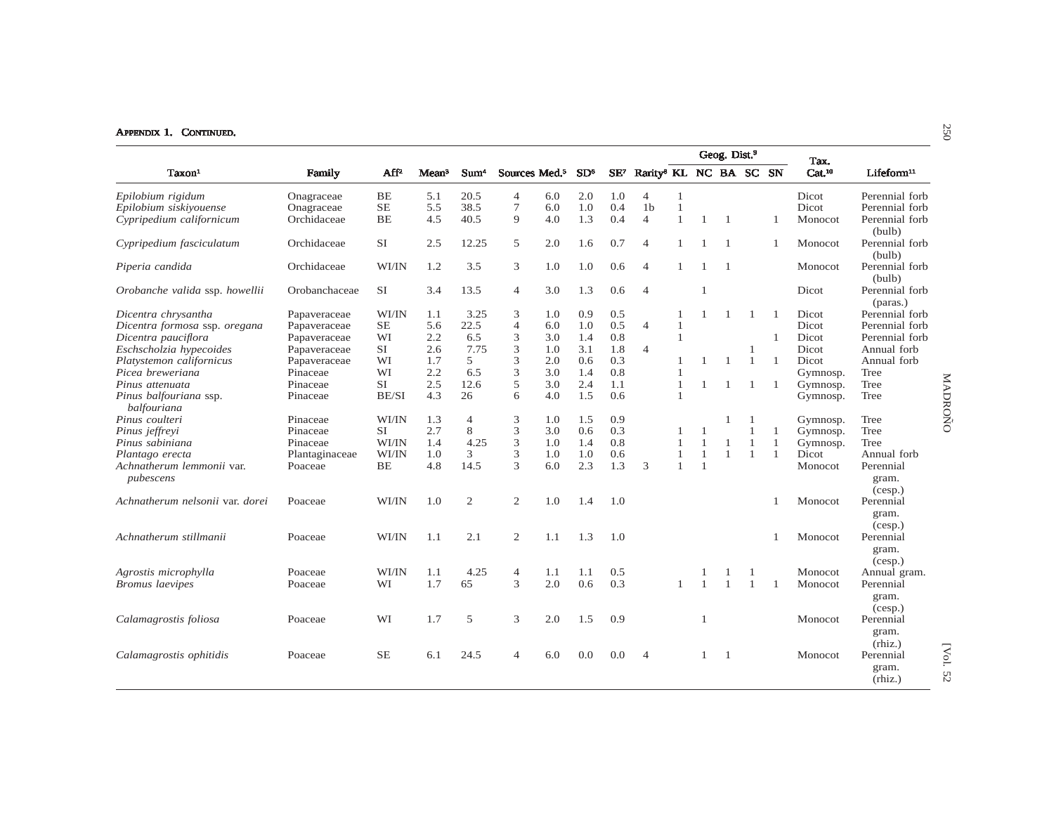|                                        |                |                  |                   |                  |                           |     |                 |                 |                                    |              |              | Geog. Dist. <sup>9</sup> |                |              | Tax.               |                                          |
|----------------------------------------|----------------|------------------|-------------------|------------------|---------------------------|-----|-----------------|-----------------|------------------------------------|--------------|--------------|--------------------------|----------------|--------------|--------------------|------------------------------------------|
| Taxon <sup>1</sup>                     | Family         | Aff <sup>2</sup> | Mean <sup>3</sup> | Sum <sup>4</sup> | Sources Med. <sup>5</sup> |     | SD <sup>6</sup> | SE <sup>7</sup> | Rarity <sup>8</sup> KL NC BA SC SN |              |              |                          |                |              | Cat. <sup>10</sup> | Lifeform <sup>11</sup>                   |
| Epilobium rigidum                      | Onagraceae     | BE               | 5.1               | 20.5             | $\overline{4}$            | 6.0 | 2.0             | 1.0             | $\overline{4}$                     | 1            |              |                          |                |              | Dicot              | Perennial forb                           |
| Epilobium siskiyouense                 | Onagraceae     | $\rm SE$         | 5.5               | 38.5             | 7                         | 6.0 | 1.0             | 0.4             | 1 <sub>b</sub>                     | $\mathbf{1}$ |              |                          |                |              | <b>Dicot</b>       | Perennial forb                           |
| Cypripedium californicum               | Orchidaceae    | <b>BE</b>        | 4.5               | 40.5             | 9                         | 4.0 | 1.3             | 0.4             | $\overline{4}$                     | 1            |              | $\overline{1}$           |                |              | Monocot            | Perennial forb<br>(bulb)                 |
| Cypripedium fasciculatum               | Orchidaceae    | SI               | 2.5               | 12.25            | 5                         | 2.0 | 1.6             | 0.7             | $\overline{4}$                     | 1            |              | $\overline{1}$           |                | $\mathbf{1}$ | Monocot            | Perennial forb<br>(bulb)                 |
| Piperia candida                        | Orchidaceae    | WI/IN            | 1.2               | 3.5              | 3                         | 1.0 | 1.0             | 0.6             | $\overline{4}$                     |              |              | $\overline{1}$           |                |              | Monocot            | Perennial forb<br>(bulb)                 |
| Orobanche valida ssp. howellii         | Orobanchaceae  | SI               | 3.4               | 13.5             | 4                         | 3.0 | 1.3             | 0.6             | $\overline{4}$                     |              | $\mathbf{1}$ |                          |                |              | Dicot              | Perennial forb<br>(paras.)               |
| Dicentra chrysantha                    | Papaveraceae   | WI/IN            | 1.1               | 3.25             | 3                         | 1.0 | 0.9             | 0.5             |                                    |              |              |                          | 1              | -1           | Dicot              | Perennial forb                           |
| Dicentra formosa ssp. oregana          | Papaveraceae   | $\rm SE$         | 5.6               | 22.5             | $\overline{4}$            | 6.0 | 1.0             | 0.5             | $\overline{4}$                     | $\mathbf{1}$ |              |                          |                |              | Dicot              | Perennial forb                           |
| Dicentra pauciflora                    | Papaveraceae   | WI               | 2.2               | 6.5              | 3                         | 3.0 | 1.4             | 0.8             |                                    | $\mathbf{1}$ |              |                          |                | 1            | Dicot              | Perennial forb                           |
| Eschscholzia hypecoides                | Papaveraceae   | SI.              | 2.6               | 7.75             | 3                         | 1.0 | 3.1             | 1.8             | $\overline{4}$                     |              |              |                          | 1              |              | Dicot              | Annual forb                              |
| Platystemon californicus               | Papaveraceae   | WI               | 1.7               | 5                | 3                         | 2.0 | 0.6             | 0.3             |                                    | $\mathbf{1}$ | 1            | 1                        | 1              | $\mathbf{1}$ | Dicot              | Annual forb                              |
| Picea breweriana                       | Pinaceae       | WI               | 2.2               | 6.5              | 3                         | 3.0 | 1.4             | 0.8             |                                    |              |              |                          |                |              | Gymnosp.           | Tree                                     |
| Pinus attenuata                        | Pinaceae       | <b>SI</b>        | 2.5               | 12.6             | 5                         | 3.0 | 2.4             | 1.1             |                                    | 1            | 1            | -1                       | 1              | -1           | Gymnosp.           | Tree                                     |
| Pinus balfouriana ssp.<br>balfouriana  | Pinaceae       | BE/SI            | 4.3               | 26               | 6                         | 4.0 | 1.5             | 0.6             |                                    | $\mathbf{1}$ |              |                          |                |              | Gymnosp.           | Tree                                     |
| Pinus coulteri                         | Pinaceae       | WI/IN            | 1.3               | $\overline{4}$   | 3                         | 1.0 | 1.5             | 0.9             |                                    |              |              | $\mathbf{1}$             | -1             |              | Gymnosp.           | Tree                                     |
| Pinus jeffreyi                         | Pinaceae       | <b>SI</b>        | 2.7               | 8                | 3                         | 3.0 | 0.6             | 0.3             |                                    |              |              |                          | $\mathbf{1}$   | 1            | Gymnosp.           | Tree                                     |
| Pinus sabiniana                        | Pinaceae       | WI/IN            | 1.4               | 4.25             | 3                         | 1.0 | 1.4             | 0.8             |                                    |              | $\mathbf{1}$ | -1                       | $\mathbf{1}$   | $\mathbf{1}$ | Gymnosp.           | Tree                                     |
| Plantago erecta                        | Plantaginaceae | WI/IN            | 1.0               | 3                | 3                         | 1.0 | 1.0             | 0.6             |                                    | 1            | $\mathbf{1}$ | $\mathbf{1}$             | $\mathbf{1}$   | $\mathbf{1}$ | Dicot              | Annual forb                              |
| Achnatherum lemmonii var.<br>pubescens | Poaceae        | BE               | 4.8               | 14.5             | 3                         | 6.0 | 2.3             | 1.3             | 3                                  | $\mathbf{1}$ | $\mathbf{1}$ |                          |                |              | Monocot            | Perennial<br>gram.<br>(cesp.)            |
| Achnatherum nelsonii var. dorei        | Poaceae        | WI/IN            | 1.0               | 2                | $\mathfrak{2}$            | 1.0 | 1.4             | 1.0             |                                    |              |              |                          |                |              | Monocot            | Perennial<br>gram.                       |
| Achnatherum stillmanii                 | Poaceae        | WI/IN            | 1.1               | 2.1              | 2                         | 1.1 | 1.3             | 1.0             |                                    |              |              |                          |                |              | Monocot            | (cesp.)<br>Perennial<br>gram.<br>(cesp.) |
| Agrostis microphylla                   | Poaceae        | WI/IN            | 1.1               | 4.25             | $\overline{4}$            | 1.1 | 1.1             | 0.5             |                                    |              |              |                          | -1             |              | Monocot            | Annual gram.                             |
| <i>Bromus laevipes</i>                 | Poaceae        | WI               | 1.7               | 65               | 3                         | 2.0 | 0.6             | 0.3             |                                    | -1           | 1            | $\mathbf{1}$             | $\overline{1}$ | -1           | Monocot            | Perennial                                |
|                                        |                |                  |                   |                  |                           |     |                 |                 |                                    |              |              |                          |                |              |                    | gram.                                    |
| Calamagrostis foliosa                  | Poaceae        | WI               | 1.7               | 5                | 3                         | 2.0 | 1.5             | 0.9             |                                    |              | $\mathbf{1}$ |                          |                |              | Monocot            | (cesp.)<br>Perennial                     |
|                                        |                |                  |                   |                  |                           |     |                 |                 |                                    |              |              |                          |                |              |                    | gram.<br>(rhiz.)                         |
| Calamagrostis ophitidis                | Poaceae        | $\rm SE$         | 6.1               | 24.5             | 4                         | 6.0 | 0.0             | 0.0             | $\overline{4}$                     |              |              | $\overline{1}$           |                |              | Monocot            | Perennial                                |
|                                        |                |                  |                   |                  |                           |     |                 |                 |                                    |              |              |                          |                |              |                    | gram.<br>(rhiz.)                         |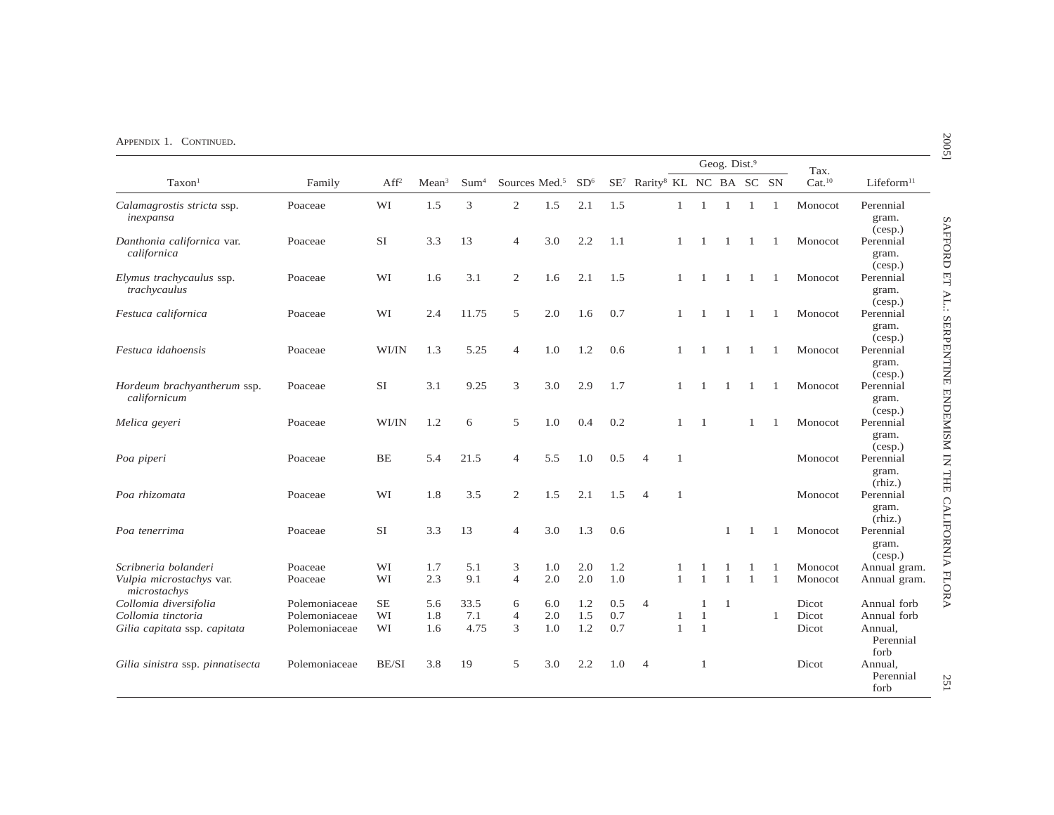|                                                                  |                                |                  |                   |                  |                           |            |                 |            |                                                    |              |                                | Geog. Dist. <sup>9</sup> |              |                | Tax.               |                                             |
|------------------------------------------------------------------|--------------------------------|------------------|-------------------|------------------|---------------------------|------------|-----------------|------------|----------------------------------------------------|--------------|--------------------------------|--------------------------|--------------|----------------|--------------------|---------------------------------------------|
| Taxon <sup>1</sup>                                               | Family                         | Aff <sup>2</sup> | Mean <sup>3</sup> | Sum <sup>4</sup> | Sources Med. <sup>5</sup> |            | SD <sup>6</sup> |            | SE <sup>7</sup> Rarity <sup>8</sup> KL NC BA SC SN |              |                                |                          |              |                | Cat. <sup>10</sup> | Lifeform <sup>11</sup>                      |
| Calamagrostis stricta ssp.<br>inexpansa                          | Poaceae                        | WI               | 1.5               | 3                | $\mathbf{2}$              | 1.5        | 2.1             | 1.5        |                                                    | 1            | $\overline{1}$                 | $\mathbf{1}$             | -1           | $\mathbf{1}$   | Monocot            | Perennial<br>gram.<br>(cesp.)               |
| Danthonia californica var.<br>californica                        | Poaceae                        | SI               | 3.3               | 13               | $\overline{4}$            | 3.0        | 2.2             | 1.1        |                                                    | 1            |                                | 1                        | -1           | $\mathbf{1}$   | Monocot            | Perennial<br>gram.<br>(cesp.)               |
| Elymus trachycaulus ssp.<br>trachycaulus                         | Poaceae                        | WI               | 1.6               | 3.1              | $\mathbf{2}$              | 1.6        | 2.1             | 1.5        |                                                    | 1            | $\mathbf{1}$                   | $\mathbf{1}$             | -1           | -1             | Monocot            | Perennial<br>gram.<br>(cesp.)               |
| Festuca californica                                              | Poaceae                        | WI               | 2.4               | 11.75            | 5                         | 2.0        | 1.6             | 0.7        |                                                    | 1            |                                | 1                        | -1           | 1              | Monocot            | Perennial<br>gram.<br>(cesp.)               |
| Festuca idahoensis                                               | Poaceae                        | WI/IN            | 1.3               | 5.25             | $\overline{4}$            | 1.0        | 1.2             | 0.6        |                                                    |              |                                | 1                        | $\mathbf{1}$ | -1             | Monocot            | Perennial<br>gram.<br>(cesp.)               |
| Hordeum brachyantherum ssp.<br>californicum                      | Poaceae                        | <b>SI</b>        | 3.1               | 9.25             | 3                         | 3.0        | 2.9             | 1.7        |                                                    | 1            |                                | 1                        | -1           | -1             | Monocot            | Perennial<br>gram.<br>(cesp.)               |
| Melica geyeri                                                    | Poaceae                        | WI/IN            | 1.2               | 6                | 5                         | 1.0        | 0.4             | 0.2        |                                                    | 1            | -1                             |                          | 1            | $\overline{1}$ | Monocot            | Perennial<br>gram.<br>(cesp.)               |
| Poa piperi                                                       | Poaceae                        | <b>BE</b>        | 5.4               | 21.5             | $\overline{4}$            | 5.5        | 1.0             | 0.5        | $\overline{4}$                                     | 1            |                                |                          |              |                | Monocot            | Perennial<br>gram.<br>(rhiz.)               |
| Poa rhizomata                                                    | Poaceae                        | WI               | 1.8               | 3.5              | $\mathbf{2}$              | 1.5        | 2.1             | 1.5        | $\overline{4}$                                     | $\mathbf{1}$ |                                |                          |              |                | Monocot            | Perennial<br>gram.<br>(rhiz.)               |
| Poa tenerrima                                                    | Poaceae                        | SI               | 3.3               | 13               | $\overline{4}$            | 3.0        | 1.3             | 0.6        |                                                    |              |                                | 1                        |              |                | Monocot            | Perennial<br>gram.<br>(cesp.)               |
| Scribneria bolanderi<br>Vulpia microstachys var.<br>microstachys | Poaceae<br>Poaceae             | WI<br>WI         | 1.7<br>2.3        | 5.1<br>9.1       | 3<br>$\overline{4}$       | 1.0<br>2.0 | 2.0<br>2.0      | 1.2<br>1.0 |                                                    | $\mathbf{1}$ | $\mathbf{1}$                   | $\mathbf{1}$             | $\mathbf{1}$ | $\overline{1}$ | Monocot<br>Monocot | Annual gram.<br>Annual gram.                |
| Collomia diversifolia                                            | Polemoniaceae                  | SЕ               | 5.6               | 33.5             | 6                         | 6.0        | 1.2             | 0.5        | $\overline{4}$                                     |              | $\mathbf{1}$                   | $\overline{1}$           |              |                | Dicot              | Annual forb                                 |
| Collomia tinctoria<br>Gilia capitata ssp. capitata               | Polemoniaceae<br>Polemoniaceae | WI<br>WI         | 1.8<br>1.6        | 7.1<br>4.75      | $\overline{4}$<br>3       | 2.0<br>1.0 | 1.5<br>1.2      | 0.7<br>0.7 |                                                    | 1<br>1       | $\mathbf{1}$<br>$\overline{1}$ |                          |              | $\mathbf{1}$   | Dicot<br>Dicot     | Annual forb<br>Annual,<br>Perennial<br>forb |
| Gilia sinistra ssp. pinnatisecta                                 | Polemoniaceae                  | BE/SI            | 3.8               | 19               | 5                         | 3.0        | 2.2             | 1.0        | $\overline{4}$                                     |              | 1                              |                          |              |                | Dicot              | Annual,<br>Perennial<br>forb                |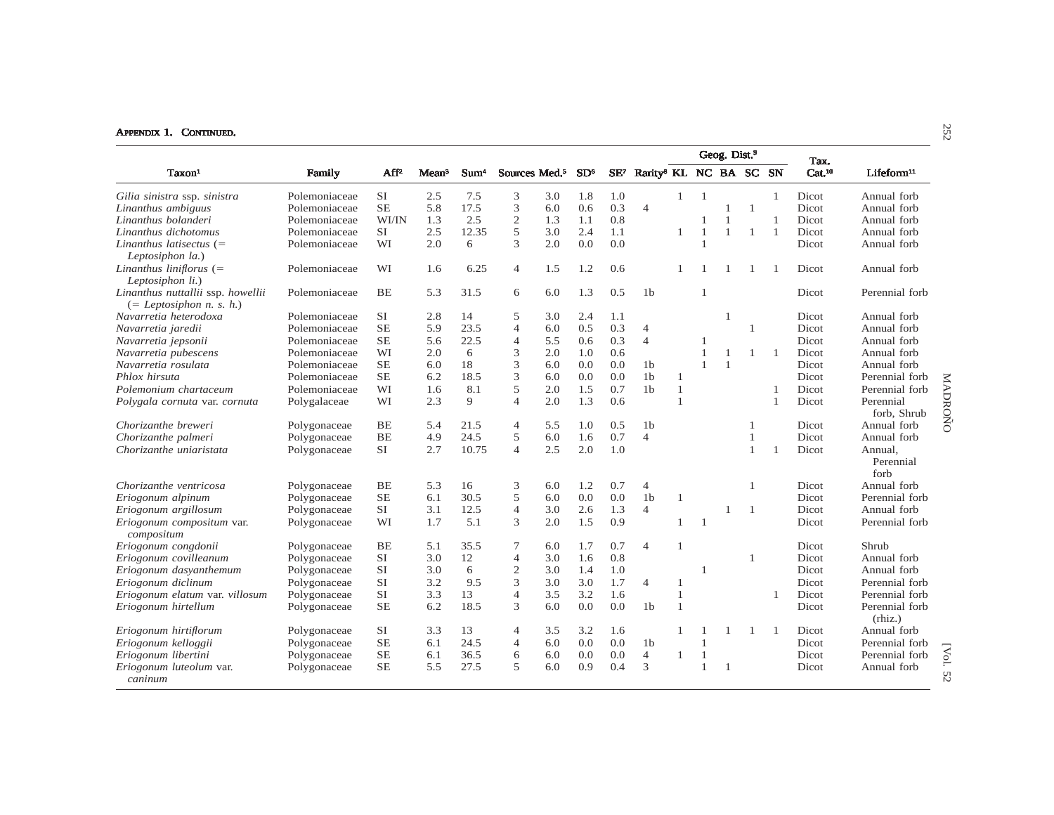|                                                                 |               |           |                   |                  |                           |     |                 |        |                                    |                |                | Geog. Dist. <sup>9</sup> |                |                |                            |                                     |
|-----------------------------------------------------------------|---------------|-----------|-------------------|------------------|---------------------------|-----|-----------------|--------|------------------------------------|----------------|----------------|--------------------------|----------------|----------------|----------------------------|-------------------------------------|
| Taxon <sup>1</sup>                                              | Family        | $AF^2$    | Mean <sup>3</sup> | Sum <sup>4</sup> | Sources Med. <sup>5</sup> |     | SD <sup>6</sup> | $SE^7$ | Rarity <sup>8</sup> KL NC BA SC SN |                |                |                          |                |                | Tax.<br>Cat. <sup>10</sup> | Lifeform <sup>11</sup>              |
| Gilia sinistra ssp. sinistra                                    | Polemoniaceae | <b>SI</b> | 2.5               | 7.5              | 3                         | 3.0 | 1.8             | 1.0    |                                    | $\mathbf{1}$   | $\mathbf{1}$   |                          |                | $\mathbf{1}$   | Dicot                      | Annual forb                         |
| Linanthus ambiguus                                              | Polemoniaceae | <b>SE</b> | 5.8               | 17.5             | 3                         | 6.0 | 0.6             | 0.3    | $\overline{4}$                     |                |                | $\overline{1}$           | -1             |                | Dicot                      | Annual forb                         |
| Linanthus bolanderi                                             | Polemoniaceae | WI/IN     | 1.3               | 2.5              | $\overline{c}$            | 1.3 | 1.1             | 0.8    |                                    |                |                | $\mathbf{1}$             |                |                | Dicot                      | Annual forb                         |
| Linanthus dichotomus                                            | Polemoniaceae | <b>SI</b> | 2.5               | 12.35            | 5                         | 3.0 | 2.4             | 1.1    |                                    |                | $\mathbf{1}$   | $\overline{1}$           | $\overline{1}$ | $\overline{1}$ | Dicot                      | Annual forb                         |
| Linanthus latisectus $(=$<br>Leptosiphon la.)                   | Polemoniaceae | WI        | 2.0               | 6                | 3                         | 2.0 | 0.0             | 0.0    |                                    |                |                |                          |                |                | Dicot                      | Annual forb                         |
| Linanthus liniflorus $(=$<br>Leptosiphon li.)                   | Polemoniaceae | WI        | 1.6               | 6.25             | $\overline{4}$            | 1.5 | 1.2             | 0.6    |                                    |                |                |                          |                |                | Dicot                      | Annual forb                         |
| Linanthus nuttallii ssp. howellii<br>$(= Leptosiphon n. s. h.)$ | Polemoniaceae | BE        | 5.3               | 31.5             | 6                         | 6.0 | 1.3             | 0.5    | 1 <sub>b</sub>                     |                |                |                          |                |                | Dicot                      | Perennial forb                      |
| Navarretia heterodoxa                                           | Polemoniaceae | SI        | 2.8               | 14               | 5                         | 3.0 | 2.4             | 1.1    |                                    |                |                |                          |                |                | Dicot                      | Annual forb                         |
| Navarretia jaredii                                              | Polemoniaceae | <b>SE</b> | 5.9               | 23.5             | $\overline{4}$            | 6.0 | 0.5             | 0.3    | $\overline{4}$                     |                |                |                          | $\mathbf{1}$   |                | Dicot                      | Annual forb                         |
| Navarretia jepsonii                                             | Polemoniaceae | $\rm SE$  | 5.6               | 22.5             | 4                         | 5.5 | 0.6             | 0.3    | $\overline{4}$                     |                |                |                          |                |                | Dicot                      | Annual forb                         |
| Navarretia pubescens                                            | Polemoniaceae | WI        | 2.0               | 6                | 3                         | 2.0 | 1.0             | 0.6    |                                    |                | $\mathbf{1}$   | $\overline{1}$           | $\overline{1}$ | $\overline{1}$ | Dicot                      | Annual forb                         |
| Navarretia rosulata                                             | Polemoniaceae | <b>SE</b> | 6.0               | 18               | 3                         | 6.0 | 0.0             | 0.0    | 1 <sub>b</sub>                     |                | $\mathbf{1}$   | $\overline{1}$           |                |                | Dicot                      | Annual forb                         |
| Phlox hirsuta                                                   | Polemoniaceae | <b>SE</b> | 6.2               | 18.5             | 3                         | 6.0 | 0.0             | 0.0    | 1 <sub>b</sub>                     | $\mathbf{1}$   |                |                          |                |                | Dicot                      | Perennial forb                      |
| Polemonium chartaceum                                           | Polemoniaceae | WI        | 1.6               | 8.1              | 5                         | 2.0 | 1.5             | 0.7    | 1 <sub>b</sub>                     | $\mathbf{1}$   |                |                          |                |                | Dicot                      | Perennial forb                      |
| Polygala cornuta var. cornuta                                   | Polygalaceae  | WI        | 2.3               | 9                | $\overline{4}$            | 2.0 | 1.3             | 0.6    |                                    | $\overline{1}$ |                |                          |                |                | Dicot                      | MADROÑO<br>Perennial<br>forb, Shrub |
| Chorizanthe breweri                                             | Polygonaceae  | BE        | 5.4               | 21.5             | $\overline{4}$            | 5.5 | 1.0             | 0.5    | 1 <sub>b</sub>                     |                |                |                          | $\mathbf{1}$   |                | Dicot                      | Annual forb                         |
| Chorizanthe palmeri                                             | Polygonaceae  | <b>BE</b> | 4.9               | 24.5             | 5                         | 6.0 | 1.6             | 0.7    | $\overline{4}$                     |                |                |                          | $\mathbf{1}$   |                | Dicot                      | Annual forb                         |
| Chorizanthe uniaristata                                         | Polygonaceae  | <b>SI</b> | 2.7               | 10.75            | $\overline{4}$            | 2.5 | 2.0             | 1.0    |                                    |                |                |                          | 1              |                | Dicot                      | Annual.<br>Perennial<br>forb        |
| Chorizanthe ventricosa                                          | Polygonaceae  | BE        | 5.3               | 16               | 3                         | 6.0 | 1.2             | 0.7    | 4                                  |                |                |                          | $\mathbf{1}$   |                | Dicot                      | Annual forb                         |
| Eriogonum alpinum                                               | Polygonaceae  | <b>SE</b> | 6.1               | 30.5             | 5                         | 6.0 | 0.0             | 0.0    | 1 <sub>b</sub>                     |                |                |                          |                |                | Dicot                      | Perennial forb                      |
| Eriogonum argillosum                                            | Polygonaceae  | SI        | 3.1               | 12.5             | $\overline{4}$            | 3.0 | 2.6             | 1.3    | $\overline{4}$                     |                |                | $\overline{1}$           | -1             |                | Dicot                      | Annual forb                         |
| Eriogonum compositum var.<br>compositum                         | Polygonaceae  | WI        | 1.7               | 5.1              | 3                         | 2.0 | 1.5             | 0.9    |                                    |                | $\overline{1}$ |                          |                |                | Dicot                      | Perennial forb                      |
| Eriogonum congdonii                                             | Polygonaceae  | <b>BE</b> | 5.1               | 35.5             | 7                         | 6.0 | 1.7             | 0.7    | $\overline{4}$                     |                |                |                          |                |                | Dicot                      | Shrub                               |
| Eriogonum covilleanum                                           | Polygonaceae  | SI        | 3.0               | 12               | $\overline{4}$            | 3.0 | 1.6             | 0.8    |                                    |                |                |                          | -1             |                | Dicot                      | Annual forb                         |
| Eriogonum dasyanthemum                                          | Polygonaceae  | <b>SI</b> | 3.0               | 6                | $\mathfrak{2}$            | 3.0 | 1.4             | 1.0    |                                    |                | 1              |                          |                |                | Dicot                      | Annual forb                         |
| Eriogonum diclinum                                              | Polygonaceae  | <b>SI</b> | 3.2               | 9.5              | 3                         | 3.0 | 3.0             | 1.7    | $\overline{4}$                     | -1             |                |                          |                |                | Dicot                      | Perennial forb                      |
| Eriogonum elatum var. villosum                                  | Polygonaceae  | <b>SI</b> | 3.3               | 13               | $\overline{4}$            | 3.5 | 3.2             | 1.6    |                                    | $\overline{1}$ |                |                          |                |                | Dicot                      | Perennial forb                      |
| Eriogonum hirtellum                                             | Polygonaceae  | <b>SE</b> | 6.2               | 18.5             | 3                         | 6.0 | 0.0             | 0.0    | 1 <sub>b</sub>                     | $\overline{1}$ |                |                          |                |                | Dicot                      | Perennial forb<br>(rhiz.)           |
| Eriogonum hirtiflorum                                           | Polygonaceae  | SI        | 3.3               | 13               | 4                         | 3.5 | 3.2             | 1.6    |                                    | -1             |                |                          | -1             |                | Dicot                      | Annual forb                         |
| Eriogonum kelloggii                                             | Polygonaceae  | <b>SE</b> | 6.1               | 24.5             | $\overline{4}$            | 6.0 | 0.0             | 0.0    | 1 <sub>b</sub>                     |                | $\mathbf{1}$   |                          |                |                | Dicot                      | Perennial forb                      |
| Eriogonum libertini                                             | Polygonaceae  | <b>SE</b> | 6.1               | 36.5             | 6                         | 6.0 | 0.0             | 0.0    | $\overline{4}$                     |                | $\mathbf{1}$   |                          |                |                | Dicot                      | [Vol.<br>Perennial forb             |
| Eriogonum luteolum var.<br>caninum                              | Polygonaceae  | <b>SE</b> | 5.5               | 27.5             | 5                         | 6.0 | 0.9             | 0.4    | 3                                  |                | $\mathbf{1}$   | $\overline{1}$           |                |                | Dicot                      | Annual forb<br>52                   |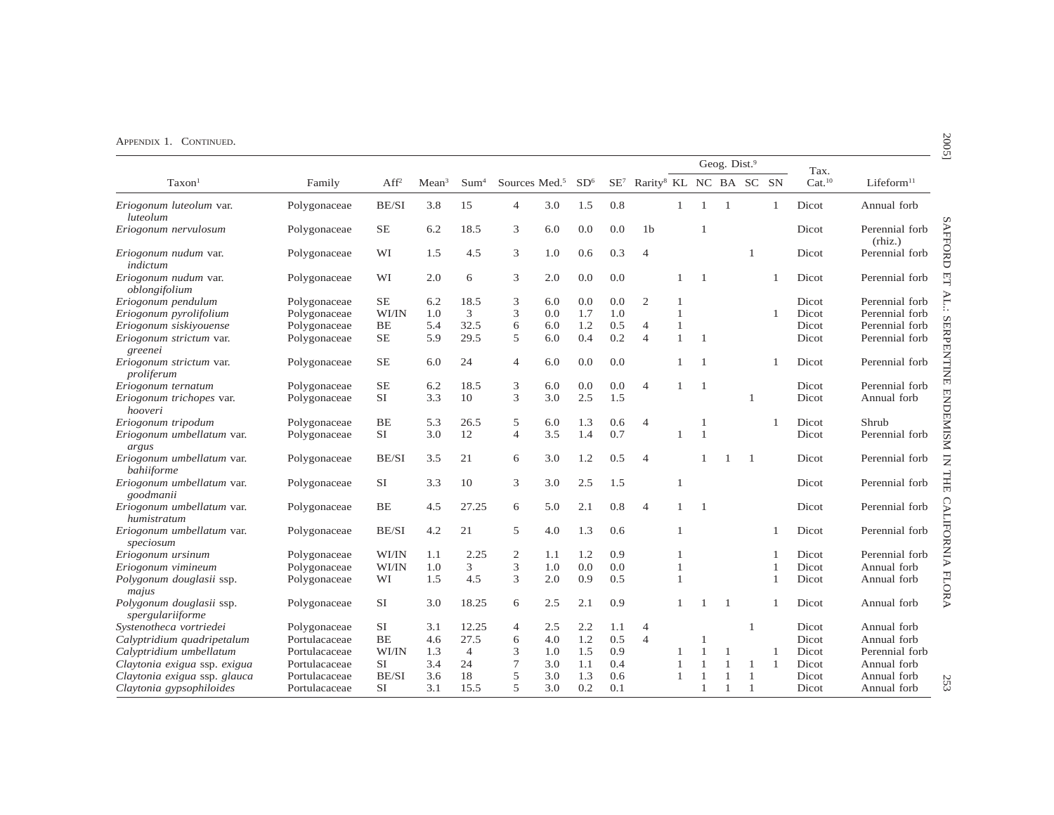|                                              |               |                  |                   |                  |                           |     |                 |     |                                                    |              |                | Geog. Dist. <sup>9</sup> |                |              | Tax.               |                           |
|----------------------------------------------|---------------|------------------|-------------------|------------------|---------------------------|-----|-----------------|-----|----------------------------------------------------|--------------|----------------|--------------------------|----------------|--------------|--------------------|---------------------------|
| Taxon <sup>1</sup>                           | Family        | Aff <sup>2</sup> | Mean <sup>3</sup> | Sum <sup>4</sup> | Sources Med. <sup>5</sup> |     | SD <sup>6</sup> |     | SE <sup>7</sup> Rarity <sup>8</sup> KL NC BA SC SN |              |                |                          |                |              | Cat. <sup>10</sup> | Lifeform <sup>11</sup>    |
| Eriogonum luteolum var.<br>luteolum          | Polygonaceae  | BE/SI            | 3.8               | 15               | $\overline{4}$            | 3.0 | 1.5             | 0.8 |                                                    | $\mathbf{1}$ | $\mathbf{1}$   | $\overline{1}$           |                | $\mathbf{1}$ | Dicot              | Annual forb               |
| Eriogonum nervulosum                         | Polygonaceae  | <b>SE</b>        | 6.2               | 18.5             | 3                         | 6.0 | 0.0             | 0.0 | 1 <sub>b</sub>                                     |              | $\overline{1}$ |                          |                |              | Dicot              | Perennial forb<br>(rhiz.) |
| Eriogonum nudum var.<br>indictum             | Polygonaceae  | WI               | 1.5               | 4.5              | 3                         | 1.0 | 0.6             | 0.3 | $\overline{4}$                                     |              |                |                          | $\mathbf{1}$   |              | Dicot              | Perennial forb            |
| Eriogonum nudum var.<br>oblongifolium        | Polygonaceae  | WI               | 2.0               | 6                | 3                         | 2.0 | 0.0             | 0.0 |                                                    |              | $\overline{1}$ |                          |                |              | Dicot              | Perennial forb            |
| Eriogonum pendulum                           | Polygonaceae  | <b>SE</b>        | 6.2               | 18.5             | 3                         | 6.0 | 0.0             | 0.0 | $\mathfrak{2}$                                     | 1            |                |                          |                |              | Dicot              | Perennial forb            |
| Eriogonum pyrolifolium                       | Polygonaceae  | WI/IN            | 1.0               | 3                | 3                         | 0.0 | 1.7             | 1.0 |                                                    | 1            |                |                          |                | $\mathbf{1}$ | Dicot              | Perennial forb            |
| Eriogonum siskiyouense                       | Polygonaceae  | BE               | 5.4               | 32.5             | 6                         | 6.0 | 1.2             | 0.5 | $\overline{4}$                                     | 1            |                |                          |                |              | Dicot              | Perennial forb            |
| Eriogonum strictum var.<br>greenei           | Polygonaceae  | <b>SE</b>        | 5.9               | 29.5             | 5                         | 6.0 | 0.4             | 0.2 | $\overline{4}$                                     | 1            | $\overline{1}$ |                          |                |              | Dicot              | Perennial forb            |
| Eriogonum strictum var.<br>proliferum        | Polygonaceae  | <b>SE</b>        | 6.0               | 24               | 4                         | 6.0 | 0.0             | 0.0 |                                                    |              | $\overline{1}$ |                          |                |              | Dicot              | Perennial forb            |
| Eriogonum ternatum                           | Polygonaceae  | <b>SE</b>        | 6.2               | 18.5             | 3                         | 6.0 | 0.0             | 0.0 | $\overline{4}$                                     | 1            | $\overline{1}$ |                          |                |              | Dicot              | Perennial forb            |
| Eriogonum trichopes var.<br>hooveri          | Polygonaceae  | <b>SI</b>        | 3.3               | 10               | 3                         | 3.0 | 2.5             | 1.5 |                                                    |              |                |                          | 1              |              | Dicot              | Annual forb               |
| Eriogonum tripodum                           | Polygonaceae  | BE               | 5.3               | 26.5             | 5                         | 6.0 | 1.3             | 0.6 | $\overline{4}$                                     |              | $\overline{1}$ |                          |                |              | Dicot              | Shrub                     |
| Eriogonum umbellatum var.<br>argus           | Polygonaceae  | <b>SI</b>        | 3.0               | 12               | $\overline{4}$            | 3.5 | 1.4             | 0.7 |                                                    |              | $\overline{1}$ |                          |                |              | Dicot              | Perennial forb            |
| Eriogonum umbellatum var.<br>bahiiforme      | Polygonaceae  | BE/SI            | 3.5               | 21               | 6                         | 3.0 | 1.2             | 0.5 | $\overline{4}$                                     |              |                |                          | -1             |              | Dicot              | Perennial forb            |
| Eriogonum umbellatum var.<br>goodmanii       | Polygonaceae  | SI               | 3.3               | 10               | 3                         | 3.0 | 2.5             | 1.5 |                                                    | 1            |                |                          |                |              | Dicot              | Perennial forb            |
| Eriogonum umbellatum var.<br>humistratum     | Polygonaceae  | <b>BE</b>        | 4.5               | 27.25            | 6                         | 5.0 | 2.1             | 0.8 | $\overline{4}$                                     | 1            | $\overline{1}$ |                          |                |              | Dicot              | Perennial forb            |
| Eriogonum umbellatum var.<br>speciosum       | Polygonaceae  | BE/SI            | 4.2               | 21               | 5                         | 4.0 | 1.3             | 0.6 |                                                    | 1            |                |                          |                | 1            | Dicot              | Perennial forb            |
| Eriogonum ursinum                            | Polygonaceae  | WI/IN            | 1.1               | 2.25             | $\overline{c}$            | 1.1 | 1.2             | 0.9 |                                                    | $\mathbf{1}$ |                |                          |                |              | Dicot              | Perennial forb            |
| Eriogonum vimineum                           | Polygonaceae  | WI/IN            | 1.0               | 3                | 3                         | 1.0 | 0.0             | 0.0 |                                                    | 1            |                |                          |                | 1            | Dicot              | Annual forb               |
| Polygonum douglasii ssp.<br>majus            | Polygonaceae  | WI               | 1.5               | 4.5              | 3                         | 2.0 | 0.9             | 0.5 |                                                    | $\mathbf{1}$ |                |                          |                | 1            | Dicot              | Annual forb               |
| Polygonum douglasii ssp.<br>spergulariiforme | Polygonaceae  | <b>SI</b>        | 3.0               | 18.25            | 6                         | 2.5 | 2.1             | 0.9 |                                                    | $\mathbf{1}$ |                | $\overline{1}$           |                |              | Dicot              | Annual forb               |
| Systenotheca vortriedei                      | Polygonaceae  | <b>SI</b>        | 3.1               | 12.25            | 4                         | 2.5 | 2.2             | 1.1 | 4                                                  |              |                |                          | -1             |              | Dicot              | Annual forb               |
| Calyptridium quadripetalum                   | Portulacaceae | BE               | 4.6               | 27.5             | 6                         | 4.0 | 1.2             | 0.5 | $\overline{4}$                                     |              |                |                          |                |              | Dicot              | Annual forb               |
| Calyptridium umbellatum                      | Portulacaceae | WI/IN            | 1.3               | $\overline{4}$   | 3                         | 1.0 | 1.5             | 0.9 |                                                    | 1            | $\mathbf{1}$   |                          |                | 1            | Dicot              | Perennial forb            |
| Claytonia exigua ssp. exigua                 | Portulacaceae | <b>SI</b>        | 3.4               | 24               | 7                         | 3.0 | 1.1             | 0.4 |                                                    | 1            |                |                          |                | 1            | Dicot              | Annual forb               |
| Claytonia exigua ssp. glauca                 | Portulacaceae | BE/SI            | 3.6               | 18               | 5                         | 3.0 | 1.3             | 0.6 |                                                    | $\mathbf{1}$ |                |                          | $\overline{1}$ |              | Dicot              | Annual forb               |
| Claytonia gypsophiloides                     | Portulacaceae | <b>SI</b>        | 3.1               | 15.5             | 5                         | 3.0 | 0.2             | 0.1 |                                                    |              | $\mathbf{1}$   |                          | 1              |              | Dicot              | Annual forb               |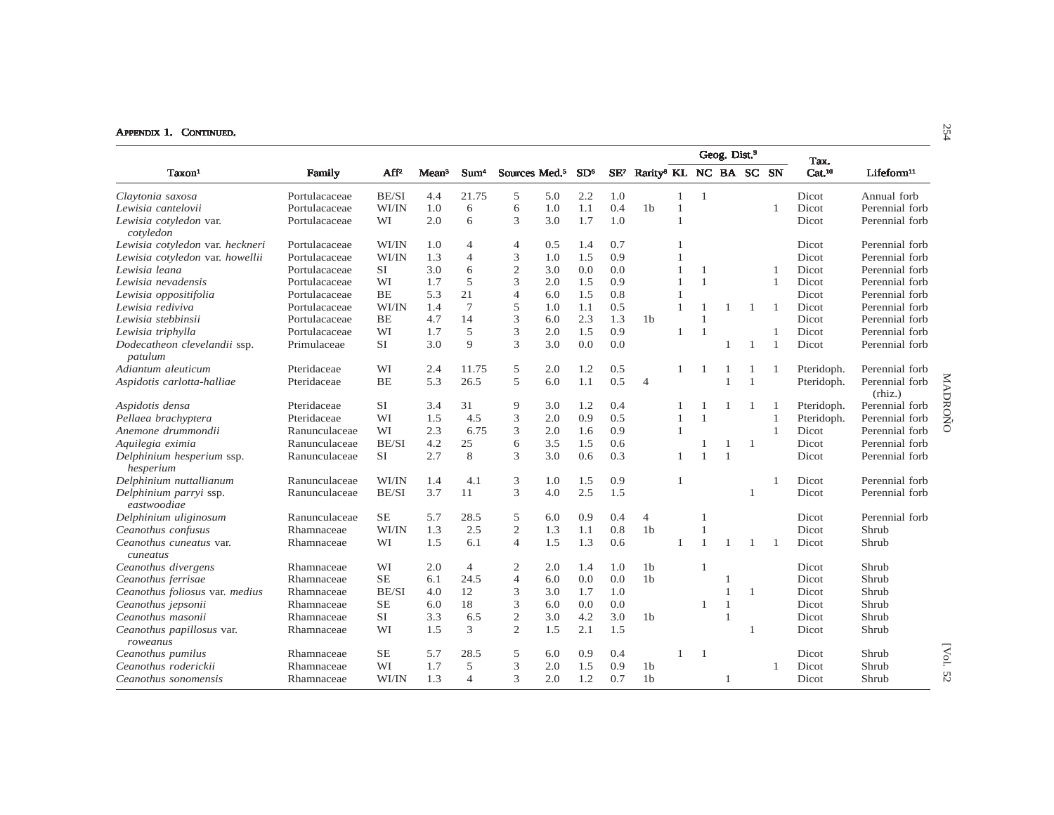|                                         |               |           |                   |                  |                           |     |                 |        |                                    |                |                | Geog. Dist. <sup>9</sup> |                |                | Tax.               |                           |
|-----------------------------------------|---------------|-----------|-------------------|------------------|---------------------------|-----|-----------------|--------|------------------------------------|----------------|----------------|--------------------------|----------------|----------------|--------------------|---------------------------|
| Taxon <sup>1</sup>                      | Family        | $AF^2$    | Mean <sup>3</sup> | Sum <sup>4</sup> | Sources Med. <sup>5</sup> |     | SD <sup>6</sup> | $SE^7$ | Rarity <sup>8</sup> KL NC BA SC SN |                |                |                          |                |                | Cat. <sup>10</sup> | $L$ ifeform $^{11}$       |
| Claytonia saxosa                        | Portulacaceae | BE/SI     | 4.4               | 21.75            | 5                         | 5.0 | 2.2             | 1.0    |                                    | $\mathbf{1}$   | $\overline{1}$ |                          |                |                | Dicot              | Annual forb               |
| Lewisia cantelovii                      | Portulacaceae | WI/IN     | 1.0               | 6                | 6                         | 1.0 | 1.1             | 0.4    | 1 <sub>b</sub>                     |                |                |                          |                |                | Dicot              | Perennial forb            |
| Lewisia cotyledon var.<br>cotyledon     | Portulacaceae | WI        | 2.0               | 6                | 3                         | 3.0 | 1.7             | 1.0    |                                    | $\overline{1}$ |                |                          |                |                | Dicot              | Perennial forb            |
| Lewisia cotyledon var. heckneri         | Portulacaceae | WI/IN     | 1.0               | $\overline{4}$   | 4                         | 0.5 | 1.4             | 0.7    |                                    |                |                |                          |                |                | Dicot              | Perennial forb            |
| Lewisia cotyledon var. howellii         | Portulacaceae | WI/IN     | 1.3               | $\overline{4}$   | 3                         | 1.0 | 1.5             | 0.9    |                                    |                |                |                          |                |                | Dicot              | Perennial forb            |
| Lewisia leana                           | Portulacaceae | <b>SI</b> | 3.0               | 6                | $\overline{2}$            | 3.0 | 0.0             | 0.0    |                                    |                | $\mathbf{1}$   |                          |                | $\mathbf{1}$   | Dicot              | Perennial forb            |
| Lewisia nevadensis                      | Portulacaceae | WI        | 1.7               | 5                | 3                         | 2.0 | 1.5             | 0.9    |                                    |                | $\mathbf{1}$   |                          |                | $\mathbf{1}$   | Dicot              | Perennial forb            |
| Lewisia oppositifolia                   | Portulacaceae | BE        | 5.3               | 21               | $\overline{4}$            | 6.0 | 1.5             | 0.8    |                                    |                |                |                          |                |                | Dicot              | Perennial forb            |
| Lewisia rediviva                        | Portulacaceae | WI/IN     | 1.4               | $7\phantom{.0}$  | 5                         | 1.0 | 1.1             | 0.5    |                                    | $\mathbf{1}$   | $\mathbf{1}$   | -1                       | $\overline{1}$ | -1             | Dicot              | Perennial forb            |
| Lewisia stebbinsii                      | Portulacaceae | <b>BE</b> | 4.7               | 14               | 3                         | 6.0 | 2.3             | 1.3    | 1 <sub>b</sub>                     |                | $\mathbf{1}$   |                          |                |                | Dicot              | Perennial forb            |
| Lewisia triphylla                       | Portulacaceae | WI        | 1.7               | 5                | 3                         | 2.0 | 1.5             | 0.9    |                                    |                | $\overline{1}$ |                          |                |                | Dicot              | Perennial forb            |
| Dodecatheon clevelandii ssp.<br>patulum | Primulaceae   | <b>SI</b> | 3.0               | $\mathbf{Q}$     | 3                         | 3.0 | 0.0             | 0.0    |                                    |                |                | $\mathbf{1}$             | $\overline{1}$ | $\overline{1}$ | Dicot              | Perennial forb            |
| Adiantum aleuticum                      | Pteridaceae   | WI        | 2.4               | 11.75            | 5                         | 2.0 | 1.2             | 0.5    |                                    |                |                | $\overline{1}$           | $\mathbf{1}$   |                | Pteridoph.         | Perennial forb            |
| Aspidotis carlotta-halliae              | Pteridaceae   | <b>BE</b> | 5.3               | 26.5             | 5                         | 6.0 | 1.1             | 0.5    | $\overline{4}$                     |                |                |                          | $\overline{1}$ |                | Pteridoph.         | Perennial forb<br>(rhiz.) |
| Aspidotis densa                         | Pteridaceae   | <b>SI</b> | 3.4               | 31               | 9                         | 3.0 | 1.2             | 0.4    |                                    |                |                |                          | -1             |                | Pteridoph.         | Perennial forb            |
| Pellaea brachyptera                     | Pteridaceae   | WI        | 1.5               | 4.5              | 3                         | 2.0 | 0.9             | 0.5    |                                    |                | $\mathbf{1}$   |                          |                |                | Pteridoph.         | Perennial forb            |
| Anemone drummondii                      | Ranunculaceae | WI        | 2.3               | 6.75             | 3                         | 2.0 | 1.6             | 0.9    |                                    |                |                |                          |                | $\mathbf{1}$   | Dicot              | Perennial forb            |
| Aquilegia eximia                        | Ranunculaceae | BE/SI     | 4.2               | 25               | 6                         | 3.5 | 1.5             | 0.6    |                                    |                | 1              | 1                        | -1             |                | Dicot              | Perennial forb            |
| Delphinium hesperium ssp.<br>hesperium  | Ranunculaceae | <b>SI</b> | 2.7               | 8                | 3                         | 3.0 | 0.6             | 0.3    |                                    | $\overline{1}$ | $\mathbf{1}$   | $\overline{1}$           |                |                | Dicot              | Perennial forb            |
| Delphinium nuttallianum                 | Ranunculaceae | WI/IN     | 1.4               | 4.1              | 3                         | 1.0 | 1.5             | 0.9    |                                    | $\overline{1}$ |                |                          |                |                | Dicot              | Perennial forb            |
| Delphinium parryi ssp.<br>eastwoodiae   | Ranunculaceae | BE/SI     | 3.7               | 11               | 3                         | 4.0 | 2.5             | 1.5    |                                    |                |                |                          | $\mathbf{1}$   |                | Dicot              | Perennial forb            |
| Delphinium uliginosum                   | Ranunculaceae | <b>SE</b> | 5.7               | 28.5             | 5                         | 6.0 | 0.9             | 0.4    | $\overline{4}$                     |                | 1              |                          |                |                | Dicot              | Perennial forb            |
| Ceanothus confusus                      | Rhamnaceae    | WI/IN     | 1.3               | 2.5              | $\overline{c}$            | 1.3 | 1.1             | 0.8    | 1 <sub>b</sub>                     |                | $\mathbf{1}$   |                          |                |                | Dicot              | Shrub                     |
| Ceanothus cuneatus var.<br>cuneatus     | Rhamnaceae    | WI        | 1.5               | 6.1              | $\overline{4}$            | 1.5 | 1.3             | 0.6    |                                    |                | $\mathbf{1}$   |                          | $\overline{1}$ |                | Dicot              | Shrub                     |
| Ceanothus divergens                     | Rhamnaceae    | WI        | 2.0               | $\overline{4}$   | $\mathfrak{2}$            | 2.0 | 1.4             | 1.0    | 1 <sub>b</sub>                     |                | -1             |                          |                |                | Dicot              | Shrub                     |
| Ceanothus ferrisae                      | Rhamnaceae    | <b>SE</b> | 6.1               | 24.5             | $\overline{4}$            | 6.0 | 0.0             | 0.0    | 1 <sub>b</sub>                     |                |                | $\overline{1}$           |                |                | Dicot              | Shrub                     |
| Ceanothus foliosus var. medius          | Rhamnaceae    | BE/SI     | 4.0               | 12               | 3                         | 3.0 | 1.7             | 1.0    |                                    |                |                | $\overline{1}$           | $\overline{1}$ |                | Dicot              | Shrub                     |
| Ceanothus jepsonii                      | Rhamnaceae    | <b>SE</b> | 6.0               | 18               | 3                         | 6.0 | 0.0             | 0.0    |                                    |                | $\mathbf{1}$   | $\overline{1}$           |                |                | Dicot              | Shrub                     |
| Ceanothus masonii                       | Rhamnaceae    | <b>SI</b> | 3.3               | 6.5              | $\mathfrak{2}$            | 3.0 | 4.2             | 3.0    | 1 <sub>b</sub>                     |                |                | $\overline{1}$           |                |                | Dicot              | Shrub                     |
| Ceanothus papillosus var.<br>roweanus   | Rhamnaceae    | WI        | 1.5               | 3                | $\overline{2}$            | 1.5 | 2.1             | 1.5    |                                    |                |                |                          | $\mathbf{1}$   |                | Dicot              | Shrub                     |
| Ceanothus pumilus                       | Rhamnaceae    | SE        | 5.7               | 28.5             | 5                         | 6.0 | 0.9             | 0.4    |                                    |                | $\mathbf{1}$   |                          |                |                | Dicot              | Shrub                     |
| Ceanothus roderickii                    | Rhamnaceae    | WI        | 1.7               | 5                | 3                         | 2.0 | 1.5             | 0.9    | 1 <sub>b</sub>                     |                |                |                          |                |                | Dicot              | Shrub                     |
| Ceanothus sonomensis                    | Rhamnaceae    | WI/IN     | 1.3               | $\overline{4}$   | 3                         | 2.0 | 1.2             | 0.7    | 1 <sub>b</sub>                     |                |                | $\mathbf{1}$             |                |                | Dicot              | Shrub                     |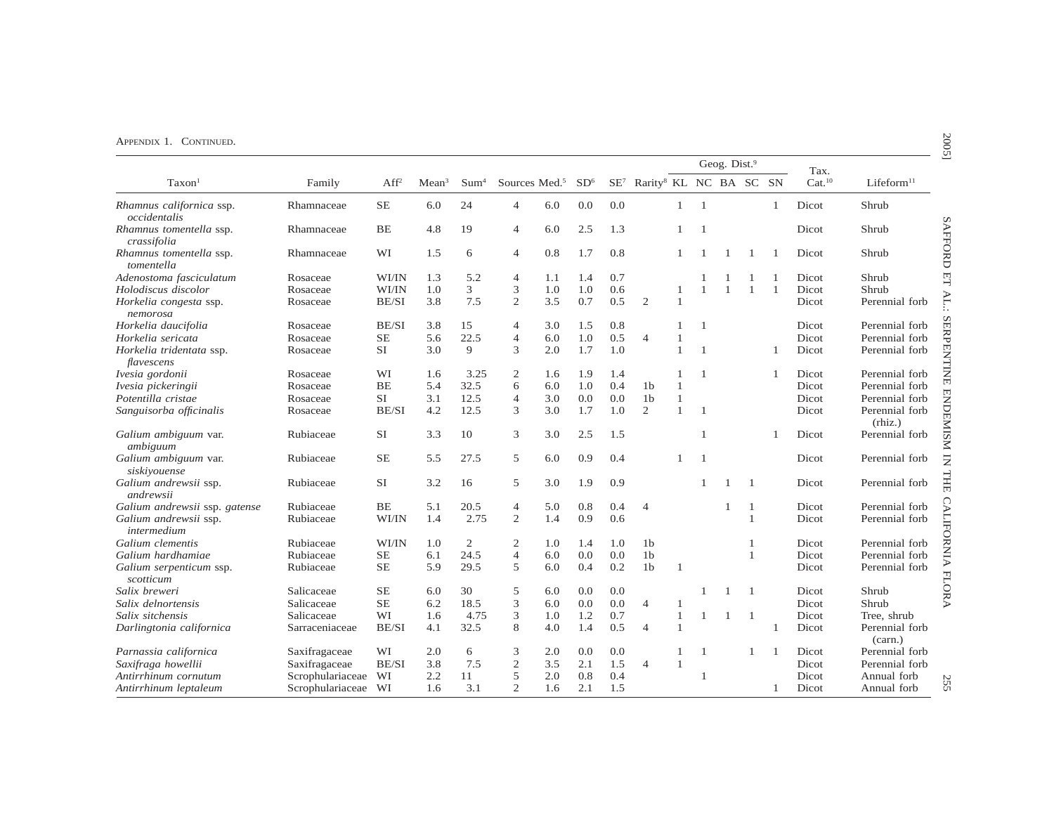|                                          | Family           |                  |                   |                  |                           |     |                 |     |                                                    |              |                | Geog. Dist. <sup>9</sup> |              |              | Tax.               | Lifeform <sup>11</sup>    |
|------------------------------------------|------------------|------------------|-------------------|------------------|---------------------------|-----|-----------------|-----|----------------------------------------------------|--------------|----------------|--------------------------|--------------|--------------|--------------------|---------------------------|
| Taxon <sup>1</sup>                       |                  | Aff <sup>2</sup> | Mean <sup>3</sup> | Sum <sup>4</sup> | Sources Med. <sup>5</sup> |     | SD <sup>6</sup> |     | SE <sup>7</sup> Rarity <sup>8</sup> KL NC BA SC SN |              |                |                          |              |              | Cat. <sup>10</sup> |                           |
| Rhamnus californica ssp.<br>occidentalis | Rhamnaceae       | $\rm SE$         | 6.0               | 24               | $\overline{4}$            | 6.0 | 0.0             | 0.0 |                                                    | $\mathbf{1}$ | $\overline{1}$ |                          |              | $\mathbf{1}$ | Dicot              | Shrub                     |
| Rhamnus tomentella ssp.<br>crassifolia   | Rhamnaceae       | <b>BE</b>        | 4.8               | 19               | 4                         | 6.0 | 2.5             | 1.3 |                                                    | 1            | $\overline{1}$ |                          |              |              | Dicot              | Shrub                     |
| Rhamnus tomentella ssp.<br>tomentella    | Rhamnaceae       | WI               | 1.5               | 6                | 4                         | 0.8 | 1.7             | 0.8 |                                                    |              |                |                          |              | -1           | Dicot              | Shrub                     |
| Adenostoma fasciculatum                  | Rosaceae         | WI/IN            | 1.3               | 5.2              | 4                         | 1.1 | 1.4             | 0.7 |                                                    |              |                |                          |              |              | Dicot              | Shrub                     |
| Holodiscus discolor                      | Rosaceae         | WI/IN            | 1.0               | 3                | 3                         | 1.0 | 1.0             | 0.6 |                                                    | -1           | $\overline{1}$ | $\mathbf{1}$             | $\mathbf{1}$ | $\mathbf{1}$ | Dicot              | Shrub                     |
| Horkelia congesta ssp.<br>nemorosa       | Rosaceae         | BE/SI            | 3.8               | 7.5              | $\mathbf{2}$              | 3.5 | 0.7             | 0.5 | 2                                                  | $\mathbf{1}$ |                |                          |              |              | Dicot              | Perennial forb            |
| Horkelia daucifolia                      | Rosaceae         | BE/SI            | 3.8               | 15               | 4                         | 3.0 | 1.5             | 0.8 |                                                    |              | $\overline{1}$ |                          |              |              | Dicot              | Perennial forb            |
| Horkelia sericata                        | Rosaceae         | <b>SE</b>        | 5.6               | 22.5             | $\overline{4}$            | 6.0 | 1.0             | 0.5 | $\overline{4}$                                     | 1            |                |                          |              |              | Dicot              | Perennial forb            |
| Horkelia tridentata ssp.<br>flavescens   | Rosaceae         | <b>SI</b>        | 3.0               | 9                | 3                         | 2.0 | 1.7             | 1.0 |                                                    | $\mathbf{1}$ | $\overline{1}$ |                          |              | 1            | Dicot              | Perennial forb            |
| Ivesia gordonii                          | Rosaceae         | WI               | 1.6               | 3.25             | $\overline{c}$            | 1.6 | 1.9             | 1.4 |                                                    | 1            | $\overline{1}$ |                          |              | 1            | Dicot              | Perennial forb            |
| Ivesia pickeringii                       | Rosaceae         | <b>BE</b>        | 5.4               | 32.5             | 6                         | 6.0 | 1.0             | 0.4 | 1 <sub>b</sub>                                     | $\mathbf{1}$ |                |                          |              |              | Dicot              | Perennial forb            |
| Potentilla cristae                       | Rosaceae         | SI               | 3.1               | 12.5             | $\overline{4}$            | 3.0 | 0.0             | 0.0 | 1 <sub>b</sub>                                     | $\mathbf{1}$ |                |                          |              |              | Dicot              | Perennial forb            |
| Sanguisorba officinalis                  | Rosaceae         | BE/SI            | 4.2               | 12.5             | 3                         | 3.0 | 1.7             | 1.0 | 2                                                  | $\mathbf{1}$ | $\overline{1}$ |                          |              |              | Dicot              | Perennial forb<br>(rhiz.) |
| Galium ambiguum var.<br>ambiguum         | Rubiaceae        | <b>SI</b>        | 3.3               | 10               | 3                         | 3.0 | 2.5             | 1.5 |                                                    |              | $\overline{1}$ |                          |              |              | Dicot              | Perennial forb            |
| Galium ambiguum var.<br>siskiyouense     | Rubiaceae        | <b>SE</b>        | 5.5               | 27.5             | 5                         | 6.0 | 0.9             | 0.4 |                                                    |              | $\overline{1}$ |                          |              |              | Dicot              | Perennial forb            |
| Galium andrewsii ssp.<br>andrewsii       | Rubiaceae        | SI               | 3.2               | 16               | 5                         | 3.0 | 1.9             | 0.9 |                                                    |              | $\overline{1}$ | $\mathbf{1}$             | -1           |              | Dicot              | Perennial forb            |
| Galium andrewsii ssp. gatense            | Rubiaceae        | <b>BE</b>        | 5.1               | 20.5             | $\overline{4}$            | 5.0 | 0.8             | 0.4 | $\overline{4}$                                     |              |                | 1                        | $\mathbf{1}$ |              | Dicot              | Perennial forb            |
| Galium andrewsii ssp.<br>intermedium     | Rubiaceae        | WI/IN            | 1.4               | 2.75             | 2                         | 1.4 | 0.9             | 0.6 |                                                    |              |                |                          | $\mathbf{1}$ |              | Dicot              | Perennial forb            |
| Galium clementis                         | Rubiaceae        | WI/IN            | 1.0               | $\overline{2}$   | $\overline{2}$            | 1.0 | 1.4             | 1.0 | 1 <sub>b</sub>                                     |              |                |                          | 1            |              | Dicot              | Perennial forb            |
| Galium hardhamiae                        | Rubiaceae        | <b>SE</b>        | 6.1               | 24.5             | $\overline{4}$            | 6.0 | 0.0             | 0.0 | 1 <sub>b</sub>                                     |              |                |                          | $\mathbf{1}$ |              | Dicot              | Perennial forb            |
| Galium serpenticum ssp.<br>scotticum     | Rubiaceae        | <b>SE</b>        | 5.9               | 29.5             | 5                         | 6.0 | 0.4             | 0.2 | 1 <sub>b</sub>                                     | $\mathbf{1}$ |                |                          |              |              | Dicot              | Perennial forb            |
| Salix breweri                            | Salicaceae       | <b>SE</b>        | 6.0               | 30               | 5                         | 6.0 | 0.0             | 0.0 |                                                    |              |                |                          | -1           |              | Dicot              | Shrub                     |
| Salix delnortensis                       | Salicaceae       | <b>SE</b>        | 6.2               | 18.5             | 3                         | 6.0 | 0.0             | 0.0 | $\overline{4}$                                     | $\mathbf{1}$ |                |                          |              |              | Dicot              | Shrub                     |
| Salix sitchensis                         | Salicaceae       | WI               | 1.6               | 4.75             | 3                         | 1.0 | 1.2             | 0.7 |                                                    | $\mathbf{1}$ | 1              | 1                        | -1           |              | Dicot              | Tree, shrub               |
| Darlingtonia californica                 | Sarraceniaceae   | BE/SI            | 4.1               | 32.5             | 8                         | 4.0 | 1.4             | 0.5 | $\overline{4}$                                     | $\mathbf{1}$ |                |                          |              | 1            | Dicot              | Perennial forb<br>(carn.) |
| Parnassia californica                    | Saxifragaceae    | WI               | 2.0               | 6                | 3                         | 2.0 | 0.0             | 0.0 |                                                    | 1            | $\mathbf{1}$   |                          | $\mathbf{1}$ | 1            | Dicot              | Perennial forb            |
| Saxifraga howellii                       | Saxifragaceae    | BE/SI            | 3.8               | 7.5              | $\mathfrak{2}$            | 3.5 | 2.1             | 1.5 | $\overline{4}$                                     | $\mathbf{1}$ |                |                          |              |              | Dicot              | Perennial forb            |
| Antirrhinum cornutum                     | Scrophulariaceae | WI               | 2.2               | 11               | 5                         | 2.0 | 0.8             | 0.4 |                                                    |              | 1              |                          |              |              | Dicot              | Annual forb               |
| Antirrhinum leptaleum                    | Scrophulariaceae | WI               | 1.6               | 3.1              | $\overline{2}$            | 1.6 | 2.1             | 1.5 |                                                    |              |                |                          |              | 1            | Dicot              | Annual forb               |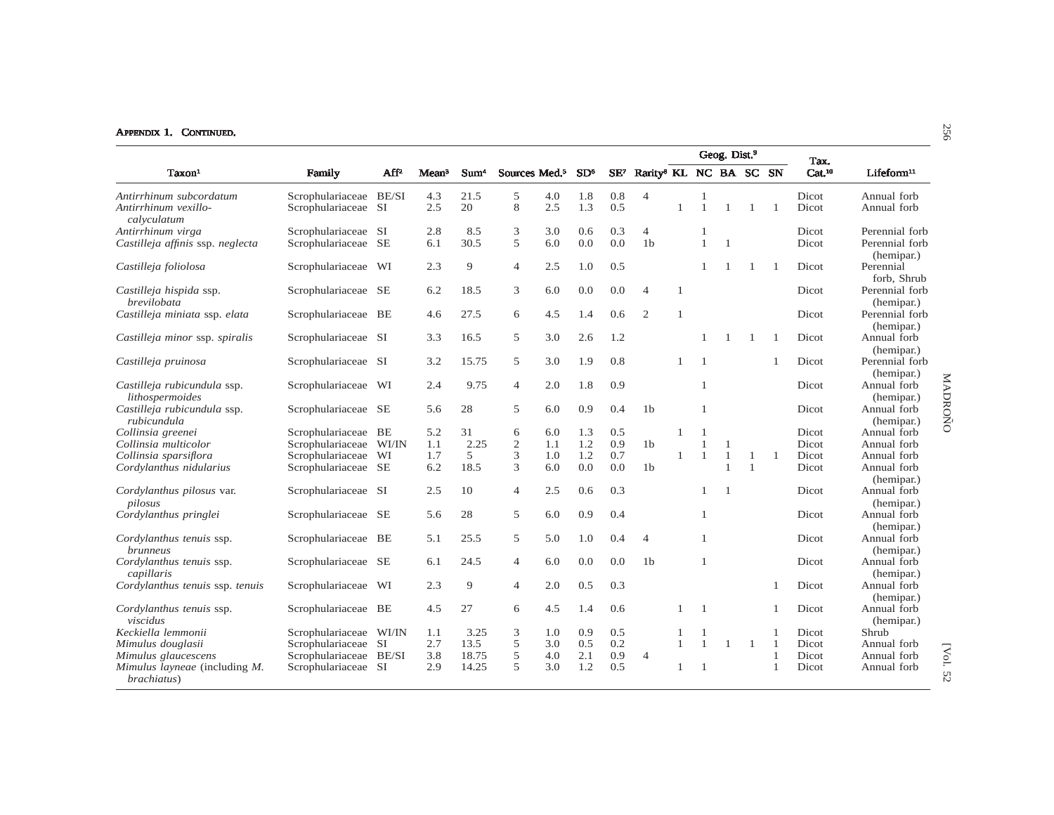|                                                                     |                        |           |                   |                  |                           |     |                 |        | Geog. Dist. <sup>9</sup><br>Tax.   |                |                |                |                |                |                    |                                         |
|---------------------------------------------------------------------|------------------------|-----------|-------------------|------------------|---------------------------|-----|-----------------|--------|------------------------------------|----------------|----------------|----------------|----------------|----------------|--------------------|-----------------------------------------|
| Taxon <sup>1</sup>                                                  | Family                 | $AF^2$    | Mean <sup>3</sup> | Sum <sup>4</sup> | Sources Med. <sup>5</sup> |     | SD <sup>6</sup> | $SE^7$ | Rarity <sup>8</sup> KL NC BA SC SN |                |                |                |                |                | Cat. <sup>10</sup> | Lifeform <sup>11</sup>                  |
| Antirrhinum subcordatum                                             | Scrophulariaceae BE/SI |           | 4.3               | 21.5             | 5                         | 4.0 | 1.8             | 0.8    | $\overline{4}$                     |                | $\mathbf{1}$   |                |                |                | <b>Dicot</b>       | Annual forb                             |
| Antirrhinum vexillo-<br>calvculatum                                 | Scrophulariaceae SI    |           | 2.5               | 20               | 8                         | 2.5 | 1.3             | 0.5    |                                    | $\mathbf{1}$   | $\mathbf{1}$   | 1              | 1              | $\overline{1}$ | Dicot              | Annual forb                             |
| Antirrhinum virga                                                   | Scrophulariaceae SI    |           | 2.8               | 8.5              | 3                         | 3.0 | 0.6             | 0.3    | 4                                  |                | -1             |                |                |                | Dicot              | Perennial forb                          |
| Castilleja affinis ssp. neglecta                                    | Scrophulariaceae SE    |           | 6.1               | 30.5             | 5                         | 6.0 | 0.0             | 0.0    | 1 <sub>b</sub>                     |                | $\mathbf{1}$   | $\overline{1}$ |                |                | Dicot              | Perennial forb<br>(hemipar.)            |
| Castilleja foliolosa                                                | Scrophulariaceae       | WI        | 2.3               | 9                | $\overline{4}$            | 2.5 | 1.0             | 0.5    |                                    |                | 1              | $\mathbf{1}$   | 1              |                | Dicot              | Perennial<br>forb. Shrub                |
| Castilleja hispida ssp.<br>brevilobata                              | Scrophulariaceae SE    |           | 6.2               | 18.5             | 3                         | 6.0 | 0.0             | 0.0    | $\overline{4}$                     | $\mathbf{1}$   |                |                |                |                | Dicot              | Perennial forb<br>(hemipar.)            |
| Castilleja miniata ssp. elata                                       | Scrophulariaceae       | BE        | 4.6               | 27.5             | 6                         | 4.5 | 1.4             | 0.6    | $\overline{2}$                     | $\overline{1}$ |                |                |                |                | Dicot              | Perennial forb<br>(hemipar.)            |
| Castilleja minor ssp. spiralis                                      | Scrophulariaceae SI    |           | 3.3               | 16.5             | 5                         | 3.0 | 2.6             | 1.2    |                                    |                | 1              | $\overline{1}$ | -1             | $\overline{1}$ | Dicot              | Annual forb<br>(hemipar.)               |
| Castilleja pruinosa                                                 | Scrophulariaceae SI    |           | 3.2               | 15.75            | 5                         | 3.0 | 1.9             | 0.8    |                                    |                | $\overline{1}$ |                |                |                | Dicot              | Perennial forb<br>(hemipar.)            |
| Castilleja rubicundula ssp.<br>lithospermoides                      | Scrophulariaceae       | WI        | 2.4               | 9.75             | $\overline{4}$            | 2.0 | 1.8             | 0.9    |                                    |                | $\mathbf{1}$   |                |                |                | Dicot              | Annual forb<br>(hemipar.)               |
| Castilleja rubicundula ssp.<br>rubicundula                          | Scrophulariaceae SE    |           | 5.6               | 28               | 5                         | 6.0 | 0.9             | 0.4    | 1 <sub>b</sub>                     |                | $\mathbf{1}$   |                |                |                | Dicot              | MADROÑO<br>Annual forb<br>(hemipar.)    |
| Collinsia greenei                                                   | Scrophulariaceae BE    |           | 5.2               | 31               | 6                         | 6.0 | 1.3             | 0.5    |                                    |                |                |                |                |                | Dicot              | Annual forb                             |
| Collinsia multicolor                                                | Scrophulariaceae       | WI/IN     | 1.1               | 2.25             | $\overline{c}$            | 1.1 | 1.2             | 0.9    | 1 <sub>b</sub>                     |                |                |                |                |                | Dicot              | Annual forb                             |
| Collinsia sparsiflora                                               | Scrophulariaceae       | WI        | 1.7               | 5                | 3                         | 1.0 | 1.2             | 0.7    |                                    |                | $\mathbf{1}$   | 1              | -1             | $\mathbf{1}$   | Dicot              | Annual forb                             |
| Cordylanthus nidularius                                             | Scrophulariaceae SE    |           | 6.2               | 18.5             | 3                         | 6.0 | 0.0             | 0.0    | 1 <sub>b</sub>                     |                |                | $\overline{1}$ | $\overline{1}$ |                | Dicot              | Annual forb                             |
| Cordylanthus pilosus var.<br>pilosus                                | Scrophulariaceae SI    |           | 2.5               | 10               | $\overline{4}$            | 2.5 | 0.6             | 0.3    |                                    |                | 1              | $\overline{1}$ |                |                | Dicot              | (hemipar.)<br>Annual forb<br>(hemipar.) |
| Cordylanthus pringlei                                               | Scrophulariaceae SE    |           | 5.6               | 28               | 5                         | 6.0 | 0.9             | 0.4    |                                    |                | 1              |                |                |                | Dicot              | Annual forb<br>(hemipar.)               |
| Cordylanthus tenuis ssp.<br><i>brunneus</i>                         | Scrophulariaceae BE    |           | 5.1               | 25.5             | 5                         | 5.0 | 1.0             | 0.4    | $\overline{4}$                     |                | 1              |                |                |                | Dicot              | Annual forb<br>(hemipar.)               |
| Cordylanthus tenuis ssp.<br>capillaris                              | Scrophulariaceae       | <b>SE</b> | 6.1               | 24.5             | 4                         | 6.0 | 0.0             | 0.0    | 1 <sub>b</sub>                     |                | $\mathbf{1}$   |                |                |                | Dicot              | Annual forb<br>(hemipar.)               |
| Cordylanthus tenuis ssp. tenuis                                     | Scrophulariaceae       | WI        | 2.3               | 9                | $\overline{4}$            | 2.0 | 0.5             | 0.3    |                                    |                |                |                |                |                | Dicot              | Annual forb<br>(hemipar.)               |
| Cordylanthus tenuis ssp.<br>viscidus                                | Scrophulariaceae BE    |           | 4.5               | 27               | 6                         | 4.5 | 1.4             | 0.6    |                                    |                | $\overline{1}$ |                |                | 1              | Dicot              | Annual forb<br>(hemipar.)               |
| Keckiella lemmonii                                                  | Scrophulariaceae WI/IN |           | 1.1               | 3.25             | 3                         | 1.0 | 0.9             | 0.5    |                                    |                |                |                |                |                | Dicot              | Shrub                                   |
| Mimulus douglasii                                                   | Scrophulariaceae SI    |           | 2.7               | 13.5             | 5                         | 3.0 | 0.5             | 0.2    |                                    | $\mathbf{1}$   | $\mathbf{1}$   | $\mathbf{1}$   | $\overline{1}$ | $\overline{1}$ | <b>Dicot</b>       | Annual forb                             |
| Mimulus glaucescens                                                 | Scrophulariaceae       | BE/SI     | 3.8               | 18.75            | 5                         | 4.0 | 2.1             | 0.9    | 4                                  |                |                |                |                |                | Dicot              | Annual forb                             |
| <i>Mimulus layneae</i> (including <i>M</i> .<br><i>brachiatus</i> ) | Scrophulariaceae SI    |           | 2.9               | 14.25            | 5                         | 3.0 | 1.2             | 0.5    |                                    |                | -1             |                |                |                | Dicot              | [Vol.<br>Annual forb<br>52              |